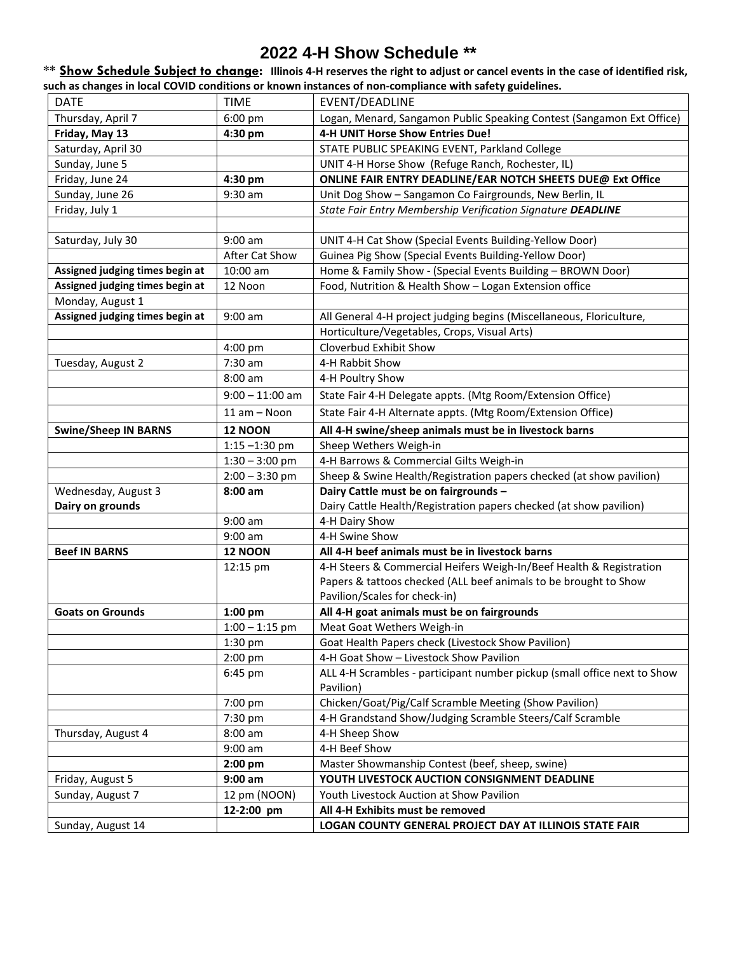# **2022 4-H Show Schedule \*\***

**\*\* Show Schedule Subject to change: Illinois 4-H reserves the right to adjust or cancel events in the case of identified risk, such as changes in local COVID conditions or known instances of non-compliance with safety guidelines.**

| <b>DATE</b>                     | <b>TIME</b>       | EVENT/DEADLINE                                                           |
|---------------------------------|-------------------|--------------------------------------------------------------------------|
| Thursday, April 7               | $6:00$ pm         | Logan, Menard, Sangamon Public Speaking Contest (Sangamon Ext Office)    |
| Friday, May 13                  | 4:30 pm           | 4-H UNIT Horse Show Entries Due!                                         |
| Saturday, April 30              |                   | STATE PUBLIC SPEAKING EVENT, Parkland College                            |
| Sunday, June 5                  |                   | UNIT 4-H Horse Show (Refuge Ranch, Rochester, IL)                        |
| Friday, June 24                 | 4:30 pm           | ONLINE FAIR ENTRY DEADLINE/EAR NOTCH SHEETS DUE@ Ext Office              |
| Sunday, June 26                 | 9:30 am           | Unit Dog Show - Sangamon Co Fairgrounds, New Berlin, IL                  |
| Friday, July 1                  |                   | State Fair Entry Membership Verification Signature DEADLINE              |
|                                 |                   |                                                                          |
| Saturday, July 30               | $9:00$ am         | UNIT 4-H Cat Show (Special Events Building-Yellow Door)                  |
|                                 | After Cat Show    | Guinea Pig Show (Special Events Building-Yellow Door)                    |
| Assigned judging times begin at | 10:00 am          | Home & Family Show - (Special Events Building - BROWN Door)              |
| Assigned judging times begin at | 12 Noon           | Food, Nutrition & Health Show - Logan Extension office                   |
| Monday, August 1                |                   |                                                                          |
| Assigned judging times begin at | $9:00$ am         | All General 4-H project judging begins (Miscellaneous, Floriculture,     |
|                                 |                   | Horticulture/Vegetables, Crops, Visual Arts)                             |
|                                 | 4:00 pm           | Cloverbud Exhibit Show                                                   |
| Tuesday, August 2               | 7:30 am           | 4-H Rabbit Show                                                          |
|                                 | $8:00$ am         | 4-H Poultry Show                                                         |
|                                 | $9:00 - 11:00$ am | State Fair 4-H Delegate appts. (Mtg Room/Extension Office)               |
|                                 | 11 am - Noon      | State Fair 4-H Alternate appts. (Mtg Room/Extension Office)              |
| <b>Swine/Sheep IN BARNS</b>     | <b>12 NOON</b>    | All 4-H swine/sheep animals must be in livestock barns                   |
|                                 | $1:15 - 1:30$ pm  | Sheep Wethers Weigh-in                                                   |
|                                 | $1:30 - 3:00$ pm  | 4-H Barrows & Commercial Gilts Weigh-in                                  |
|                                 | $2:00 - 3:30$ pm  | Sheep & Swine Health/Registration papers checked (at show pavilion)      |
| Wednesday, August 3             | $8:00$ am         | Dairy Cattle must be on fairgrounds -                                    |
| Dairy on grounds                |                   | Dairy Cattle Health/Registration papers checked (at show pavilion)       |
|                                 | 9:00 am           | 4-H Dairy Show                                                           |
|                                 | $9:00$ am         | 4-H Swine Show                                                           |
| <b>Beef IN BARNS</b>            | <b>12 NOON</b>    | All 4-H beef animals must be in livestock barns                          |
|                                 | 12:15 pm          | 4-H Steers & Commercial Heifers Weigh-In/Beef Health & Registration      |
|                                 |                   | Papers & tattoos checked (ALL beef animals to be brought to Show         |
|                                 |                   | Pavilion/Scales for check-in)                                            |
| <b>Goats on Grounds</b>         | 1:00 pm           | All 4-H goat animals must be on fairgrounds                              |
|                                 | $1:00 - 1:15$ pm  | Meat Goat Wethers Weigh-in                                               |
|                                 | 1:30 pm           | Goat Health Papers check (Livestock Show Pavilion)                       |
|                                 | 2:00 pm           | 4-H Goat Show - Livestock Show Pavilion                                  |
|                                 | 6:45 pm           | ALL 4-H Scrambles - participant number pickup (small office next to Show |
|                                 |                   | Pavilion)                                                                |
|                                 | 7:00 pm           | Chicken/Goat/Pig/Calf Scramble Meeting (Show Pavilion)                   |
|                                 | 7:30 pm           | 4-H Grandstand Show/Judging Scramble Steers/Calf Scramble                |
| Thursday, August 4              | 8:00 am           | 4-H Sheep Show                                                           |
|                                 | $9:00$ am         | 4-H Beef Show                                                            |
|                                 | 2:00 pm           | Master Showmanship Contest (beef, sheep, swine)                          |
| Friday, August 5                | $9:00$ am         | YOUTH LIVESTOCK AUCTION CONSIGNMENT DEADLINE                             |
| Sunday, August 7                | 12 pm (NOON)      | Youth Livestock Auction at Show Pavilion                                 |
|                                 | 12-2:00 pm        | All 4-H Exhibits must be removed                                         |
| Sunday, August 14               |                   | LOGAN COUNTY GENERAL PROJECT DAY AT ILLINOIS STATE FAIR                  |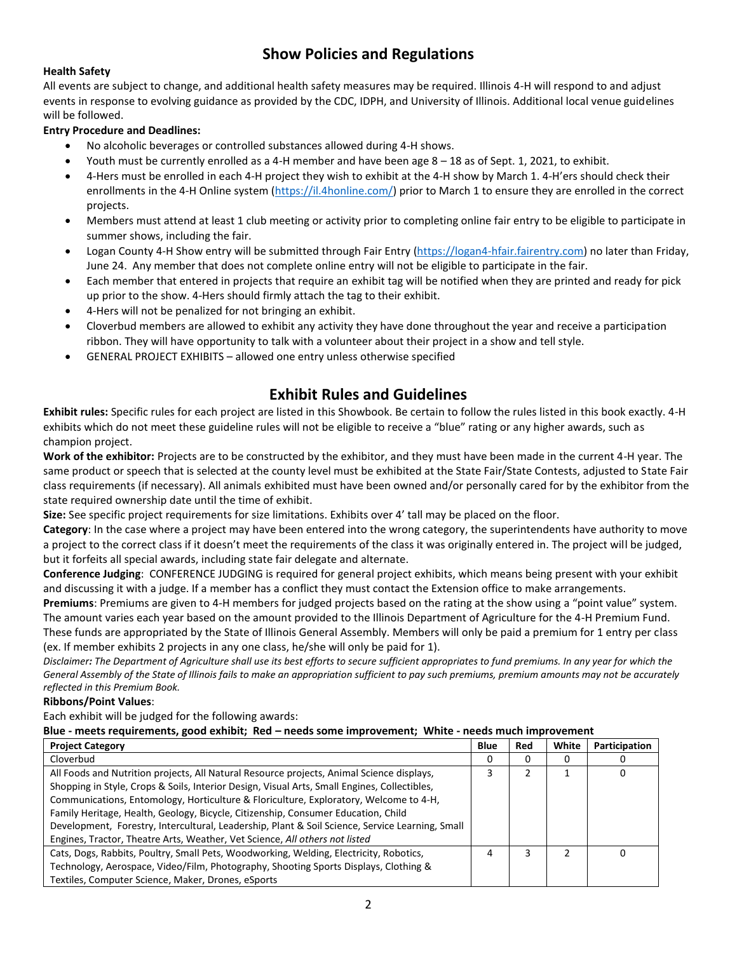# **Show Policies and Regulations**

### **Health Safety**

All events are subject to change, and additional health safety measures may be required. Illinois 4-H will respond to and adjust events in response to evolving guidance as provided by the CDC, IDPH, and University of Illinois. Additional local venue guidelines will be followed.

#### **Entry Procedure and Deadlines:**

- No alcoholic beverages or controlled substances allowed during 4-H shows.
- Youth must be currently enrolled as a 4-H member and have been age 8 18 as of Sept. 1, 2021, to exhibit.
- 4-Hers must be enrolled in each 4-H project they wish to exhibit at the 4-H show by March 1. 4-H'ers should check their enrollments in the 4-H Online system [\(https://il.4honline.com/\)](https://il.4honline.com/) prior to March 1 to ensure they are enrolled in the correct projects.
- Members must attend at least 1 club meeting or activity prior to completing online fair entry to be eligible to participate in summer shows, including the fair.
- Logan County 4-H Show entry will be submitted through Fair Entry [\(https://logan4-hfair.fairentry.com\)](https://logan4-hfair.fairentry.com/) no later than Friday, June 24. Any member that does not complete online entry will not be eligible to participate in the fair.
- Each member that entered in projects that require an exhibit tag will be notified when they are printed and ready for pick up prior to the show. 4-Hers should firmly attach the tag to their exhibit.
- 4-Hers will not be penalized for not bringing an exhibit.
- Cloverbud members are allowed to exhibit any activity they have done throughout the year and receive a participation ribbon. They will have opportunity to talk with a volunteer about their project in a show and tell style.
- GENERAL PROJECT EXHIBITS allowed one entry unless otherwise specified

## **Exhibit Rules and Guidelines**

**Exhibit rules:** Specific rules for each project are listed in this Showbook. Be certain to follow the rules listed in this book exactly. 4-H exhibits which do not meet these guideline rules will not be eligible to receive a "blue" rating or any higher awards, such as champion project.

**Work of the exhibitor:** Projects are to be constructed by the exhibitor, and they must have been made in the current 4-H year. The same product or speech that is selected at the county level must be exhibited at the State Fair/State Contests, adjusted to State Fair class requirements (if necessary). All animals exhibited must have been owned and/or personally cared for by the exhibitor from the state required ownership date until the time of exhibit.

**Size:** See specific project requirements for size limitations. Exhibits over 4' tall may be placed on the floor.

**Category**: In the case where a project may have been entered into the wrong category, the superintendents have authority to move a project to the correct class if it doesn't meet the requirements of the class it was originally entered in. The project will be judged, but it forfeits all special awards, including state fair delegate and alternate.

**Conference Judging**: CONFERENCE JUDGING is required for general project exhibits, which means being present with your exhibit and discussing it with a judge. If a member has a conflict they must contact the Extension office to make arrangements.

**Premiums**: Premiums are given to 4-H members for judged projects based on the rating at the show using a "point value" system. The amount varies each year based on the amount provided to the Illinois Department of Agriculture for the 4-H Premium Fund. These funds are appropriated by the State of Illinois General Assembly. Members will only be paid a premium for 1 entry per class

(ex. If member exhibits 2 projects in any one class, he/she will only be paid for 1).

*Disclaimer: The Department of Agriculture shall use its best efforts to secure sufficient appropriates to fund premiums. In any year for which the General Assembly of the State of Illinois fails to make an appropriation sufficient to pay such premiums, premium amounts may not be accurately reflected in this Premium Book.*

#### **Ribbons/Point Values**:

Each exhibit will be judged for the following awards:

#### **Blue - meets requirements, good exhibit; Red – needs some improvement; White - needs much improvement**

| <b>Project Category</b>                                                                         | <b>Blue</b> | Red | White | Participation |
|-------------------------------------------------------------------------------------------------|-------------|-----|-------|---------------|
| Cloverbud                                                                                       | 0           |     | 0     |               |
| All Foods and Nutrition projects, All Natural Resource projects, Animal Science displays,       |             |     |       |               |
| Shopping in Style, Crops & Soils, Interior Design, Visual Arts, Small Engines, Collectibles,    |             |     |       |               |
| Communications, Entomology, Horticulture & Floriculture, Exploratory, Welcome to 4-H,           |             |     |       |               |
| Family Heritage, Health, Geology, Bicycle, Citizenship, Consumer Education, Child               |             |     |       |               |
| Development, Forestry, Intercultural, Leadership, Plant & Soil Science, Service Learning, Small |             |     |       |               |
| Engines, Tractor, Theatre Arts, Weather, Vet Science, All others not listed                     |             |     |       |               |
| Cats, Dogs, Rabbits, Poultry, Small Pets, Woodworking, Welding, Electricity, Robotics,          |             |     |       |               |
| Technology, Aerospace, Video/Film, Photography, Shooting Sports Displays, Clothing &            |             |     |       |               |
| Textiles, Computer Science, Maker, Drones, eSports                                              |             |     |       |               |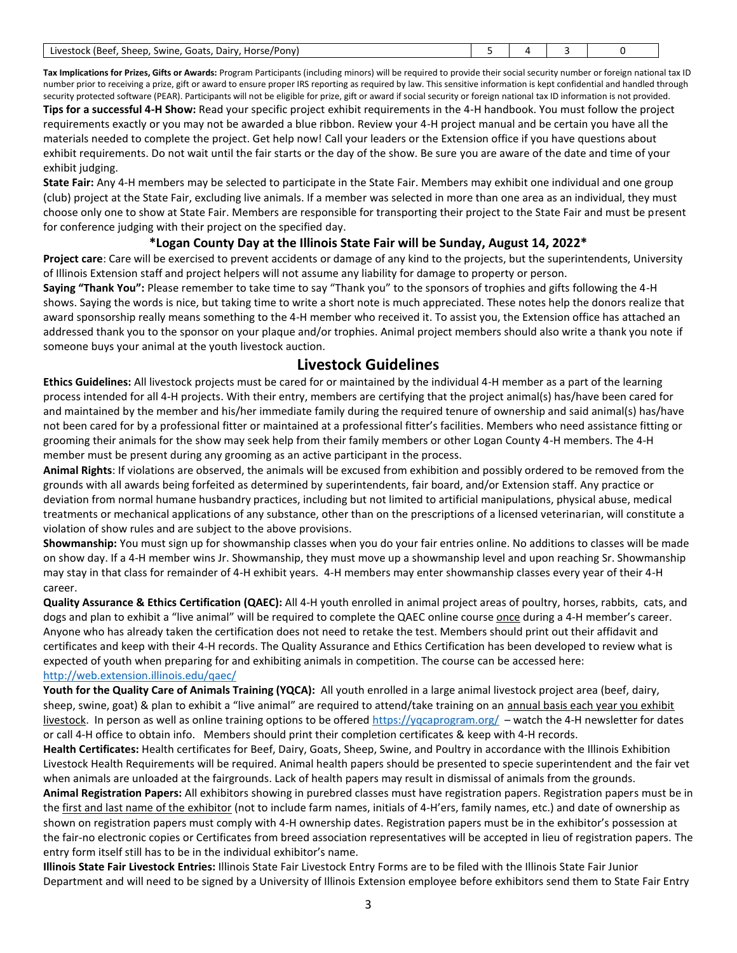| . Horse/Pony)<br>-<br>Goatr<br>Dairy<br>(Beet<br>Livestock I<br>sheep. "<br>Swine.<br>. |  |  |  |  |
|-----------------------------------------------------------------------------------------|--|--|--|--|
|-----------------------------------------------------------------------------------------|--|--|--|--|

**Tax Implications for Prizes, Gifts or Awards:** Program Participants (including minors) will be required to provide their social security number or foreign national tax ID number prior to receiving a prize, gift or award to ensure proper IRS reporting as required by law. This sensitive information is kept confidential and handled through security protected software (PEAR). Participants will not be eligible for prize, gift or award if social security or foreign national tax ID information is not provided. **Tips for a successful 4-H Show:** Read your specific project exhibit requirements in the 4-H handbook. You must follow the project requirements exactly or you may not be awarded a blue ribbon. Review your 4-H project manual and be certain you have all the materials needed to complete the project. Get help now! Call your leaders or the Extension office if you have questions about exhibit requirements. Do not wait until the fair starts or the day of the show. Be sure you are aware of the date and time of your exhibit judging.

**State Fair:** Any 4-H members may be selected to participate in the State Fair. Members may exhibit one individual and one group (club) project at the State Fair, excluding live animals. If a member was selected in more than one area as an individual, they must choose only one to show at State Fair. Members are responsible for transporting their project to the State Fair and must be present for conference judging with their project on the specified day.

#### **\*Logan County Day at the Illinois State Fair will be Sunday, August 14, 2022\***

**Project care**: Care will be exercised to prevent accidents or damage of any kind to the projects, but the superintendents, University of Illinois Extension staff and project helpers will not assume any liability for damage to property or person.

**Saying "Thank You":** Please remember to take time to say "Thank you" to the sponsors of trophies and gifts following the 4-H shows. Saying the words is nice, but taking time to write a short note is much appreciated. These notes help the donors realize that award sponsorship really means something to the 4-H member who received it. To assist you, the Extension office has attached an addressed thank you to the sponsor on your plaque and/or trophies. Animal project members should also write a thank you note if someone buys your animal at the youth livestock auction.

## **Livestock Guidelines**

**Ethics Guidelines:** All livestock projects must be cared for or maintained by the individual 4-H member as a part of the learning process intended for all 4-H projects. With their entry, members are certifying that the project animal(s) has/have been cared for and maintained by the member and his/her immediate family during the required tenure of ownership and said animal(s) has/have not been cared for by a professional fitter or maintained at a professional fitter's facilities. Members who need assistance fitting or grooming their animals for the show may seek help from their family members or other Logan County 4-H members. The 4-H member must be present during any grooming as an active participant in the process.

**Animal Rights**: If violations are observed, the animals will be excused from exhibition and possibly ordered to be removed from the grounds with all awards being forfeited as determined by superintendents, fair board, and/or Extension staff. Any practice or deviation from normal humane husbandry practices, including but not limited to artificial manipulations, physical abuse, medical treatments or mechanical applications of any substance, other than on the prescriptions of a licensed veterinarian, will constitute a violation of show rules and are subject to the above provisions.

**Showmanship:** You must sign up for showmanship classes when you do your fair entries online. No additions to classes will be made on show day. If a 4-H member wins Jr. Showmanship, they must move up a showmanship level and upon reaching Sr. Showmanship may stay in that class for remainder of 4-H exhibit years. 4-H members may enter showmanship classes every year of their 4-H career.

**Quality Assurance & Ethics Certification (QAEC):** All 4-H youth enrolled in animal project areas of poultry, horses, rabbits, cats, and dogs and plan to exhibit a "live animal" will be required to complete the QAEC online course once during a 4-H member's career. Anyone who has already taken the certification does not need to retake the test. Members should print out their affidavit and certificates and keep with their 4-H records. The Quality Assurance and Ethics Certification has been developed to review what is expected of youth when preparing for and exhibiting animals in competition. The course can be accessed here: <http://web.extension.illinois.edu/qaec/>

**Youth for the Quality Care of Animals Training (YQCA):** All youth enrolled in a large animal livestock project area (beef, dairy, sheep, swine, goat) & plan to exhibit a "live animal" are required to attend/take training on an annual basis each year you exhibit livestock. In person as well as online training options to be offere[d https://yqcaprogram.org/](https://yqcaprogram.org/) - watch the 4-H newsletter for dates or call 4-H office to obtain info. Members should print their completion certificates & keep with 4-H records.

**Health Certificates:** Health certificates for Beef, Dairy, Goats, Sheep, Swine, and Poultry in accordance with the Illinois Exhibition Livestock Health Requirements will be required. Animal health papers should be presented to specie superintendent and the fair vet when animals are unloaded at the fairgrounds. Lack of health papers may result in dismissal of animals from the grounds.

**Animal Registration Papers:** All exhibitors showing in purebred classes must have registration papers. Registration papers must be in the first and last name of the exhibitor (not to include farm names, initials of 4-H'ers, family names, etc.) and date of ownership as shown on registration papers must comply with 4-H ownership dates. Registration papers must be in the exhibitor's possession at the fair-no electronic copies or Certificates from breed association representatives will be accepted in lieu of registration papers. The entry form itself still has to be in the individual exhibitor's name.

**Illinois State Fair Livestock Entries:** Illinois State Fair Livestock Entry Forms are to be filed with the Illinois State Fair Junior Department and will need to be signed by a University of Illinois Extension employee before exhibitors send them to State Fair Entry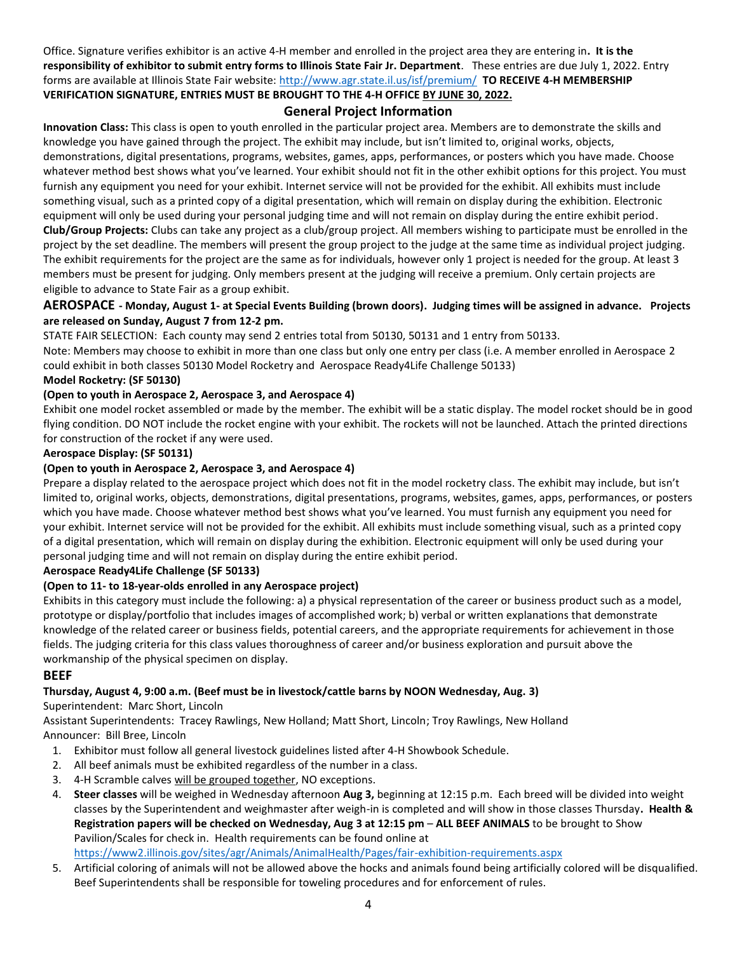Office. Signature verifies exhibitor is an active 4-H member and enrolled in the project area they are entering in**. It is the responsibility of exhibitor to submit entry forms to Illinois State Fair Jr. Department**. These entries are due July 1, 2022. Entry forms are available at Illinois State Fair website:<http://www.agr.state.il.us/isf/premium/>**TO RECEIVE 4-H MEMBERSHIP VERIFICATION SIGNATURE, ENTRIES MUST BE BROUGHT TO THE 4-H OFFICE BY JUNE 30, 2022.** 

### **General Project Information**

**Innovation Class:** This class is open to youth enrolled in the particular project area. Members are to demonstrate the skills and knowledge you have gained through the project. The exhibit may include, but isn't limited to, original works, objects, demonstrations, digital presentations, programs, websites, games, apps, performances, or posters which you have made. Choose whatever method best shows what you've learned. Your exhibit should not fit in the other exhibit options for this project. You must furnish any equipment you need for your exhibit. Internet service will not be provided for the exhibit. All exhibits must include something visual, such as a printed copy of a digital presentation, which will remain on display during the exhibition. Electronic equipment will only be used during your personal judging time and will not remain on display during the entire exhibit period. **Club/Group Projects:** Clubs can take any project as a club/group project. All members wishing to participate must be enrolled in the project by the set deadline. The members will present the group project to the judge at the same time as individual project judging. The exhibit requirements for the project are the same as for individuals, however only 1 project is needed for the group. At least 3 members must be present for judging. Only members present at the judging will receive a premium. Only certain projects are eligible to advance to State Fair as a group exhibit.

### **AEROSPACE - Monday, August 1- at Special Events Building (brown doors). Judging times will be assigned in advance. Projects are released on Sunday, August 7 from 12-2 pm.**

STATE FAIR SELECTION: Each county may send 2 entries total from 50130, 50131 and 1 entry from 50133.

Note: Members may choose to exhibit in more than one class but only one entry per class (i.e. A member enrolled in Aerospace 2 could exhibit in both classes 50130 Model Rocketry and Aerospace Ready4Life Challenge 50133)

## **Model Rocketry: (SF 50130)**

### **(Open to youth in Aerospace 2, Aerospace 3, and Aerospace 4)**

Exhibit one model rocket assembled or made by the member. The exhibit will be a static display. The model rocket should be in good flying condition. DO NOT include the rocket engine with your exhibit. The rockets will not be launched. Attach the printed directions for construction of the rocket if any were used.

#### **Aerospace Display: (SF 50131)**

### **(Open to youth in Aerospace 2, Aerospace 3, and Aerospace 4)**

Prepare a display related to the aerospace project which does not fit in the model rocketry class. The exhibit may include, but isn't limited to, original works, objects, demonstrations, digital presentations, programs, websites, games, apps, performances, or posters which you have made. Choose whatever method best shows what you've learned. You must furnish any equipment you need for your exhibit. Internet service will not be provided for the exhibit. All exhibits must include something visual, such as a printed copy of a digital presentation, which will remain on display during the exhibition. Electronic equipment will only be used during your personal judging time and will not remain on display during the entire exhibit period.

#### **Aerospace Ready4Life Challenge (SF 50133)**

### **(Open to 11- to 18-year-olds enrolled in any Aerospace project)**

Exhibits in this category must include the following: a) a physical representation of the career or business product such as a model, prototype or display/portfolio that includes images of accomplished work; b) verbal or written explanations that demonstrate knowledge of the related career or business fields, potential careers, and the appropriate requirements for achievement in those fields. The judging criteria for this class values thoroughness of career and/or business exploration and pursuit above the workmanship of the physical specimen on display.

### **BEEF**

### **Thursday, August 4, 9:00 a.m. (Beef must be in livestock/cattle barns by NOON Wednesday, Aug. 3)**

Superintendent: Marc Short, Lincoln

Assistant Superintendents: Tracey Rawlings, New Holland; Matt Short, Lincoln; Troy Rawlings, New Holland Announcer: Bill Bree, Lincoln

- 1. Exhibitor must follow all general livestock guidelines listed after 4-H Showbook Schedule.
- 2. All beef animals must be exhibited regardless of the number in a class.
- 3. 4-H Scramble calves will be grouped together, NO exceptions.
- 4. **Steer classes** will be weighed in Wednesday afternoon **Aug 3,** beginning at 12:15 p.m. Each breed will be divided into weight classes by the Superintendent and weighmaster after weigh-in is completed and will show in those classes Thursday**. Health & Registration papers will be checked on Wednesday, Aug 3 at 12:15 pm** – **ALL BEEF ANIMALS** to be brought to Show Pavilion/Scales for check in. Health requirements can be found online at

<https://www2.illinois.gov/sites/agr/Animals/AnimalHealth/Pages/fair-exhibition-requirements.aspx>

5. Artificial coloring of animals will not be allowed above the hocks and animals found being artificially colored will be disqualified. Beef Superintendents shall be responsible for toweling procedures and for enforcement of rules.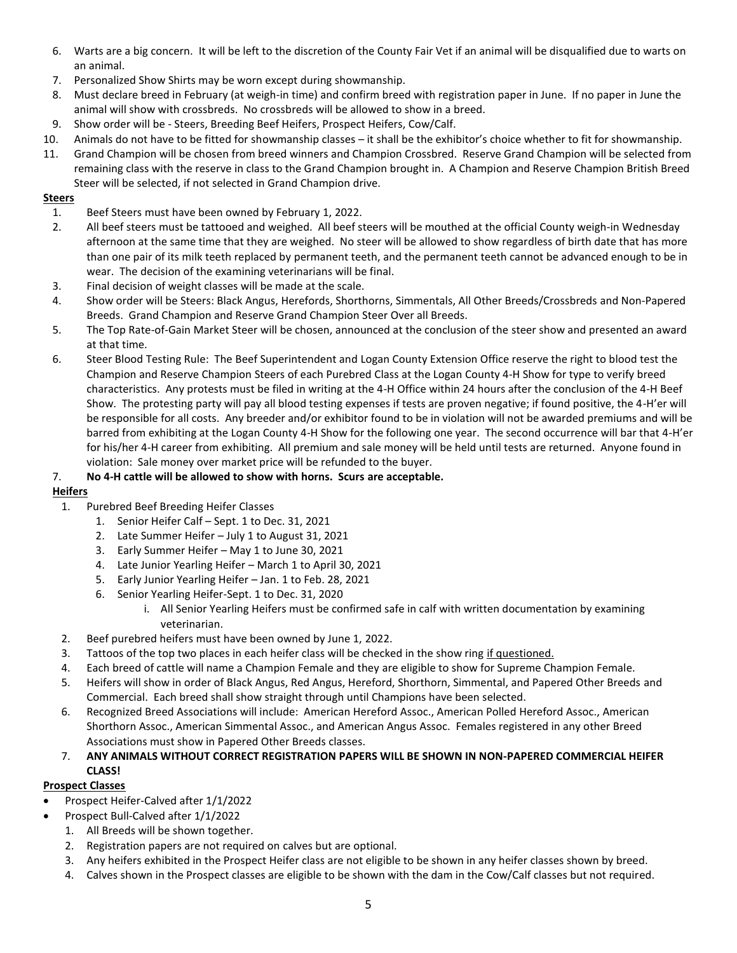- 6. Warts are a big concern. It will be left to the discretion of the County Fair Vet if an animal will be disqualified due to warts on an animal.
- 7. Personalized Show Shirts may be worn except during showmanship.
- 8. Must declare breed in February (at weigh-in time) and confirm breed with registration paper in June. If no paper in June the animal will show with crossbreds. No crossbreds will be allowed to show in a breed.
- 9. Show order will be Steers, Breeding Beef Heifers, Prospect Heifers, Cow/Calf.
- 10. Animals do not have to be fitted for showmanship classes it shall be the exhibitor's choice whether to fit for showmanship.
- 11. Grand Champion will be chosen from breed winners and Champion Crossbred. Reserve Grand Champion will be selected from remaining class with the reserve in class to the Grand Champion brought in. A Champion and Reserve Champion British Breed Steer will be selected, if not selected in Grand Champion drive.

### **Steers**

- 1. Beef Steers must have been owned by February 1, 2022.
- 2. All beef steers must be tattooed and weighed. All beef steers will be mouthed at the official County weigh-in Wednesday afternoon at the same time that they are weighed. No steer will be allowed to show regardless of birth date that has more than one pair of its milk teeth replaced by permanent teeth, and the permanent teeth cannot be advanced enough to be in wear. The decision of the examining veterinarians will be final.
- 3. Final decision of weight classes will be made at the scale.
- 4. Show order will be Steers: Black Angus, Herefords, Shorthorns, Simmentals, All Other Breeds/Crossbreds and Non-Papered Breeds. Grand Champion and Reserve Grand Champion Steer Over all Breeds.
- 5. The Top Rate-of-Gain Market Steer will be chosen, announced at the conclusion of the steer show and presented an award at that time.
- 6. Steer Blood Testing Rule: The Beef Superintendent and Logan County Extension Office reserve the right to blood test the Champion and Reserve Champion Steers of each Purebred Class at the Logan County 4-H Show for type to verify breed characteristics. Any protests must be filed in writing at the 4-H Office within 24 hours after the conclusion of the 4-H Beef Show. The protesting party will pay all blood testing expenses if tests are proven negative; if found positive, the 4-H'er will be responsible for all costs. Any breeder and/or exhibitor found to be in violation will not be awarded premiums and will be barred from exhibiting at the Logan County 4-H Show for the following one year. The second occurrence will bar that 4-H'er for his/her 4-H career from exhibiting. All premium and sale money will be held until tests are returned. Anyone found in violation: Sale money over market price will be refunded to the buyer.

### 7. **No 4-H cattle will be allowed to show with horns. Scurs are acceptable.**

## **Heifers**

- 1. Purebred Beef Breeding Heifer Classes
	- 1. Senior Heifer Calf Sept. 1 to Dec. 31, 2021
	- 2. Late Summer Heifer July 1 to August 31, 2021
	- 3. Early Summer Heifer May 1 to June 30, 2021
	- 4. Late Junior Yearling Heifer March 1 to April 30, 2021
	- 5. Early Junior Yearling Heifer Jan. 1 to Feb. 28, 2021
	- 6. Senior Yearling Heifer-Sept. 1 to Dec. 31, 2020
		- i. All Senior Yearling Heifers must be confirmed safe in calf with written documentation by examining veterinarian.
- 2. Beef purebred heifers must have been owned by June 1, 2022.
- 3. Tattoos of the top two places in each heifer class will be checked in the show ring if questioned.
- 4. Each breed of cattle will name a Champion Female and they are eligible to show for Supreme Champion Female.
- 5. Heifers will show in order of Black Angus, Red Angus, Hereford, Shorthorn, Simmental, and Papered Other Breeds and Commercial. Each breed shall show straight through until Champions have been selected.
- 6. Recognized Breed Associations will include: American Hereford Assoc., American Polled Hereford Assoc., American Shorthorn Assoc., American Simmental Assoc., and American Angus Assoc. Females registered in any other Breed Associations must show in Papered Other Breeds classes.
- 7. **ANY ANIMALS WITHOUT CORRECT REGISTRATION PAPERS WILL BE SHOWN IN NON-PAPERED COMMERCIAL HEIFER CLASS!**

### **Prospect Classes**

- Prospect Heifer-Calved after 1/1/2022
- Prospect Bull-Calved after 1/1/2022
	- 1. All Breeds will be shown together.
	- 2. Registration papers are not required on calves but are optional.
	- 3. Any heifers exhibited in the Prospect Heifer class are not eligible to be shown in any heifer classes shown by breed.
	- 4. Calves shown in the Prospect classes are eligible to be shown with the dam in the Cow/Calf classes but not required.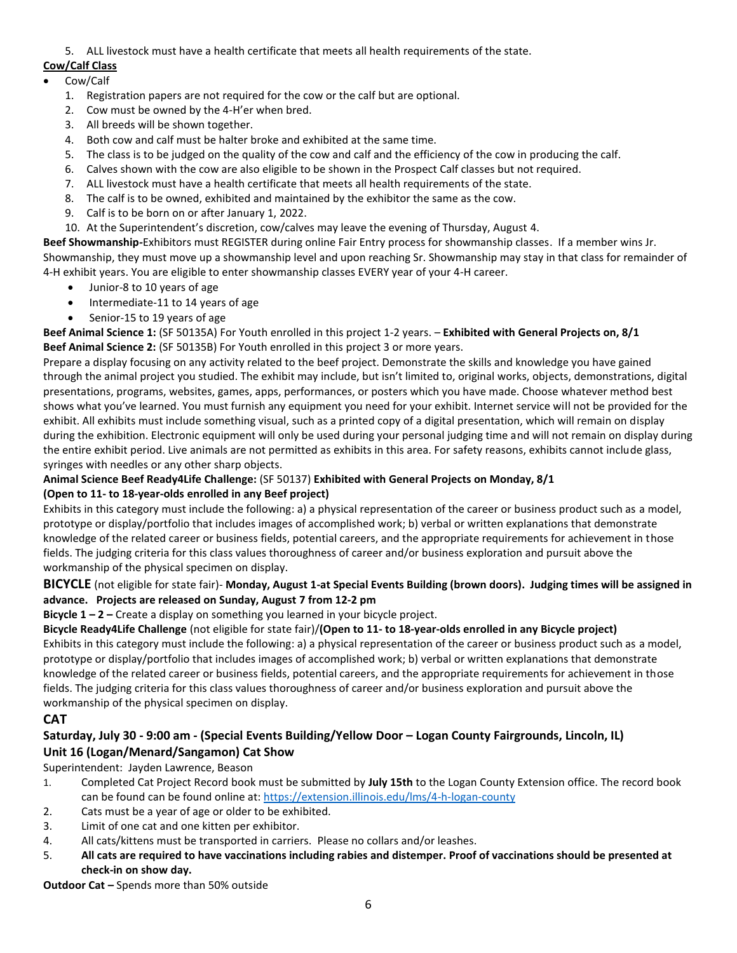5. ALL livestock must have a health certificate that meets all health requirements of the state.

## **Cow/Calf Class**

## • Cow/Calf

- 1. Registration papers are not required for the cow or the calf but are optional.
- 2. Cow must be owned by the 4-H'er when bred.
- 3. All breeds will be shown together.
- 4. Both cow and calf must be halter broke and exhibited at the same time.
- 5. The class is to be judged on the quality of the cow and calf and the efficiency of the cow in producing the calf.
- 6. Calves shown with the cow are also eligible to be shown in the Prospect Calf classes but not required.
- 7. ALL livestock must have a health certificate that meets all health requirements of the state.
- 8. The calf is to be owned, exhibited and maintained by the exhibitor the same as the cow.
- 9. Calf is to be born on or after January 1, 2022.
- 10. At the Superintendent's discretion, cow/calves may leave the evening of Thursday, August 4.

**Beef Showmanship***-*Exhibitors must REGISTER during online Fair Entry process for showmanship classes. If a member wins Jr. Showmanship, they must move up a showmanship level and upon reaching Sr. Showmanship may stay in that class for remainder of 4-H exhibit years. You are eligible to enter showmanship classes EVERY year of your 4-H career.

- Junior-8 to 10 years of age
- Intermediate-11 to 14 years of age
- Senior-15 to 19 years of age

**Beef Animal Science 1:** (SF 50135A) For Youth enrolled in this project 1-2 years. – **Exhibited with General Projects on, 8/1 Beef Animal Science 2:** (SF 50135B) For Youth enrolled in this project 3 or more years.

Prepare a display focusing on any activity related to the beef project. Demonstrate the skills and knowledge you have gained through the animal project you studied. The exhibit may include, but isn't limited to, original works, objects, demonstrations, digital presentations, programs, websites, games, apps, performances, or posters which you have made. Choose whatever method best shows what you've learned. You must furnish any equipment you need for your exhibit. Internet service will not be provided for the exhibit. All exhibits must include something visual, such as a printed copy of a digital presentation, which will remain on display during the exhibition. Electronic equipment will only be used during your personal judging time and will not remain on display during the entire exhibit period. Live animals are not permitted as exhibits in this area. For safety reasons, exhibits cannot include glass, syringes with needles or any other sharp objects.

#### **Animal Science Beef Ready4Life Challenge:** (SF 50137) **Exhibited with General Projects on Monday, 8/1 (Open to 11- to 18-year-olds enrolled in any Beef project)**

Exhibits in this category must include the following: a) a physical representation of the career or business product such as a model, prototype or display/portfolio that includes images of accomplished work; b) verbal or written explanations that demonstrate knowledge of the related career or business fields, potential careers, and the appropriate requirements for achievement in those fields. The judging criteria for this class values thoroughness of career and/or business exploration and pursuit above the workmanship of the physical specimen on display.

### **BICYCLE** (not eligible for state fair)- **Monday, August 1-at Special Events Building (brown doors). Judging times will be assigned in advance. Projects are released on Sunday, August 7 from 12-2 pm**

**Bicycle 1 – 2 –** Create a display on something you learned in your bicycle project.

## **Bicycle Ready4Life Challenge** (not eligible for state fair)/**(Open to 11- to 18-year-olds enrolled in any Bicycle project)** Exhibits in this category must include the following: a) a physical representation of the career or business product such as a model,

prototype or display/portfolio that includes images of accomplished work; b) verbal or written explanations that demonstrate knowledge of the related career or business fields, potential careers, and the appropriate requirements for achievement in those fields. The judging criteria for this class values thoroughness of career and/or business exploration and pursuit above the workmanship of the physical specimen on display.

## **CAT**

## **Saturday, July 30 - 9:00 am - (Special Events Building/Yellow Door – Logan County Fairgrounds, Lincoln, IL) Unit 16 (Logan/Menard/Sangamon) Cat Show**

Superintendent: Jayden Lawrence, Beason

- 1. Completed Cat Project Record book must be submitted by **July 15th** to the Logan County Extension office. The record book can be found can be found online at:<https://extension.illinois.edu/lms/4-h-logan-county>
- 2. Cats must be a year of age or older to be exhibited.
- 3. Limit of one cat and one kitten per exhibitor.
- 4. All cats/kittens must be transported in carriers. Please no collars and/or leashes.
- 5. **All cats are required to have vaccinations including rabies and distemper. Proof of vaccinations should be presented at check-in on show day.**

**Outdoor Cat –** Spends more than 50% outside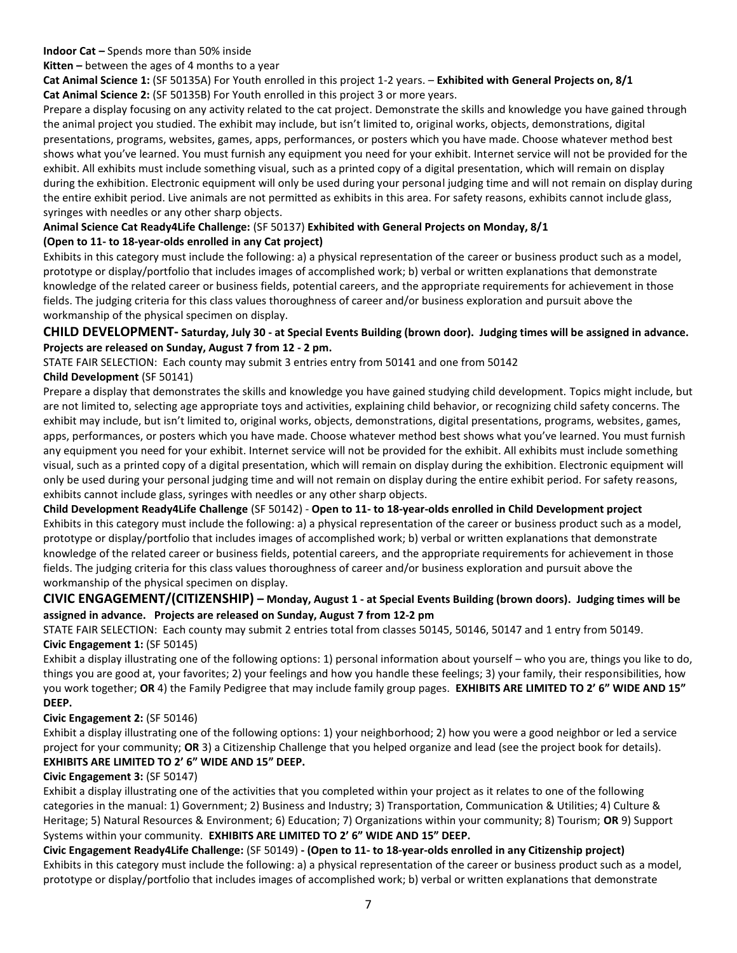#### **Indoor Cat –** Spends more than 50% inside

**Kitten –** between the ages of 4 months to a year

**Cat Animal Science 1:** (SF 50135A) For Youth enrolled in this project 1-2 years. – **Exhibited with General Projects on, 8/1 Cat Animal Science 2:** (SF 50135B) For Youth enrolled in this project 3 or more years.

Prepare a display focusing on any activity related to the cat project. Demonstrate the skills and knowledge you have gained through the animal project you studied. The exhibit may include, but isn't limited to, original works, objects, demonstrations, digital presentations, programs, websites, games, apps, performances, or posters which you have made. Choose whatever method best shows what you've learned. You must furnish any equipment you need for your exhibit. Internet service will not be provided for the exhibit. All exhibits must include something visual, such as a printed copy of a digital presentation, which will remain on display during the exhibition. Electronic equipment will only be used during your personal judging time and will not remain on display during the entire exhibit period. Live animals are not permitted as exhibits in this area. For safety reasons, exhibits cannot include glass, syringes with needles or any other sharp objects.

### **Animal Science Cat Ready4Life Challenge:** (SF 50137) **Exhibited with General Projects on Monday, 8/1 (Open to 11- to 18-year-olds enrolled in any Cat project)**

Exhibits in this category must include the following: a) a physical representation of the career or business product such as a model, prototype or display/portfolio that includes images of accomplished work; b) verbal or written explanations that demonstrate knowledge of the related career or business fields, potential careers, and the appropriate requirements for achievement in those fields. The judging criteria for this class values thoroughness of career and/or business exploration and pursuit above the workmanship of the physical specimen on display.

### **CHILD DEVELOPMENT- Saturday, July 30 - at Special Events Building (brown door). Judging times will be assigned in advance. Projects are released on Sunday, August 7 from 12 - 2 pm.**

STATE FAIR SELECTION: Each county may submit 3 entries entry from 50141 and one from 50142 **Child Development** (SF 50141)

Prepare a display that demonstrates the skills and knowledge you have gained studying child development. Topics might include, but are not limited to, selecting age appropriate toys and activities, explaining child behavior, or recognizing child safety concerns. The exhibit may include, but isn't limited to, original works, objects, demonstrations, digital presentations, programs, websites, games, apps, performances, or posters which you have made. Choose whatever method best shows what you've learned. You must furnish any equipment you need for your exhibit. Internet service will not be provided for the exhibit. All exhibits must include something visual, such as a printed copy of a digital presentation, which will remain on display during the exhibition. Electronic equipment will only be used during your personal judging time and will not remain on display during the entire exhibit period. For safety reasons, exhibits cannot include glass, syringes with needles or any other sharp objects.

### **Child Development Ready4Life Challenge** (SF 50142) - **Open to 11- to 18-year-olds enrolled in Child Development project** Exhibits in this category must include the following: a) a physical representation of the career or business product such as a model, prototype or display/portfolio that includes images of accomplished work; b) verbal or written explanations that demonstrate knowledge of the related career or business fields, potential careers, and the appropriate requirements for achievement in those fields. The judging criteria for this class values thoroughness of career and/or business exploration and pursuit above the workmanship of the physical specimen on display.

### **CIVIC ENGAGEMENT/(CITIZENSHIP) – Monday, August 1 - at Special Events Building (brown doors). Judging times will be assigned in advance. Projects are released on Sunday, August 7 from 12-2 pm**

STATE FAIR SELECTION: Each county may submit 2 entries total from classes 50145, 50146, 50147 and 1 entry from 50149. **Civic Engagement 1:** (SF 50145)

Exhibit a display illustrating one of the following options: 1) personal information about yourself – who you are, things you like to do, things you are good at, your favorites; 2) your feelings and how you handle these feelings; 3) your family, their responsibilities, how you work together; **OR** 4) the Family Pedigree that may include family group pages. **EXHIBITS ARE LIMITED TO 2' 6" WIDE AND 15" DEEP.**

### **Civic Engagement 2:** (SF 50146)

Exhibit a display illustrating one of the following options: 1) your neighborhood; 2) how you were a good neighbor or led a service project for your community; **OR** 3) a Citizenship Challenge that you helped organize and lead (see the project book for details). **EXHIBITS ARE LIMITED TO 2' 6" WIDE AND 15" DEEP.**

#### **Civic Engagement 3:** (SF 50147)

Exhibit a display illustrating one of the activities that you completed within your project as it relates to one of the following categories in the manual: 1) Government; 2) Business and Industry; 3) Transportation, Communication & Utilities; 4) Culture & Heritage; 5) Natural Resources & Environment; 6) Education; 7) Organizations within your community; 8) Tourism; **OR** 9) Support Systems within your community. **EXHIBITS ARE LIMITED TO 2' 6" WIDE AND 15" DEEP.**

**Civic Engagement Ready4Life Challenge:** (SF 50149) **- (Open to 11- to 18-year-olds enrolled in any Citizenship project)** Exhibits in this category must include the following: a) a physical representation of the career or business product such as a model, prototype or display/portfolio that includes images of accomplished work; b) verbal or written explanations that demonstrate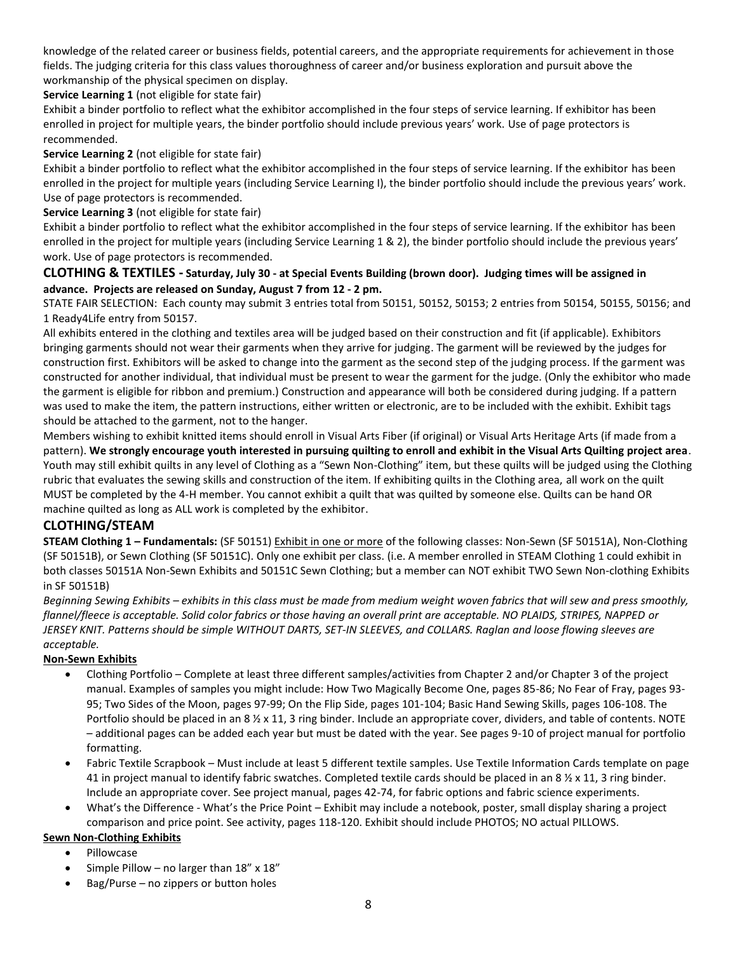knowledge of the related career or business fields, potential careers, and the appropriate requirements for achievement in those fields. The judging criteria for this class values thoroughness of career and/or business exploration and pursuit above the workmanship of the physical specimen on display.

### **Service Learning 1** (not eligible for state fair)

Exhibit a binder portfolio to reflect what the exhibitor accomplished in the four steps of service learning. If exhibitor has been enrolled in project for multiple years, the binder portfolio should include previous years' work. Use of page protectors is recommended.

#### **Service Learning 2** (not eligible for state fair)

Exhibit a binder portfolio to reflect what the exhibitor accomplished in the four steps of service learning. If the exhibitor has been enrolled in the project for multiple years (including Service Learning I), the binder portfolio should include the previous years' work. Use of page protectors is recommended.

#### **Service Learning 3** (not eligible for state fair)

Exhibit a binder portfolio to reflect what the exhibitor accomplished in the four steps of service learning. If the exhibitor has been enrolled in the project for multiple years (including Service Learning 1 & 2), the binder portfolio should include the previous years' work. Use of page protectors is recommended.

### **CLOTHING & TEXTILES - Saturday, July 30 - at Special Events Building (brown door). Judging times will be assigned in advance. Projects are released on Sunday, August 7 from 12 - 2 pm.**

STATE FAIR SELECTION: Each county may submit 3 entries total from 50151, 50152, 50153; 2 entries from 50154, 50155, 50156; and 1 Ready4Life entry from 50157.

All exhibits entered in the clothing and textiles area will be judged based on their construction and fit (if applicable). Exhibitors bringing garments should not wear their garments when they arrive for judging. The garment will be reviewed by the judges for construction first. Exhibitors will be asked to change into the garment as the second step of the judging process. If the garment was constructed for another individual, that individual must be present to wear the garment for the judge. (Only the exhibitor who made the garment is eligible for ribbon and premium.) Construction and appearance will both be considered during judging. If a pattern was used to make the item, the pattern instructions, either written or electronic, are to be included with the exhibit. Exhibit tags should be attached to the garment, not to the hanger.

Members wishing to exhibit knitted items should enroll in Visual Arts Fiber (if original) or Visual Arts Heritage Arts (if made from a pattern). **We strongly encourage youth interested in pursuing quilting to enroll and exhibit in the Visual Arts Quilting project area**. Youth may still exhibit quilts in any level of Clothing as a "Sewn Non-Clothing" item, but these quilts will be judged using the Clothing rubric that evaluates the sewing skills and construction of the item. If exhibiting quilts in the Clothing area, all work on the quilt MUST be completed by the 4-H member. You cannot exhibit a quilt that was quilted by someone else. Quilts can be hand OR machine quilted as long as ALL work is completed by the exhibitor.

### **CLOTHING/STEAM**

**STEAM Clothing 1 – Fundamentals:** (SF 50151) Exhibit in one or more of the following classes: Non-Sewn (SF 50151A), Non-Clothing (SF 50151B), or Sewn Clothing (SF 50151C). Only one exhibit per class. (i.e. A member enrolled in STEAM Clothing 1 could exhibit in both classes 50151A Non-Sewn Exhibits and 50151C Sewn Clothing; but a member can NOT exhibit TWO Sewn Non-clothing Exhibits in SF 50151B)

*Beginning Sewing Exhibits – exhibits in this class must be made from medium weight woven fabrics that will sew and press smoothly, flannel/fleece is acceptable. Solid color fabrics or those having an overall print are acceptable. NO PLAIDS, STRIPES, NAPPED or JERSEY KNIT. Patterns should be simple WITHOUT DARTS, SET-IN SLEEVES, and COLLARS. Raglan and loose flowing sleeves are acceptable.*

#### **Non-Sewn Exhibits**

- Clothing Portfolio Complete at least three different samples/activities from Chapter 2 and/or Chapter 3 of the project manual. Examples of samples you might include: How Two Magically Become One, pages 85-86; No Fear of Fray, pages 93- 95; Two Sides of the Moon, pages 97-99; On the Flip Side, pages 101-104; Basic Hand Sewing Skills, pages 106-108. The Portfolio should be placed in an 8  $\frac{1}{2}$  x 11, 3 ring binder. Include an appropriate cover, dividers, and table of contents. NOTE – additional pages can be added each year but must be dated with the year. See pages 9-10 of project manual for portfolio formatting.
- Fabric Textile Scrapbook Must include at least 5 different textile samples. Use Textile Information Cards template on page 41 in project manual to identify fabric swatches. Completed textile cards should be placed in an 8  $\frac{1}{2}$  x 11, 3 ring binder. Include an appropriate cover. See project manual, pages 42-74, for fabric options and fabric science experiments.
- What's the Difference What's the Price Point Exhibit may include a notebook, poster, small display sharing a project comparison and price point. See activity, pages 118-120. Exhibit should include PHOTOS; NO actual PILLOWS.

#### **Sewn Non-Clothing Exhibits**

- Pillowcase
- Simple Pillow no larger than  $18''$  x  $18''$
- Bag/Purse no zippers or button holes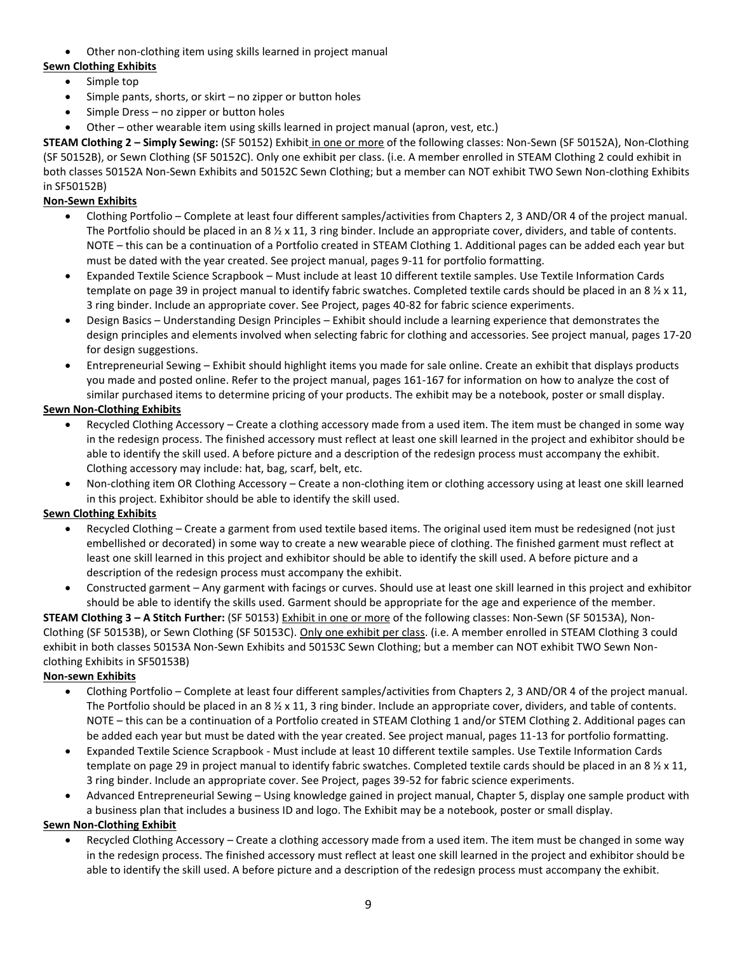• Other non-clothing item using skills learned in project manual

### **Sewn Clothing Exhibits**

- Simple top
- Simple pants, shorts, or skirt no zipper or button holes
- Simple Dress no zipper or button holes
- Other other wearable item using skills learned in project manual (apron, vest, etc.)

**STEAM Clothing 2 – Simply Sewing:** (SF 50152) Exhibit in one or more of the following classes: Non-Sewn (SF 50152A), Non-Clothing (SF 50152B), or Sewn Clothing (SF 50152C). Only one exhibit per class. (i.e. A member enrolled in STEAM Clothing 2 could exhibit in both classes 50152A Non-Sewn Exhibits and 50152C Sewn Clothing; but a member can NOT exhibit TWO Sewn Non-clothing Exhibits in SF50152B)

### **Non-Sewn Exhibits**

- Clothing Portfolio Complete at least four different samples/activities from Chapters 2, 3 AND/OR 4 of the project manual. The Portfolio should be placed in an  $8\frac{1}{2} \times 11$ , 3 ring binder. Include an appropriate cover, dividers, and table of contents. NOTE – this can be a continuation of a Portfolio created in STEAM Clothing 1. Additional pages can be added each year but must be dated with the year created. See project manual, pages 9-11 for portfolio formatting.
- Expanded Textile Science Scrapbook Must include at least 10 different textile samples. Use Textile Information Cards template on page 39 in project manual to identify fabric swatches. Completed textile cards should be placed in an 8  $\frac{1}{2}$  x 11, 3 ring binder. Include an appropriate cover. See Project, pages 40-82 for fabric science experiments.
- Design Basics Understanding Design Principles Exhibit should include a learning experience that demonstrates the design principles and elements involved when selecting fabric for clothing and accessories. See project manual, pages 17-20 for design suggestions.
- Entrepreneurial Sewing Exhibit should highlight items you made for sale online. Create an exhibit that displays products you made and posted online. Refer to the project manual, pages 161-167 for information on how to analyze the cost of similar purchased items to determine pricing of your products. The exhibit may be a notebook, poster or small display.

### **Sewn Non-Clothing Exhibits**

- Recycled Clothing Accessory Create a clothing accessory made from a used item. The item must be changed in some way in the redesign process. The finished accessory must reflect at least one skill learned in the project and exhibitor should be able to identify the skill used. A before picture and a description of the redesign process must accompany the exhibit. Clothing accessory may include: hat, bag, scarf, belt, etc.
- Non-clothing item OR Clothing Accessory Create a non-clothing item or clothing accessory using at least one skill learned in this project. Exhibitor should be able to identify the skill used.

### **Sewn Clothing Exhibits**

- Recycled Clothing Create a garment from used textile based items. The original used item must be redesigned (not just embellished or decorated) in some way to create a new wearable piece of clothing. The finished garment must reflect at least one skill learned in this project and exhibitor should be able to identify the skill used. A before picture and a description of the redesign process must accompany the exhibit.
- Constructed garment Any garment with facings or curves. Should use at least one skill learned in this project and exhibitor should be able to identify the skills used. Garment should be appropriate for the age and experience of the member.

**STEAM Clothing 3 – A Stitch Further:** (SF 50153) Exhibit in one or more of the following classes: Non-Sewn (SF 50153A), Non-Clothing (SF 50153B), or Sewn Clothing (SF 50153C). Only one exhibit per class. (i.e. A member enrolled in STEAM Clothing 3 could exhibit in both classes 50153A Non-Sewn Exhibits and 50153C Sewn Clothing; but a member can NOT exhibit TWO Sewn Nonclothing Exhibits in SF50153B)

#### **Non-sewn Exhibits**

- Clothing Portfolio Complete at least four different samples/activities from Chapters 2, 3 AND/OR 4 of the project manual. The Portfolio should be placed in an 8  $\frac{1}{2}$  x 11, 3 ring binder. Include an appropriate cover, dividers, and table of contents. NOTE – this can be a continuation of a Portfolio created in STEAM Clothing 1 and/or STEM Clothing 2. Additional pages can be added each year but must be dated with the year created. See project manual, pages 11-13 for portfolio formatting.
- Expanded Textile Science Scrapbook Must include at least 10 different textile samples. Use Textile Information Cards template on page 29 in project manual to identify fabric swatches. Completed textile cards should be placed in an 8  $\frac{1}{2}$  x 11, 3 ring binder. Include an appropriate cover. See Project, pages 39-52 for fabric science experiments.
- Advanced Entrepreneurial Sewing Using knowledge gained in project manual, Chapter 5, display one sample product with a business plan that includes a business ID and logo. The Exhibit may be a notebook, poster or small display.

#### **Sewn Non-Clothing Exhibit**

• Recycled Clothing Accessory – Create a clothing accessory made from a used item. The item must be changed in some way in the redesign process. The finished accessory must reflect at least one skill learned in the project and exhibitor should be able to identify the skill used. A before picture and a description of the redesign process must accompany the exhibit.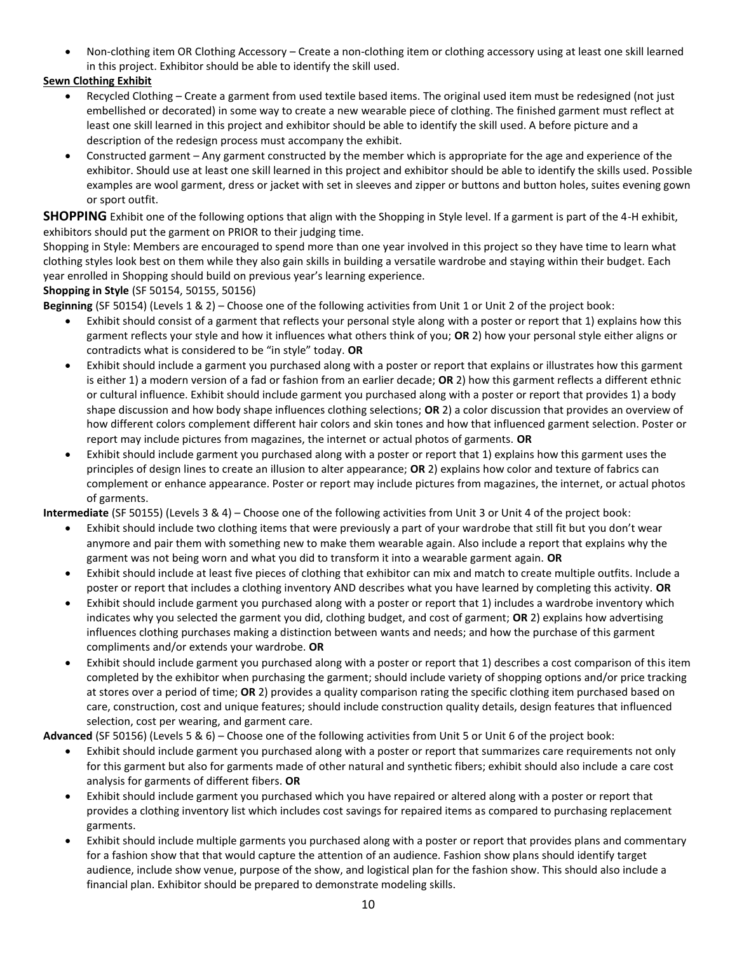• Non-clothing item OR Clothing Accessory – Create a non-clothing item or clothing accessory using at least one skill learned in this project. Exhibitor should be able to identify the skill used.

## **Sewn Clothing Exhibit**

- Recycled Clothing Create a garment from used textile based items. The original used item must be redesigned (not just embellished or decorated) in some way to create a new wearable piece of clothing. The finished garment must reflect at least one skill learned in this project and exhibitor should be able to identify the skill used. A before picture and a description of the redesign process must accompany the exhibit.
- Constructed garment Any garment constructed by the member which is appropriate for the age and experience of the exhibitor. Should use at least one skill learned in this project and exhibitor should be able to identify the skills used. Possible examples are wool garment, dress or jacket with set in sleeves and zipper or buttons and button holes, suites evening gown or sport outfit.

**SHOPPING** Exhibit one of the following options that align with the Shopping in Style level. If a garment is part of the 4-H exhibit, exhibitors should put the garment on PRIOR to their judging time.

Shopping in Style: Members are encouraged to spend more than one year involved in this project so they have time to learn what clothing styles look best on them while they also gain skills in building a versatile wardrobe and staying within their budget. Each year enrolled in Shopping should build on previous year's learning experience.

### **Shopping in Style** (SF 50154, 50155, 50156)

**Beginning** (SF 50154) (Levels 1 & 2) – Choose one of the following activities from Unit 1 or Unit 2 of the project book:

- Exhibit should consist of a garment that reflects your personal style along with a poster or report that 1) explains how this garment reflects your style and how it influences what others think of you; **OR** 2) how your personal style either aligns or contradicts what is considered to be "in style" today. **OR**
- Exhibit should include a garment you purchased along with a poster or report that explains or illustrates how this garment is either 1) a modern version of a fad or fashion from an earlier decade; **OR** 2) how this garment reflects a different ethnic or cultural influence. Exhibit should include garment you purchased along with a poster or report that provides 1) a body shape discussion and how body shape influences clothing selections; **OR** 2) a color discussion that provides an overview of how different colors complement different hair colors and skin tones and how that influenced garment selection. Poster or report may include pictures from magazines, the internet or actual photos of garments. **OR**
- Exhibit should include garment you purchased along with a poster or report that 1) explains how this garment uses the principles of design lines to create an illusion to alter appearance; **OR** 2) explains how color and texture of fabrics can complement or enhance appearance. Poster or report may include pictures from magazines, the internet, or actual photos of garments.

**Intermediate** (SF 50155) (Levels 3 & 4) – Choose one of the following activities from Unit 3 or Unit 4 of the project book:

- Exhibit should include two clothing items that were previously a part of your wardrobe that still fit but you don't wear anymore and pair them with something new to make them wearable again. Also include a report that explains why the garment was not being worn and what you did to transform it into a wearable garment again. **OR**
- Exhibit should include at least five pieces of clothing that exhibitor can mix and match to create multiple outfits. Include a poster or report that includes a clothing inventory AND describes what you have learned by completing this activity. **OR**
- Exhibit should include garment you purchased along with a poster or report that 1) includes a wardrobe inventory which indicates why you selected the garment you did, clothing budget, and cost of garment; **OR** 2) explains how advertising influences clothing purchases making a distinction between wants and needs; and how the purchase of this garment compliments and/or extends your wardrobe. **OR**
- Exhibit should include garment you purchased along with a poster or report that 1) describes a cost comparison of this item completed by the exhibitor when purchasing the garment; should include variety of shopping options and/or price tracking at stores over a period of time; **OR** 2) provides a quality comparison rating the specific clothing item purchased based on care, construction, cost and unique features; should include construction quality details, design features that influenced selection, cost per wearing, and garment care.

**Advanced** (SF 50156) (Levels 5 & 6) – Choose one of the following activities from Unit 5 or Unit 6 of the project book:

- Exhibit should include garment you purchased along with a poster or report that summarizes care requirements not only for this garment but also for garments made of other natural and synthetic fibers; exhibit should also include a care cost analysis for garments of different fibers. **OR**
- Exhibit should include garment you purchased which you have repaired or altered along with a poster or report that provides a clothing inventory list which includes cost savings for repaired items as compared to purchasing replacement garments.
- Exhibit should include multiple garments you purchased along with a poster or report that provides plans and commentary for a fashion show that that would capture the attention of an audience. Fashion show plans should identify target audience, include show venue, purpose of the show, and logistical plan for the fashion show. This should also include a financial plan. Exhibitor should be prepared to demonstrate modeling skills.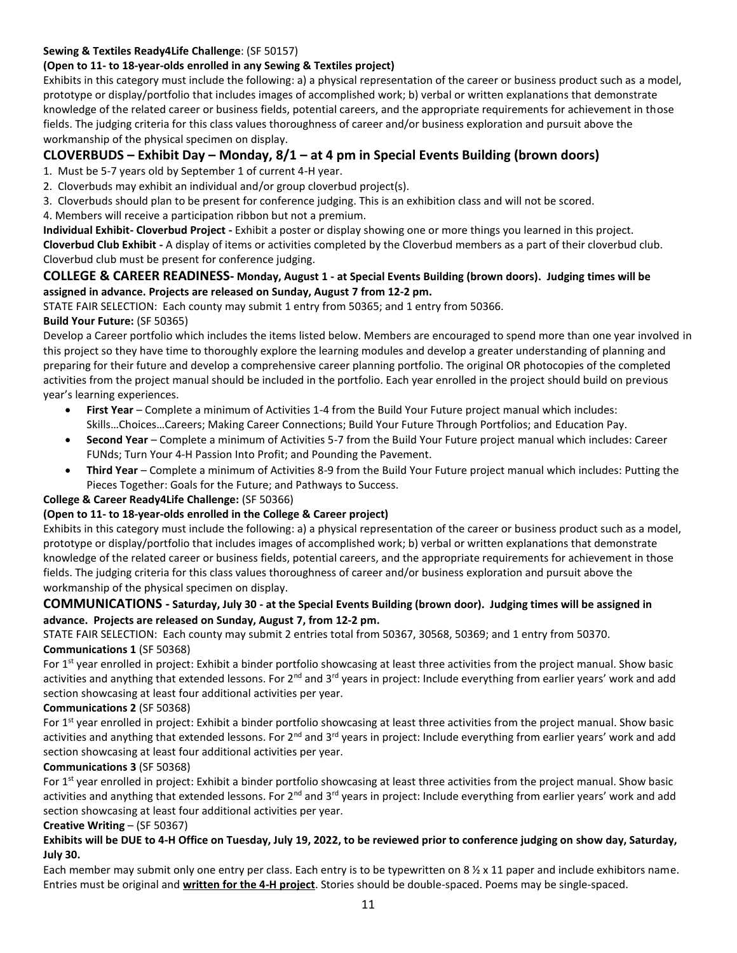### **Sewing & Textiles Ready4Life Challenge**: (SF 50157)

## **(Open to 11- to 18-year-olds enrolled in any Sewing & Textiles project)**

Exhibits in this category must include the following: a) a physical representation of the career or business product such as a model, prototype or display/portfolio that includes images of accomplished work; b) verbal or written explanations that demonstrate knowledge of the related career or business fields, potential careers, and the appropriate requirements for achievement in those fields. The judging criteria for this class values thoroughness of career and/or business exploration and pursuit above the workmanship of the physical specimen on display.

## **CLOVERBUDS – Exhibit Day – Monday, 8/1 – at 4 pm in Special Events Building (brown doors)**

- 1. Must be 5-7 years old by September 1 of current 4-H year.
- 2. Cloverbuds may exhibit an individual and/or group cloverbud project(s).
- 3. Cloverbuds should plan to be present for conference judging. This is an exhibition class and will not be scored.
- 4. Members will receive a participation ribbon but not a premium.

**Individual Exhibit- Cloverbud Project -** Exhibit a poster or display showing one or more things you learned in this project. **Cloverbud Club Exhibit -** A display of items or activities completed by the Cloverbud members as a part of their cloverbud club. Cloverbud club must be present for conference judging.

### **COLLEGE & CAREER READINESS- Monday, August 1 - at Special Events Building (brown doors). Judging times will be assigned in advance. Projects are released on Sunday, August 7 from 12-2 pm.**

STATE FAIR SELECTION: Each county may submit 1 entry from 50365; and 1 entry from 50366.

### **Build Your Future:** (SF 50365)

Develop a Career portfolio which includes the items listed below. Members are encouraged to spend more than one year involved in this project so they have time to thoroughly explore the learning modules and develop a greater understanding of planning and preparing for their future and develop a comprehensive career planning portfolio. The original OR photocopies of the completed activities from the project manual should be included in the portfolio. Each year enrolled in the project should build on previous year's learning experiences.

- **First Year** Complete a minimum of Activities 1-4 from the Build Your Future project manual which includes: Skills…Choices…Careers; Making Career Connections; Build Your Future Through Portfolios; and Education Pay.
- **Second Year** Complete a minimum of Activities 5-7 from the Build Your Future project manual which includes: Career FUNds; Turn Your 4-H Passion Into Profit; and Pounding the Pavement.
- **Third Year** Complete a minimum of Activities 8-9 from the Build Your Future project manual which includes: Putting the Pieces Together: Goals for the Future; and Pathways to Success.

### **College & Career Ready4Life Challenge:** (SF 50366)

### **(Open to 11- to 18-year-olds enrolled in the College & Career project)**

Exhibits in this category must include the following: a) a physical representation of the career or business product such as a model, prototype or display/portfolio that includes images of accomplished work; b) verbal or written explanations that demonstrate knowledge of the related career or business fields, potential careers, and the appropriate requirements for achievement in those fields. The judging criteria for this class values thoroughness of career and/or business exploration and pursuit above the workmanship of the physical specimen on display.

### **COMMUNICATIONS - Saturday, July 30 - at the Special Events Building (brown door). Judging times will be assigned in advance. Projects are released on Sunday, August 7, from 12-2 pm.**

STATE FAIR SELECTION: Each county may submit 2 entries total from 50367, 30568, 50369; and 1 entry from 50370. **Communications 1** (SF 50368)

For 1<sup>st</sup> year enrolled in project: Exhibit a binder portfolio showcasing at least three activities from the project manual. Show basic activities and anything that extended lessons. For 2<sup>nd</sup> and 3<sup>rd</sup> years in project: Include everything from earlier years' work and add section showcasing at least four additional activities per year.

### **Communications 2** (SF 50368)

For 1<sup>st</sup> year enrolled in project: Exhibit a binder portfolio showcasing at least three activities from the project manual. Show basic activities and anything that extended lessons. For 2<sup>nd</sup> and 3<sup>rd</sup> years in project: Include everything from earlier years' work and add section showcasing at least four additional activities per year.

#### **Communications 3** (SF 50368)

For 1<sup>st</sup> year enrolled in project: Exhibit a binder portfolio showcasing at least three activities from the project manual. Show basic activities and anything that extended lessons. For 2<sup>nd</sup> and 3<sup>rd</sup> years in project: Include everything from earlier years' work and add section showcasing at least four additional activities per year.

#### **Creative Writing** – (SF 50367)

### **Exhibits will be DUE to 4-H Office on Tuesday, July 19, 2022, to be reviewed prior to conference judging on show day, Saturday, July 30.**

Each member may submit only one entry per class. Each entry is to be typewritten on 8  $\frac{1}{2} \times 11$  paper and include exhibitors name. Entries must be original and **written for the 4-H project**. Stories should be double-spaced. Poems may be single-spaced.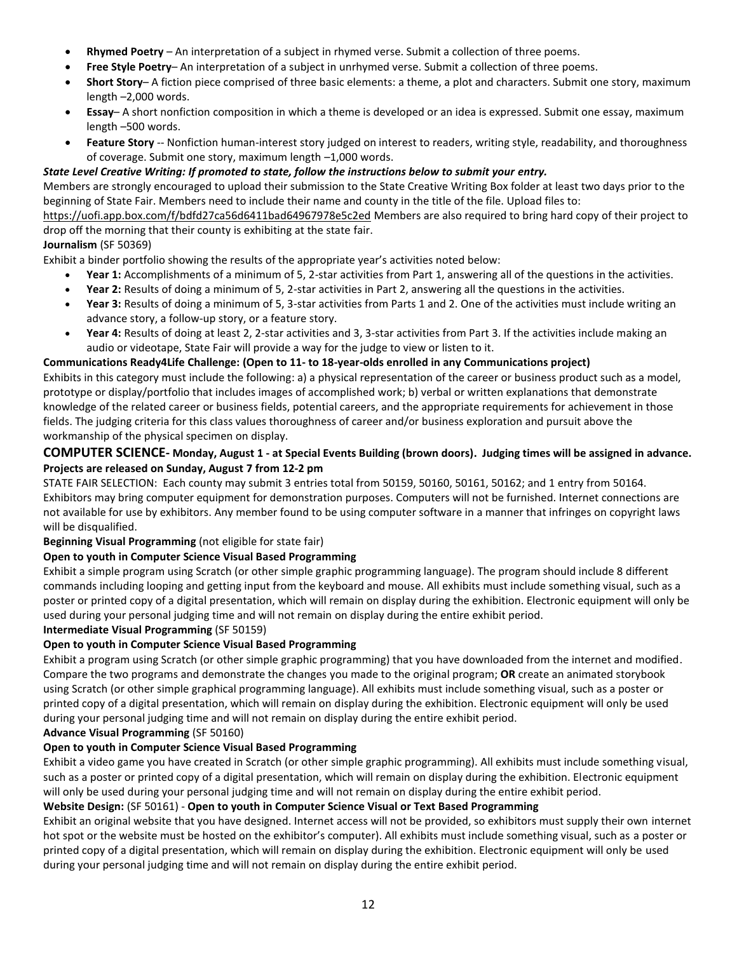- **Rhymed Poetry** An interpretation of a subject in rhymed verse. Submit a collection of three poems.
- **Free Style Poetry** An interpretation of a subject in unrhymed verse. Submit a collection of three poems.
- **Short Story** A fiction piece comprised of three basic elements: a theme, a plot and characters. Submit one story, maximum length –2,000 words.
- **Essay** A short nonfiction composition in which a theme is developed or an idea is expressed. Submit one essay, maximum length –500 words.
- Feature Story -- Nonfiction human-interest story judged on interest to readers, writing style, readability, and thoroughness of coverage. Submit one story, maximum length –1,000 words.

#### *State Level Creative Writing: If promoted to state, follow the instructions below to submit your entry.*

Members are strongly encouraged to upload their submission to the State Creative Writing Box folder at least two days prior to the beginning of State Fair. Members need to include their name and county in the title of the file. Upload files to:

<https://uofi.app.box.com/f/bdfd27ca56d6411bad64967978e5c2ed> Members are also required to bring hard copy of their project to drop off the morning that their county is exhibiting at the state fair.

#### **Journalism** (SF 50369)

Exhibit a binder portfolio showing the results of the appropriate year's activities noted below:

- **Year 1:** Accomplishments of a minimum of 5, 2-star activities from Part 1, answering all of the questions in the activities.
- **Year 2:** Results of doing a minimum of 5, 2-star activities in Part 2, answering all the questions in the activities.
- **Year 3:** Results of doing a minimum of 5, 3-star activities from Parts 1 and 2. One of the activities must include writing an advance story, a follow-up story, or a feature story.
- **Year 4:** Results of doing at least 2, 2-star activities and 3, 3-star activities from Part 3. If the activities include making an audio or videotape, State Fair will provide a way for the judge to view or listen to it.

#### **Communications Ready4Life Challenge: (Open to 11- to 18-year-olds enrolled in any Communications project)**

Exhibits in this category must include the following: a) a physical representation of the career or business product such as a model, prototype or display/portfolio that includes images of accomplished work; b) verbal or written explanations that demonstrate knowledge of the related career or business fields, potential careers, and the appropriate requirements for achievement in those fields. The judging criteria for this class values thoroughness of career and/or business exploration and pursuit above the workmanship of the physical specimen on display.

#### **COMPUTER SCIENCE- Monday, August 1 - at Special Events Building (brown doors). Judging times will be assigned in advance. Projects are released on Sunday, August 7 from 12-2 pm**

STATE FAIR SELECTION: Each county may submit 3 entries total from 50159, 50160, 50161, 50162; and 1 entry from 50164. Exhibitors may bring computer equipment for demonstration purposes. Computers will not be furnished. Internet connections are not available for use by exhibitors. Any member found to be using computer software in a manner that infringes on copyright laws will be disqualified.

**Beginning Visual Programming** (not eligible for state fair)

#### **Open to youth in Computer Science Visual Based Programming**

Exhibit a simple program using Scratch (or other simple graphic programming language). The program should include 8 different commands including looping and getting input from the keyboard and mouse. All exhibits must include something visual, such as a poster or printed copy of a digital presentation, which will remain on display during the exhibition. Electronic equipment will only be used during your personal judging time and will not remain on display during the entire exhibit period.

#### **Intermediate Visual Programming** (SF 50159)

#### **Open to youth in Computer Science Visual Based Programming**

Exhibit a program using Scratch (or other simple graphic programming) that you have downloaded from the internet and modified. Compare the two programs and demonstrate the changes you made to the original program; **OR** create an animated storybook using Scratch (or other simple graphical programming language). All exhibits must include something visual, such as a poster or printed copy of a digital presentation, which will remain on display during the exhibition. Electronic equipment will only be used during your personal judging time and will not remain on display during the entire exhibit period.

#### **Advance Visual Programming** (SF 50160)

#### **Open to youth in Computer Science Visual Based Programming**

Exhibit a video game you have created in Scratch (or other simple graphic programming). All exhibits must include something visual, such as a poster or printed copy of a digital presentation, which will remain on display during the exhibition. Electronic equipment will only be used during your personal judging time and will not remain on display during the entire exhibit period. **Website Design:** (SF 50161) - **Open to youth in Computer Science Visual or Text Based Programming**

Exhibit an original website that you have designed. Internet access will not be provided, so exhibitors must supply their own internet hot spot or the website must be hosted on the exhibitor's computer). All exhibits must include something visual, such as a poster or printed copy of a digital presentation, which will remain on display during the exhibition. Electronic equipment will only be used

during your personal judging time and will not remain on display during the entire exhibit period.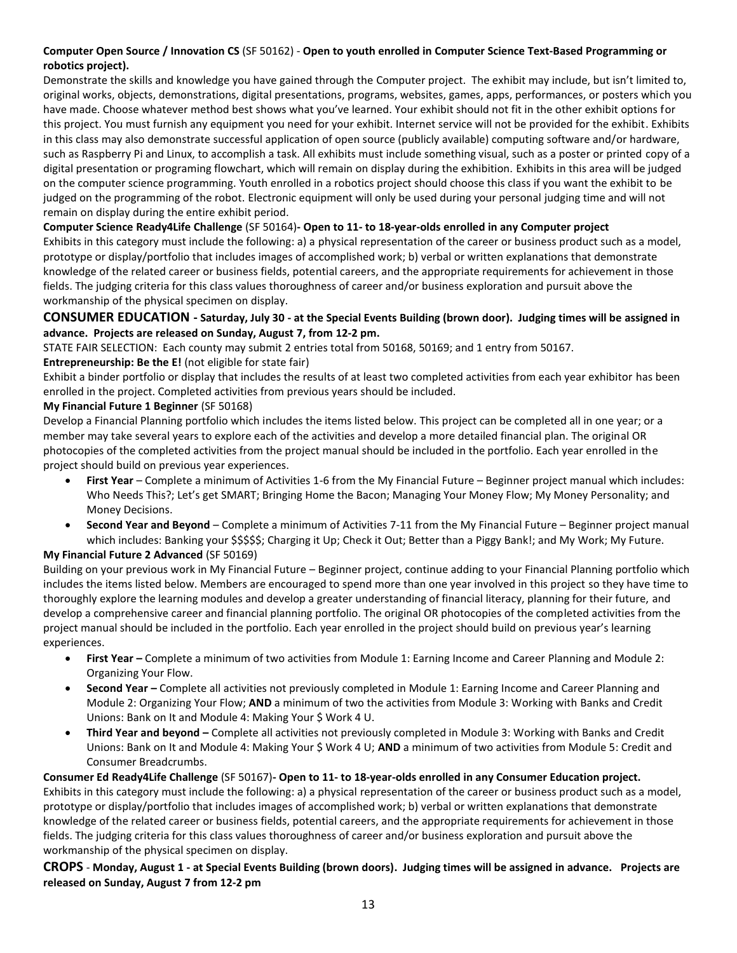### **Computer Open Source / Innovation CS** (SF 50162) - **Open to youth enrolled in Computer Science Text-Based Programming or robotics project).**

Demonstrate the skills and knowledge you have gained through the Computer project. The exhibit may include, but isn't limited to, original works, objects, demonstrations, digital presentations, programs, websites, games, apps, performances, or posters which you have made. Choose whatever method best shows what you've learned. Your exhibit should not fit in the other exhibit options for this project. You must furnish any equipment you need for your exhibit. Internet service will not be provided for the exhibit. Exhibits in this class may also demonstrate successful application of open source (publicly available) computing software and/or hardware, such as Raspberry Pi and Linux, to accomplish a task. All exhibits must include something visual, such as a poster or printed copy of a digital presentation or programing flowchart, which will remain on display during the exhibition. Exhibits in this area will be judged on the computer science programming. Youth enrolled in a robotics project should choose this class if you want the exhibit to be judged on the programming of the robot. Electronic equipment will only be used during your personal judging time and will not remain on display during the entire exhibit period.

### **Computer Science Ready4Life Challenge** (SF 50164)**- Open to 11- to 18-year-olds enrolled in any Computer project**

Exhibits in this category must include the following: a) a physical representation of the career or business product such as a model, prototype or display/portfolio that includes images of accomplished work; b) verbal or written explanations that demonstrate knowledge of the related career or business fields, potential careers, and the appropriate requirements for achievement in those fields. The judging criteria for this class values thoroughness of career and/or business exploration and pursuit above the workmanship of the physical specimen on display.

### **CONSUMER EDUCATION - Saturday, July 30 - at the Special Events Building (brown door). Judging times will be assigned in advance. Projects are released on Sunday, August 7, from 12-2 pm.**

STATE FAIR SELECTION: Each county may submit 2 entries total from 50168, 50169; and 1 entry from 50167.

### **Entrepreneurship: Be the E!** (not eligible for state fair)

Exhibit a binder portfolio or display that includes the results of at least two completed activities from each year exhibitor has been enrolled in the project. Completed activities from previous years should be included.

#### **My Financial Future 1 Beginner** (SF 50168)

Develop a Financial Planning portfolio which includes the items listed below. This project can be completed all in one year; or a member may take several years to explore each of the activities and develop a more detailed financial plan. The original OR photocopies of the completed activities from the project manual should be included in the portfolio. Each year enrolled in the project should build on previous year experiences.

- **First Year** Complete a minimum of Activities 1-6 from the My Financial Future Beginner project manual which includes: Who Needs This?; Let's get SMART; Bringing Home the Bacon; Managing Your Money Flow; My Money Personality; and Money Decisions.
- **Second Year and Beyond** Complete a minimum of Activities 7-11 from the My Financial Future Beginner project manual which includes: Banking your \$\$\$\$\$; Charging it Up; Check it Out; Better than a Piggy Bank!; and My Work; My Future. **My Financial Future 2 Advanced** (SF 50169)

### Building on your previous work in My Financial Future – Beginner project, continue adding to your Financial Planning portfolio which includes the items listed below. Members are encouraged to spend more than one year involved in this project so they have time to thoroughly explore the learning modules and develop a greater understanding of financial literacy, planning for their future, and develop a comprehensive career and financial planning portfolio. The original OR photocopies of the completed activities from the project manual should be included in the portfolio. Each year enrolled in the project should build on previous year's learning experiences.

- **First Year –** Complete a minimum of two activities from Module 1: Earning Income and Career Planning and Module 2: Organizing Your Flow.
- **Second Year –** Complete all activities not previously completed in Module 1: Earning Income and Career Planning and Module 2: Organizing Your Flow; **AND** a minimum of two the activities from Module 3: Working with Banks and Credit Unions: Bank on It and Module 4: Making Your \$ Work 4 U.
- **Third Year and beyond –** Complete all activities not previously completed in Module 3: Working with Banks and Credit Unions: Bank on It and Module 4: Making Your \$ Work 4 U; **AND** a minimum of two activities from Module 5: Credit and Consumer Breadcrumbs.

#### **Consumer Ed Ready4Life Challenge** (SF 50167)**- Open to 11- to 18-year-olds enrolled in any Consumer Education project.** Exhibits in this category must include the following: a) a physical representation of the career or business product such as a model, prototype or display/portfolio that includes images of accomplished work; b) verbal or written explanations that demonstrate knowledge of the related career or business fields, potential careers, and the appropriate requirements for achievement in those fields. The judging criteria for this class values thoroughness of career and/or business exploration and pursuit above the workmanship of the physical specimen on display.

**CROPS** - **Monday, August 1 - at Special Events Building (brown doors). Judging times will be assigned in advance. Projects are released on Sunday, August 7 from 12-2 pm**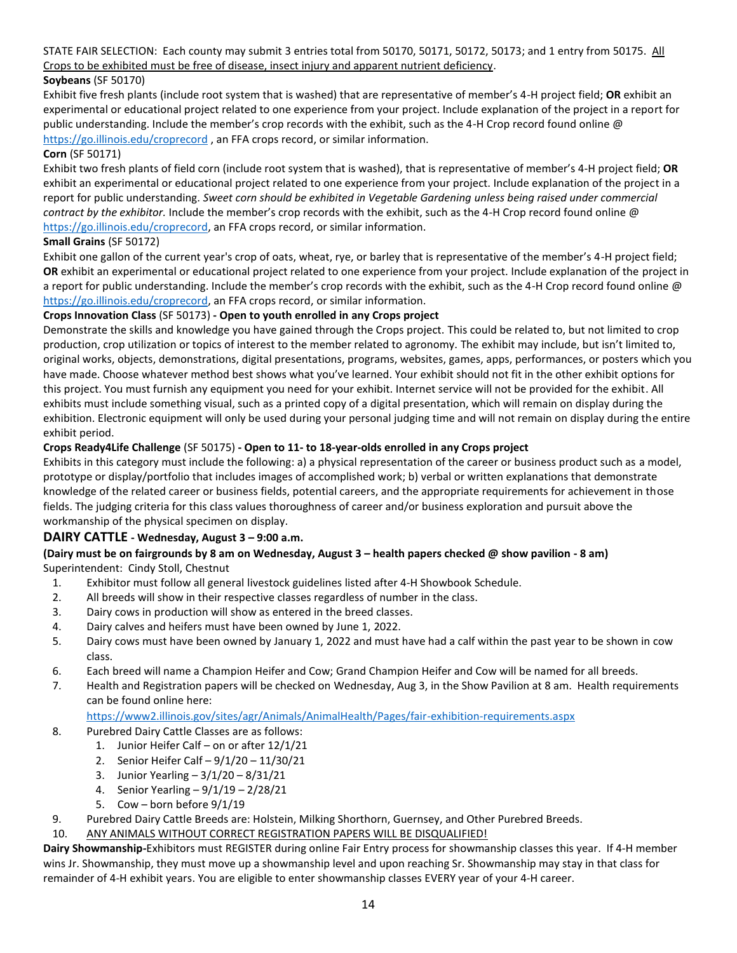STATE FAIR SELECTION: Each county may submit 3 entries total from 50170, 50171, 50172, 50173; and 1 entry from 50175. All Crops to be exhibited must be free of disease, insect injury and apparent nutrient deficiency.

### **Soybeans** (SF 50170)

Exhibit five fresh plants (include root system that is washed) that are representative of member's 4-H project field; **OR** exhibit an experimental or educational project related to one experience from your project. Include explanation of the project in a report for public understanding. Include the member's crop records with the exhibit, such as the 4-H Crop record found online @ <https://go.illinois.edu/croprecord> , an FFA crops record, or similar information.

#### **Corn** (SF 50171)

Exhibit two fresh plants of field corn (include root system that is washed), that is representative of member's 4-H project field; **OR** exhibit an experimental or educational project related to one experience from your project. Include explanation of the project in a report for public understanding. *Sweet corn should be exhibited in Vegetable Gardening unless being raised under commercial contract by the exhibitor.* Include the member's crop records with the exhibit, such as the 4-H Crop record found online @ [https://go.illinois.edu/croprecord,](https://go.illinois.edu/croprecord) an FFA crops record, or similar information.

#### **Small Grains** (SF 50172)

Exhibit one gallon of the current year's crop of oats, wheat, rye, or barley that is representative of the member's 4-H project field; **OR** exhibit an experimental or educational project related to one experience from your project. Include explanation of the project in a report for public understanding. Include the member's crop records with the exhibit, such as the 4-H Crop record found online @ [https://go.illinois.edu/croprecord,](https://go.illinois.edu/croprecord) an FFA crops record, or similar information.

### **Crops Innovation Class** (SF 50173) **- Open to youth enrolled in any Crops project**

Demonstrate the skills and knowledge you have gained through the Crops project. This could be related to, but not limited to crop production, crop utilization or topics of interest to the member related to agronomy. The exhibit may include, but isn't limited to, original works, objects, demonstrations, digital presentations, programs, websites, games, apps, performances, or posters which you have made. Choose whatever method best shows what you've learned. Your exhibit should not fit in the other exhibit options for this project. You must furnish any equipment you need for your exhibit. Internet service will not be provided for the exhibit. All exhibits must include something visual, such as a printed copy of a digital presentation, which will remain on display during the exhibition. Electronic equipment will only be used during your personal judging time and will not remain on display during the entire exhibit period.

### **Crops Ready4Life Challenge** (SF 50175) **- Open to 11- to 18-year-olds enrolled in any Crops project**

Exhibits in this category must include the following: a) a physical representation of the career or business product such as a model, prototype or display/portfolio that includes images of accomplished work; b) verbal or written explanations that demonstrate knowledge of the related career or business fields, potential careers, and the appropriate requirements for achievement in those fields. The judging criteria for this class values thoroughness of career and/or business exploration and pursuit above the workmanship of the physical specimen on display.

### **DAIRY CATTLE - Wednesday, August 3 – 9:00 a.m.**

#### **(Dairy must be on fairgrounds by 8 am on Wednesday, August 3 – health papers checked @ show pavilion - 8 am)** Superintendent: Cindy Stoll, Chestnut

- 1. Exhibitor must follow all general livestock guidelines listed after 4-H Showbook Schedule.
- 2. All breeds will show in their respective classes regardless of number in the class.
- 3. Dairy cows in production will show as entered in the breed classes.
- 4. Dairy calves and heifers must have been owned by June 1, 2022.
- 5. Dairy cows must have been owned by January 1, 2022 and must have had a calf within the past year to be shown in cow class.
- 6. Each breed will name a Champion Heifer and Cow; Grand Champion Heifer and Cow will be named for all breeds.
- 7. Health and Registration papers will be checked on Wednesday, Aug 3, in the Show Pavilion at 8 am. Health requirements can be found online here:

<https://www2.illinois.gov/sites/agr/Animals/AnimalHealth/Pages/fair-exhibition-requirements.aspx>

- 8. Purebred Dairy Cattle Classes are as follows:
	- 1. Junior Heifer Calf on or after 12/1/21
		- 2. Senior Heifer Calf 9/1/20 11/30/21
		- 3. Junior Yearling 3/1/20 8/31/21
		- 4. Senior Yearling 9/1/19 2/28/21
		- 5. Cow born before 9/1/19
- 9. Purebred Dairy Cattle Breeds are: Holstein, Milking Shorthorn, Guernsey, and Other Purebred Breeds.
- 10. ANY ANIMALS WITHOUT CORRECT REGISTRATION PAPERS WILL BE DISQUALIFIED!

**Dairy Showmanship***-*Exhibitors must REGISTER during online Fair Entry process for showmanship classes this year. If 4-H member wins Jr. Showmanship, they must move up a showmanship level and upon reaching Sr. Showmanship may stay in that class for remainder of 4-H exhibit years. You are eligible to enter showmanship classes EVERY year of your 4-H career.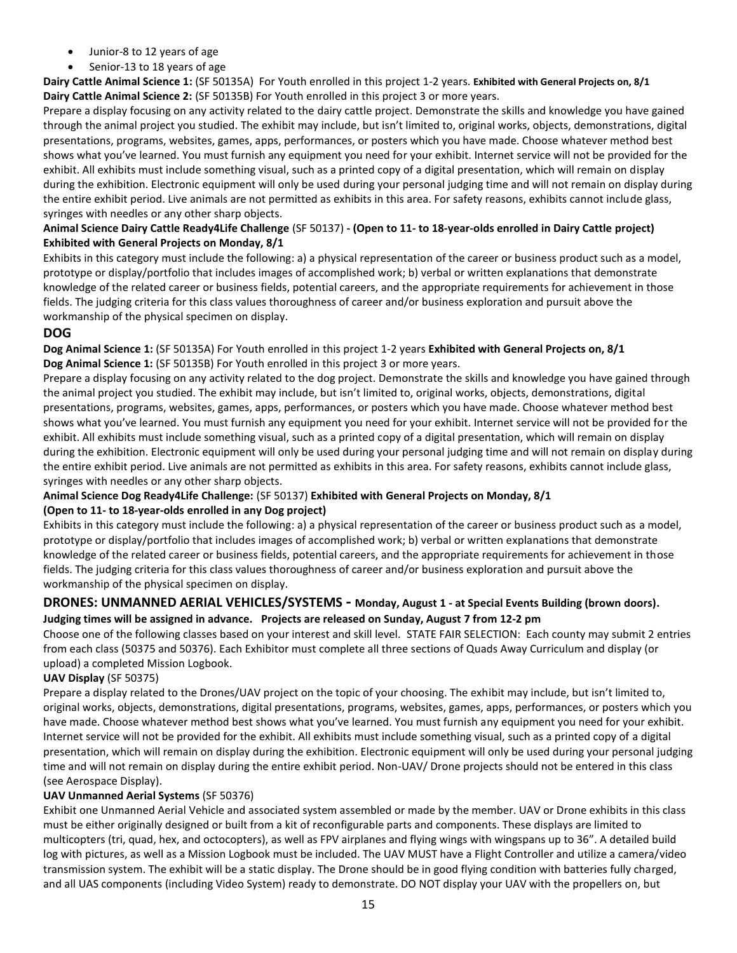- Junior-8 to 12 years of age
- Senior-13 to 18 years of age

**Dairy Cattle Animal Science 1:** (SF 50135A) For Youth enrolled in this project 1-2 years. **Exhibited with General Projects on, 8/1 Dairy Cattle Animal Science 2:** (SF 50135B) For Youth enrolled in this project 3 or more years.

Prepare a display focusing on any activity related to the dairy cattle project. Demonstrate the skills and knowledge you have gained through the animal project you studied. The exhibit may include, but isn't limited to, original works, objects, demonstrations, digital presentations, programs, websites, games, apps, performances, or posters which you have made. Choose whatever method best shows what you've learned. You must furnish any equipment you need for your exhibit. Internet service will not be provided for the exhibit. All exhibits must include something visual, such as a printed copy of a digital presentation, which will remain on display during the exhibition. Electronic equipment will only be used during your personal judging time and will not remain on display during the entire exhibit period. Live animals are not permitted as exhibits in this area. For safety reasons, exhibits cannot include glass, syringes with needles or any other sharp objects.

### **Animal Science Dairy Cattle Ready4Life Challenge** (SF 50137) **- (Open to 11- to 18-year-olds enrolled in Dairy Cattle project) Exhibited with General Projects on Monday, 8/1**

Exhibits in this category must include the following: a) a physical representation of the career or business product such as a model, prototype or display/portfolio that includes images of accomplished work; b) verbal or written explanations that demonstrate knowledge of the related career or business fields, potential careers, and the appropriate requirements for achievement in those fields. The judging criteria for this class values thoroughness of career and/or business exploration and pursuit above the workmanship of the physical specimen on display.

### **DOG**

**Dog Animal Science 1:** (SF 50135A) For Youth enrolled in this project 1-2 years **Exhibited with General Projects on, 8/1 Dog Animal Science 1:** (SF 50135B) For Youth enrolled in this project 3 or more years.

Prepare a display focusing on any activity related to the dog project. Demonstrate the skills and knowledge you have gained through the animal project you studied. The exhibit may include, but isn't limited to, original works, objects, demonstrations, digital presentations, programs, websites, games, apps, performances, or posters which you have made. Choose whatever method best shows what you've learned. You must furnish any equipment you need for your exhibit. Internet service will not be provided for the exhibit. All exhibits must include something visual, such as a printed copy of a digital presentation, which will remain on display during the exhibition. Electronic equipment will only be used during your personal judging time and will not remain on display during the entire exhibit period. Live animals are not permitted as exhibits in this area. For safety reasons, exhibits cannot include glass, syringes with needles or any other sharp objects.

### **Animal Science Dog Ready4Life Challenge:** (SF 50137) **Exhibited with General Projects on Monday, 8/1**

### **(Open to 11- to 18-year-olds enrolled in any Dog project)**

Exhibits in this category must include the following: a) a physical representation of the career or business product such as a model, prototype or display/portfolio that includes images of accomplished work; b) verbal or written explanations that demonstrate knowledge of the related career or business fields, potential careers, and the appropriate requirements for achievement in those fields. The judging criteria for this class values thoroughness of career and/or business exploration and pursuit above the workmanship of the physical specimen on display.

## **DRONES: UNMANNED AERIAL VEHICLES/SYSTEMS - Monday, August 1 - at Special Events Building (brown doors).**

### **Judging times will be assigned in advance. Projects are released on Sunday, August 7 from 12-2 pm**

Choose one of the following classes based on your interest and skill level. STATE FAIR SELECTION: Each county may submit 2 entries from each class (50375 and 50376). Each Exhibitor must complete all three sections of Quads Away Curriculum and display (or upload) a completed Mission Logbook.

### **UAV Display** (SF 50375)

Prepare a display related to the Drones/UAV project on the topic of your choosing. The exhibit may include, but isn't limited to, original works, objects, demonstrations, digital presentations, programs, websites, games, apps, performances, or posters which you have made. Choose whatever method best shows what you've learned. You must furnish any equipment you need for your exhibit. Internet service will not be provided for the exhibit. All exhibits must include something visual, such as a printed copy of a digital presentation, which will remain on display during the exhibition. Electronic equipment will only be used during your personal judging time and will not remain on display during the entire exhibit period. Non-UAV/ Drone projects should not be entered in this class (see Aerospace Display).

### **UAV Unmanned Aerial Systems** (SF 50376)

Exhibit one Unmanned Aerial Vehicle and associated system assembled or made by the member. UAV or Drone exhibits in this class must be either originally designed or built from a kit of reconfigurable parts and components. These displays are limited to multicopters (tri, quad, hex, and octocopters), as well as FPV airplanes and flying wings with wingspans up to 36". A detailed build log with pictures, as well as a Mission Logbook must be included. The UAV MUST have a Flight Controller and utilize a camera/video transmission system. The exhibit will be a static display. The Drone should be in good flying condition with batteries fully charged, and all UAS components (including Video System) ready to demonstrate. DO NOT display your UAV with the propellers on, but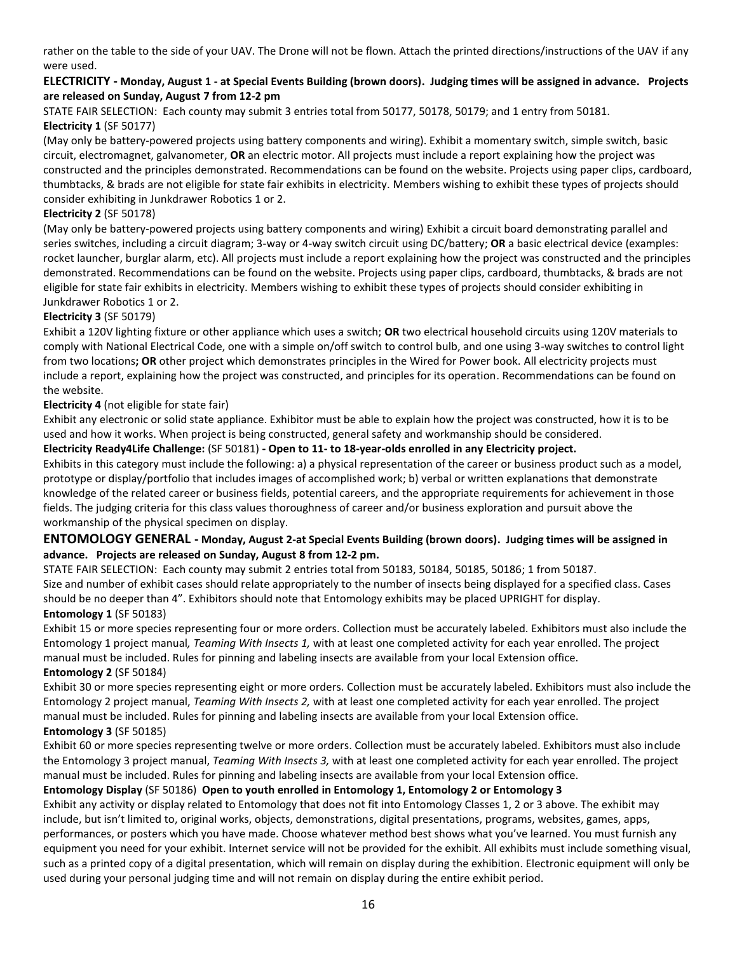rather on the table to the side of your UAV. The Drone will not be flown. Attach the printed directions/instructions of the UAV if any were used.

### **ELECTRICITY - Monday, August 1 - at Special Events Building (brown doors). Judging times will be assigned in advance. Projects are released on Sunday, August 7 from 12-2 pm**

STATE FAIR SELECTION: Each county may submit 3 entries total from 50177, 50178, 50179; and 1 entry from 50181. **Electricity 1** (SF 50177)

(May only be battery-powered projects using battery components and wiring). Exhibit a momentary switch, simple switch, basic circuit, electromagnet, galvanometer, **OR** an electric motor. All projects must include a report explaining how the project was constructed and the principles demonstrated. Recommendations can be found on the website. Projects using paper clips, cardboard, thumbtacks, & brads are not eligible for state fair exhibits in electricity. Members wishing to exhibit these types of projects should consider exhibiting in Junkdrawer Robotics 1 or 2.

#### **Electricity 2** (SF 50178)

(May only be battery-powered projects using battery components and wiring) Exhibit a circuit board demonstrating parallel and series switches, including a circuit diagram; 3-way or 4-way switch circuit using DC/battery; **OR** a basic electrical device (examples: rocket launcher, burglar alarm, etc). All projects must include a report explaining how the project was constructed and the principles demonstrated. Recommendations can be found on the website. Projects using paper clips, cardboard, thumbtacks, & brads are not eligible for state fair exhibits in electricity. Members wishing to exhibit these types of projects should consider exhibiting in Junkdrawer Robotics 1 or 2.

### **Electricity 3** (SF 50179)

Exhibit a 120V lighting fixture or other appliance which uses a switch; **OR** two electrical household circuits using 120V materials to comply with National Electrical Code, one with a simple on/off switch to control bulb, and one using 3-way switches to control light from two locations**; OR** other project which demonstrates principles in the Wired for Power book. All electricity projects must include a report, explaining how the project was constructed, and principles for its operation. Recommendations can be found on the website.

### **Electricity 4** (not eligible for state fair)

Exhibit any electronic or solid state appliance. Exhibitor must be able to explain how the project was constructed, how it is to be used and how it works. When project is being constructed, general safety and workmanship should be considered.

## **Electricity Ready4Life Challenge:** (SF 50181) **- Open to 11- to 18-year-olds enrolled in any Electricity project.**

Exhibits in this category must include the following: a) a physical representation of the career or business product such as a model, prototype or display/portfolio that includes images of accomplished work; b) verbal or written explanations that demonstrate knowledge of the related career or business fields, potential careers, and the appropriate requirements for achievement in those fields. The judging criteria for this class values thoroughness of career and/or business exploration and pursuit above the workmanship of the physical specimen on display.

## **ENTOMOLOGY GENERAL - Monday, August 2-at Special Events Building (brown doors). Judging times will be assigned in advance. Projects are released on Sunday, August 8 from 12-2 pm.**

STATE FAIR SELECTION: Each county may submit 2 entries total from 50183, 50184, 50185, 50186; 1 from 50187. Size and number of exhibit cases should relate appropriately to the number of insects being displayed for a specified class. Cases should be no deeper than 4". Exhibitors should note that Entomology exhibits may be placed UPRIGHT for display. **Entomology 1** (SF 50183)

Exhibit 15 or more species representing four or more orders. Collection must be accurately labeled. Exhibitors must also include the Entomology 1 project manual*, Teaming With Insects 1,* with at least one completed activity for each year enrolled. The project manual must be included. Rules for pinning and labeling insects are available from your local Extension office. **Entomology 2** (SF 50184)

Exhibit 30 or more species representing eight or more orders. Collection must be accurately labeled. Exhibitors must also include the Entomology 2 project manual, *Teaming With Insects 2,* with at least one completed activity for each year enrolled. The project manual must be included. Rules for pinning and labeling insects are available from your local Extension office.

## **Entomology 3** (SF 50185)

Exhibit 60 or more species representing twelve or more orders. Collection must be accurately labeled. Exhibitors must also include the Entomology 3 project manual, *Teaming With Insects 3,* with at least one completed activity for each year enrolled. The project manual must be included. Rules for pinning and labeling insects are available from your local Extension office.

## **Entomology Display** (SF 50186) **Open to youth enrolled in Entomology 1, Entomology 2 or Entomology 3**

Exhibit any activity or display related to Entomology that does not fit into Entomology Classes 1, 2 or 3 above. The exhibit may include, but isn't limited to, original works, objects, demonstrations, digital presentations, programs, websites, games, apps, performances, or posters which you have made. Choose whatever method best shows what you've learned. You must furnish any equipment you need for your exhibit. Internet service will not be provided for the exhibit. All exhibits must include something visual, such as a printed copy of a digital presentation, which will remain on display during the exhibition. Electronic equipment will only be used during your personal judging time and will not remain on display during the entire exhibit period.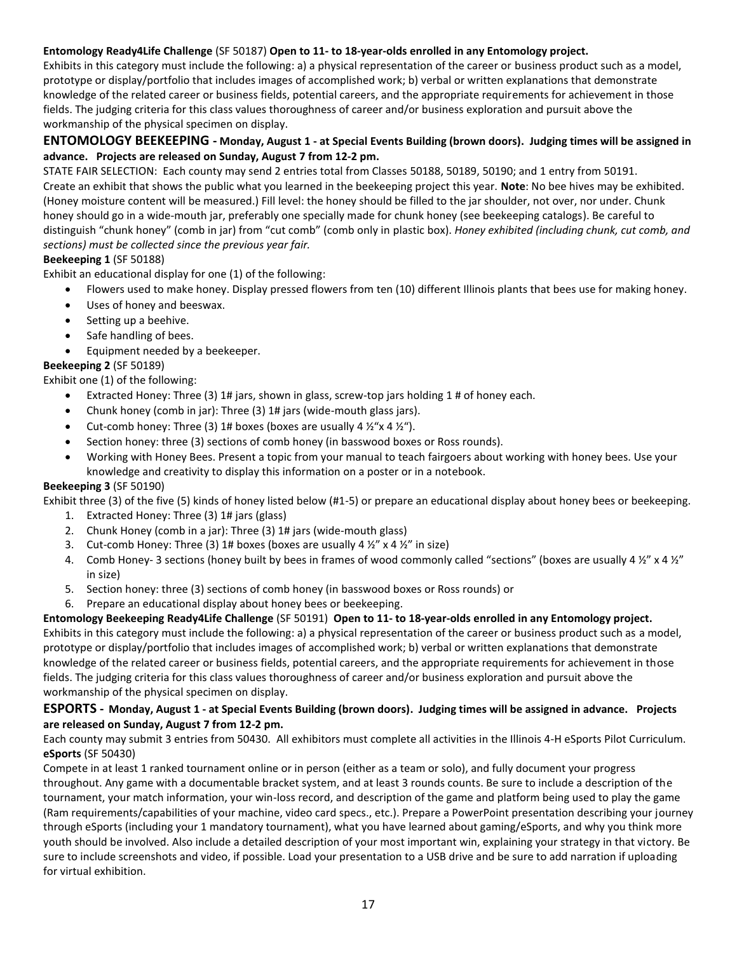### **Entomology Ready4Life Challenge** (SF 50187) **Open to 11- to 18-year-olds enrolled in any Entomology project.**

Exhibits in this category must include the following: a) a physical representation of the career or business product such as a model, prototype or display/portfolio that includes images of accomplished work; b) verbal or written explanations that demonstrate knowledge of the related career or business fields, potential careers, and the appropriate requirements for achievement in those fields. The judging criteria for this class values thoroughness of career and/or business exploration and pursuit above the workmanship of the physical specimen on display.

### **ENTOMOLOGY BEEKEEPING - Monday, August 1 - at Special Events Building (brown doors). Judging times will be assigned in advance. Projects are released on Sunday, August 7 from 12-2 pm.**

STATE FAIR SELECTION: Each county may send 2 entries total from Classes 50188, 50189, 50190; and 1 entry from 50191. Create an exhibit that shows the public what you learned in the beekeeping project this year. **Note**: No bee hives may be exhibited. (Honey moisture content will be measured.) Fill level: the honey should be filled to the jar shoulder, not over, nor under. Chunk honey should go in a wide-mouth jar, preferably one specially made for chunk honey (see beekeeping catalogs). Be careful to distinguish "chunk honey" (comb in jar) from "cut comb" (comb only in plastic box). *Honey exhibited (including chunk, cut comb, and sections) must be collected since the previous year fair.* 

### **Beekeeping 1** (SF 50188)

Exhibit an educational display for one (1) of the following:

- Flowers used to make honey. Display pressed flowers from ten (10) different Illinois plants that bees use for making honey.
- Uses of honey and beeswax.
- Setting up a beehive.
- Safe handling of bees.
- Equipment needed by a beekeeper.

### **Beekeeping 2** (SF 50189)

Exhibit one (1) of the following:

- Extracted Honey: Three (3) 1# jars, shown in glass, screw-top jars holding 1 # of honey each.
- Chunk honey (comb in jar): Three (3) 1# jars (wide-mouth glass jars).
- Cut-comb honey: Three (3) 1# boxes (boxes are usually 4  $\frac{1}{2}$   $\frac{1}{2}$   $\frac{1}{2}$   $\frac{1}{2}$
- Section honey: three (3) sections of comb honey (in basswood boxes or Ross rounds).
- Working with Honey Bees. Present a topic from your manual to teach fairgoers about working with honey bees. Use your knowledge and creativity to display this information on a poster or in a notebook.

#### **Beekeeping 3** (SF 50190)

Exhibit three (3) of the five (5) kinds of honey listed below (#1-5) or prepare an educational display about honey bees or beekeeping.

- 1. Extracted Honey: Three (3) 1# jars (glass)
- 2. Chunk Honey (comb in a jar): Three (3) 1# jars (wide-mouth glass)
- 3. Cut-comb Honey: Three (3)  $1\#$  boxes (boxes are usually 4  $\frac{1}{2}$ " x 4  $\frac{1}{2}$ " in size)
- 4. Comb Honey- 3 sections (honey built by bees in frames of wood commonly called "sections" (boxes are usually 4 ½" x 4 ½" in size)
- 5. Section honey: three (3) sections of comb honey (in basswood boxes or Ross rounds) or
- Prepare an educational display about honey bees or beekeeping.

**Entomology Beekeeping Ready4Life Challenge** (SF 50191) **Open to 11- to 18-year-olds enrolled in any Entomology project.** Exhibits in this category must include the following: a) a physical representation of the career or business product such as a model, prototype or display/portfolio that includes images of accomplished work; b) verbal or written explanations that demonstrate knowledge of the related career or business fields, potential careers, and the appropriate requirements for achievement in those fields. The judging criteria for this class values thoroughness of career and/or business exploration and pursuit above the workmanship of the physical specimen on display.

### **ESPORTS - Monday, August 1 - at Special Events Building (brown doors). Judging times will be assigned in advance. Projects are released on Sunday, August 7 from 12-2 pm.**

Each county may submit 3 entries from 50430. All exhibitors must complete all activities in the Illinois 4-H eSports Pilot Curriculum. **eSports** (SF 50430)

Compete in at least 1 ranked tournament online or in person (either as a team or solo), and fully document your progress throughout. Any game with a documentable bracket system, and at least 3 rounds counts. Be sure to include a description of the tournament, your match information, your win-loss record, and description of the game and platform being used to play the game (Ram requirements/capabilities of your machine, video card specs., etc.). Prepare a PowerPoint presentation describing your journey through eSports (including your 1 mandatory tournament), what you have learned about gaming/eSports, and why you think more youth should be involved. Also include a detailed description of your most important win, explaining your strategy in that victory. Be sure to include screenshots and video, if possible. Load your presentation to a USB drive and be sure to add narration if uploading for virtual exhibition.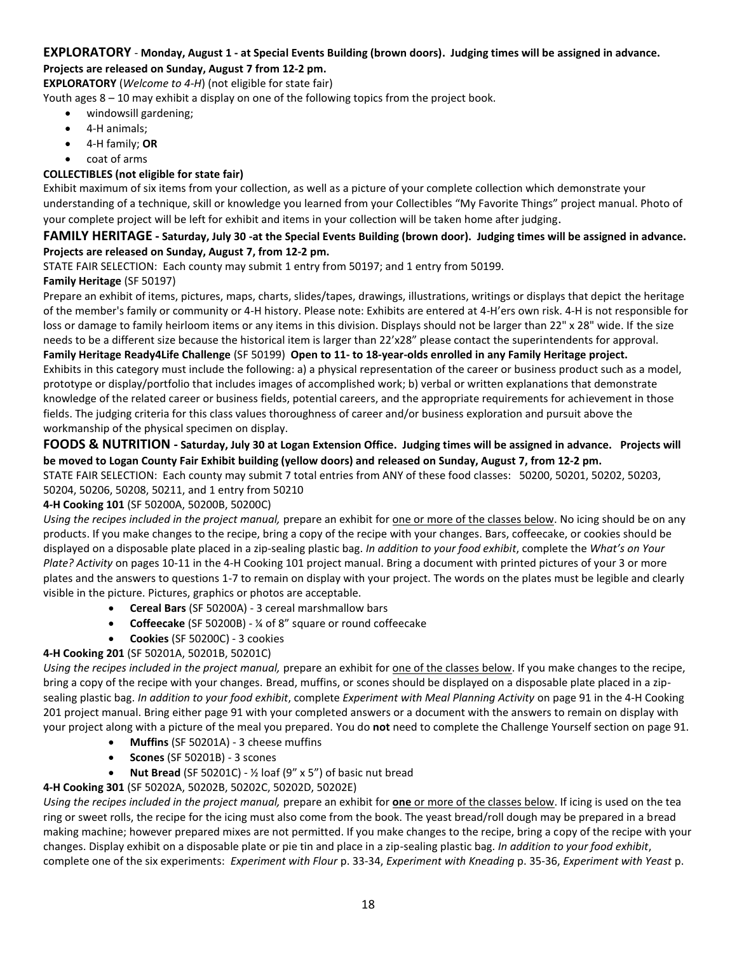#### **EXPLORATORY** - **Monday, August 1 - at Special Events Building (brown doors). Judging times will be assigned in advance. Projects are released on Sunday, August 7 from 12-2 pm.**

**EXPLORATORY** (*Welcome to 4-H*) (not eligible for state fair)

Youth ages 8 – 10 may exhibit a display on one of the following topics from the project book.

- windowsill gardening;
- 4-H animals;
- 4-H family; **OR**
- coat of arms

### **COLLECTIBLES (not eligible for state fair)**

Exhibit maximum of six items from your collection, as well as a picture of your complete collection which demonstrate your understanding of a technique, skill or knowledge you learned from your Collectibles "My Favorite Things" project manual. Photo of your complete project will be left for exhibit and items in your collection will be taken home after judging.

### **FAMILY HERITAGE - Saturday, July 30 -at the Special Events Building (brown door). Judging times will be assigned in advance. Projects are released on Sunday, August 7, from 12-2 pm.**

STATE FAIR SELECTION: Each county may submit 1 entry from 50197; and 1 entry from 50199.

### **Family Heritage** (SF 50197)

Prepare an exhibit of items, pictures, maps, charts, slides/tapes, drawings, illustrations, writings or displays that depict the heritage of the member's family or community or 4-H history. Please note: Exhibits are entered at 4-H'ers own risk. 4-H is not responsible for loss or damage to family heirloom items or any items in this division. Displays should not be larger than 22" x 28" wide. If the size needs to be a different size because the historical item is larger than 22'x28" please contact the superintendents for approval.

#### **Family Heritage Ready4Life Challenge** (SF 50199) **Open to 11- to 18-year-olds enrolled in any Family Heritage project.**

Exhibits in this category must include the following: a) a physical representation of the career or business product such as a model, prototype or display/portfolio that includes images of accomplished work; b) verbal or written explanations that demonstrate knowledge of the related career or business fields, potential careers, and the appropriate requirements for achievement in those fields. The judging criteria for this class values thoroughness of career and/or business exploration and pursuit above the workmanship of the physical specimen on display.

### **FOODS & NUTRITION - Saturday, July 30 at Logan Extension Office. Judging times will be assigned in advance. Projects will be moved to Logan County Fair Exhibit building (yellow doors) and released on Sunday, August 7, from 12-2 pm.**

STATE FAIR SELECTION: Each county may submit 7 total entries from ANY of these food classes: 50200, 50201, 50202, 50203, 50204, 50206, 50208, 50211, and 1 entry from 50210

#### **4-H Cooking 101** (SF 50200A, 50200B, 50200C)

*Using the recipes included in the project manual,* prepare an exhibit for one or more of the classes below. No icing should be on any products. If you make changes to the recipe, bring a copy of the recipe with your changes. Bars, coffeecake, or cookies should be displayed on a disposable plate placed in a zip-sealing plastic bag. *In addition to your food exhibit*, complete the *What's on Your Plate? Activity* on pages 10-11 in the 4-H Cooking 101 project manual. Bring a document with printed pictures of your 3 or more plates and the answers to questions 1-7 to remain on display with your project. The words on the plates must be legible and clearly visible in the picture. Pictures, graphics or photos are acceptable.

- **Cereal Bars** (SF 50200A) 3 cereal marshmallow bars
- **Coffeecake** (SF 50200B) ¼ of 8" square or round coffeecake
- **Cookies** (SF 50200C) 3 cookies

### **4-H Cooking 201** (SF 50201A, 50201B, 50201C)

*Using the recipes included in the project manual,* prepare an exhibit for one of the classes below. If you make changes to the recipe, bring a copy of the recipe with your changes. Bread, muffins, or scones should be displayed on a disposable plate placed in a zipsealing plastic bag. *In addition to your food exhibit*, complete *Experiment with Meal Planning Activity* on page 91 in the 4-H Cooking 201 project manual. Bring either page 91 with your completed answers or a document with the answers to remain on display with your project along with a picture of the meal you prepared. You do **not** need to complete the Challenge Yourself section on page 91.

- **Muffins** (SF 50201A) 3 cheese muffins
- **Scones** (SF 50201B) 3 scones
- **Nut Bread** (SF 50201C) ½ loaf (9" x 5") of basic nut bread

### **4-H Cooking 301** (SF 50202A, 50202B, 50202C, 50202D, 50202E)

*Using the recipes included in the project manual,* prepare an exhibit for **one** or more of the classes below. If icing is used on the tea ring or sweet rolls, the recipe for the icing must also come from the book. The yeast bread/roll dough may be prepared in a bread making machine; however prepared mixes are not permitted. If you make changes to the recipe, bring a copy of the recipe with your changes. Display exhibit on a disposable plate or pie tin and place in a zip-sealing plastic bag. *In addition to your food exhibit*, complete one of the six experiments: *Experiment with Flour* p. 33-34, *Experiment with Kneading* p. 35-36, *Experiment with Yeast* p.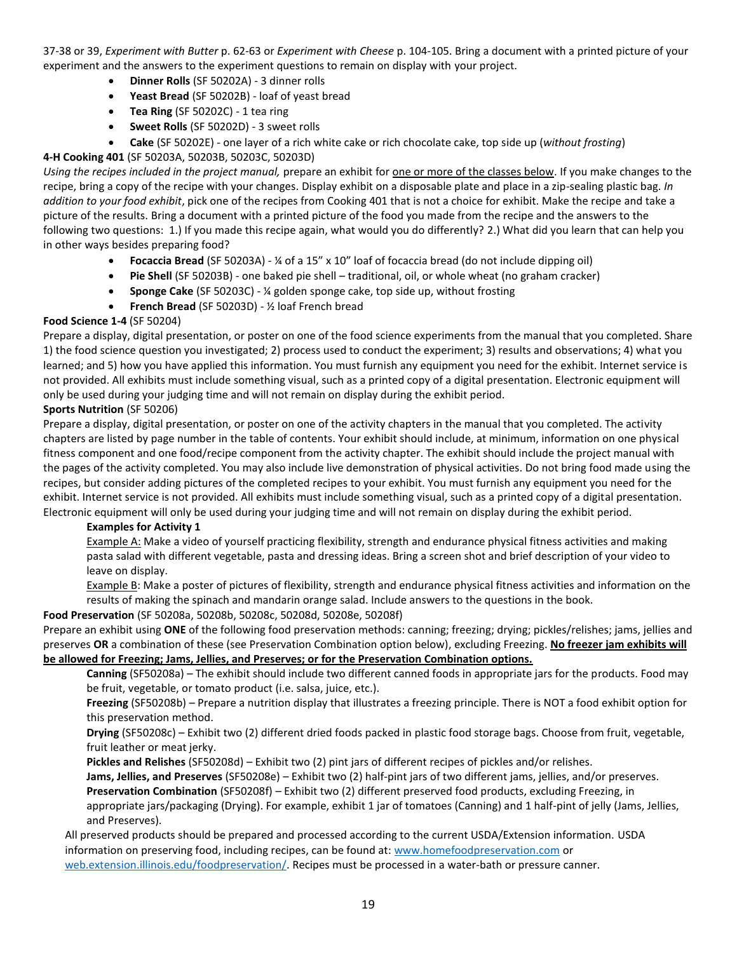37-38 or 39, *Experiment with Butter* p. 62-63 or *Experiment with Cheese* p. 104-105. Bring a document with a printed picture of your experiment and the answers to the experiment questions to remain on display with your project.

- **Dinner Rolls** (SF 50202A) 3 dinner rolls
- **Yeast Bread** (SF 50202B) loaf of yeast bread
- **Tea Ring** (SF 50202C) 1 tea ring
- **Sweet Rolls** (SF 50202D) 3 sweet rolls
- **Cake** (SF 50202E) one layer of a rich white cake or rich chocolate cake, top side up (*without frosting*)

### **4-H Cooking 401** (SF 50203A, 50203B, 50203C, 50203D)

*Using the recipes included in the project manual,* prepare an exhibit for one or more of the classes below. If you make changes to the recipe, bring a copy of the recipe with your changes. Display exhibit on a disposable plate and place in a zip-sealing plastic bag. *In addition to your food exhibit*, pick one of the recipes from Cooking 401 that is not a choice for exhibit. Make the recipe and take a picture of the results. Bring a document with a printed picture of the food you made from the recipe and the answers to the following two questions: 1.) If you made this recipe again, what would you do differently? 2.) What did you learn that can help you in other ways besides preparing food?

- **Focaccia Bread** (SF 50203A) ¼ of a 15" x 10" loaf of focaccia bread (do not include dipping oil)
- **Pie Shell** (SF 50203B) one baked pie shell traditional, oil, or whole wheat (no graham cracker)
- **Sponge Cake** (SF 50203C) ¼ golden sponge cake, top side up, without frosting
- **French Bread** (SF 50203D) ½ loaf French bread

### **Food Science 1-4** (SF 50204)

Prepare a display, digital presentation, or poster on one of the food science experiments from the manual that you completed. Share 1) the food science question you investigated; 2) process used to conduct the experiment; 3) results and observations; 4) what you learned; and 5) how you have applied this information. You must furnish any equipment you need for the exhibit. Internet service is not provided. All exhibits must include something visual, such as a printed copy of a digital presentation. Electronic equipment will only be used during your judging time and will not remain on display during the exhibit period.

#### **Sports Nutrition** (SF 50206)

Prepare a display, digital presentation, or poster on one of the activity chapters in the manual that you completed. The activity chapters are listed by page number in the table of contents. Your exhibit should include, at minimum, information on one physical fitness component and one food/recipe component from the activity chapter. The exhibit should include the project manual with the pages of the activity completed. You may also include live demonstration of physical activities. Do not bring food made using the recipes, but consider adding pictures of the completed recipes to your exhibit. You must furnish any equipment you need for the exhibit. Internet service is not provided. All exhibits must include something visual, such as a printed copy of a digital presentation. Electronic equipment will only be used during your judging time and will not remain on display during the exhibit period.

#### **Examples for Activity 1**

Example A: Make a video of yourself practicing flexibility, strength and endurance physical fitness activities and making pasta salad with different vegetable, pasta and dressing ideas. Bring a screen shot and brief description of your video to leave on display.

Example B: Make a poster of pictures of flexibility, strength and endurance physical fitness activities and information on the results of making the spinach and mandarin orange salad. Include answers to the questions in the book.

#### **Food Preservation** (SF 50208a, 50208b, 50208c, 50208d, 50208e, 50208f)

Prepare an exhibit using **ONE** of the following food preservation methods: canning; freezing; drying; pickles/relishes; jams, jellies and preserves **OR** a combination of these (see Preservation Combination option below), excluding Freezing. **No freezer jam exhibits will be allowed for Freezing; Jams, Jellies, and Preserves; or for the Preservation Combination options.**

**Canning** (SF50208a) – The exhibit should include two different canned foods in appropriate jars for the products. Food may be fruit, vegetable, or tomato product (i.e. salsa, juice, etc.).

**Freezing** (SF50208b) – Prepare a nutrition display that illustrates a freezing principle. There is NOT a food exhibit option for this preservation method.

**Drying** (SF50208c) – Exhibit two (2) different dried foods packed in plastic food storage bags. Choose from fruit, vegetable, fruit leather or meat jerky.

**Pickles and Relishes** (SF50208d) – Exhibit two (2) pint jars of different recipes of pickles and/or relishes.

**Jams, Jellies, and Preserves** (SF50208e) – Exhibit two (2) half-pint jars of two different jams, jellies, and/or preserves. **Preservation Combination** (SF50208f) – Exhibit two (2) different preserved food products, excluding Freezing, in appropriate jars/packaging (Drying). For example, exhibit 1 jar of tomatoes (Canning) and 1 half-pint of jelly (Jams, Jellies, and Preserves).

All preserved products should be prepared and processed according to the current USDA/Extension information. USDA information on preserving food, including recipes, can be found at[: www.homefoodpreservation.com](http://www.homefoodpreservation.com/) or [web.extension.illinois.edu/foodpreservation/.](https://web.extension.illinois.edu/foodpreservation/) Recipes must be processed in a water-bath or pressure canner.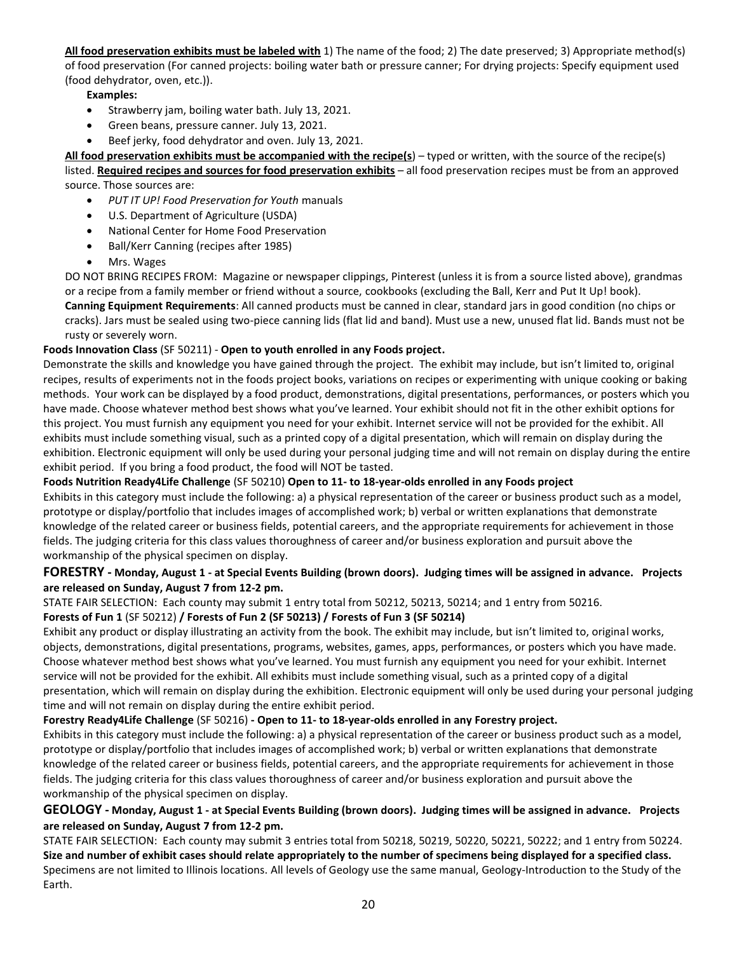**All food preservation exhibits must be labeled with** 1) The name of the food; 2) The date preserved; 3) Appropriate method(s) of food preservation (For canned projects: boiling water bath or pressure canner; For drying projects: Specify equipment used (food dehydrator, oven, etc.)).

### **Examples:**

- Strawberry jam, boiling water bath. July 13, 2021.
- Green beans, pressure canner. July 13, 2021.
- Beef jerky, food dehydrator and oven. July 13, 2021.

**All food preservation exhibits must be accompanied with the recipe(s**) – typed or written, with the source of the recipe(s) listed. **Required recipes and sources for food preservation exhibits** – all food preservation recipes must be from an approved source. Those sources are:

- *PUT IT UP! Food Preservation for Youth* manuals
- U.S. Department of Agriculture (USDA)
- National Center for Home Food Preservation
- Ball/Kerr Canning (recipes after 1985)
- Mrs. Wages

DO NOT BRING RECIPES FROM: Magazine or newspaper clippings, Pinterest (unless it is from a source listed above), grandmas or a recipe from a family member or friend without a source, cookbooks (excluding the Ball, Kerr and Put It Up! book). **Canning Equipment Requirements**: All canned products must be canned in clear, standard jars in good condition (no chips or cracks). Jars must be sealed using two-piece canning lids (flat lid and band). Must use a new, unused flat lid. Bands must not be rusty or severely worn.

### **Foods Innovation Class** (SF 50211) - **Open to youth enrolled in any Foods project.**

Demonstrate the skills and knowledge you have gained through the project. The exhibit may include, but isn't limited to, original recipes, results of experiments not in the foods project books, variations on recipes or experimenting with unique cooking or baking methods. Your work can be displayed by a food product, demonstrations, digital presentations, performances, or posters which you have made. Choose whatever method best shows what you've learned. Your exhibit should not fit in the other exhibit options for this project. You must furnish any equipment you need for your exhibit. Internet service will not be provided for the exhibit. All exhibits must include something visual, such as a printed copy of a digital presentation, which will remain on display during the exhibition. Electronic equipment will only be used during your personal judging time and will not remain on display during the entire exhibit period. If you bring a food product, the food will NOT be tasted.

#### **Foods Nutrition Ready4Life Challenge** (SF 50210) **Open to 11- to 18-year-olds enrolled in any Foods project**

Exhibits in this category must include the following: a) a physical representation of the career or business product such as a model, prototype or display/portfolio that includes images of accomplished work; b) verbal or written explanations that demonstrate knowledge of the related career or business fields, potential careers, and the appropriate requirements for achievement in those fields. The judging criteria for this class values thoroughness of career and/or business exploration and pursuit above the workmanship of the physical specimen on display.

### **FORESTRY - Monday, August 1 - at Special Events Building (brown doors). Judging times will be assigned in advance. Projects are released on Sunday, August 7 from 12-2 pm.**

STATE FAIR SELECTION: Each county may submit 1 entry total from 50212, 50213, 50214; and 1 entry from 50216.

#### **Forests of Fun 1** (SF 50212) **/ Forests of Fun 2 (SF 50213) / Forests of Fun 3 (SF 50214)**

Exhibit any product or display illustrating an activity from the book. The exhibit may include, but isn't limited to, original works, objects, demonstrations, digital presentations, programs, websites, games, apps, performances, or posters which you have made. Choose whatever method best shows what you've learned. You must furnish any equipment you need for your exhibit. Internet service will not be provided for the exhibit. All exhibits must include something visual, such as a printed copy of a digital presentation, which will remain on display during the exhibition. Electronic equipment will only be used during your personal judging time and will not remain on display during the entire exhibit period.

#### **Forestry Ready4Life Challenge** (SF 50216) **- Open to 11- to 18-year-olds enrolled in any Forestry project.**

Exhibits in this category must include the following: a) a physical representation of the career or business product such as a model, prototype or display/portfolio that includes images of accomplished work; b) verbal or written explanations that demonstrate knowledge of the related career or business fields, potential careers, and the appropriate requirements for achievement in those fields. The judging criteria for this class values thoroughness of career and/or business exploration and pursuit above the workmanship of the physical specimen on display.

### **GEOLOGY - Monday, August 1 - at Special Events Building (brown doors). Judging times will be assigned in advance. Projects are released on Sunday, August 7 from 12-2 pm.**

STATE FAIR SELECTION: Each county may submit 3 entries total from 50218, 50219, 50220, 50221, 50222; and 1 entry from 50224. **Size and number of exhibit cases should relate appropriately to the number of specimens being displayed for a specified class.**  Specimens are not limited to Illinois locations. All levels of Geology use the same manual, Geology-Introduction to the Study of the Earth.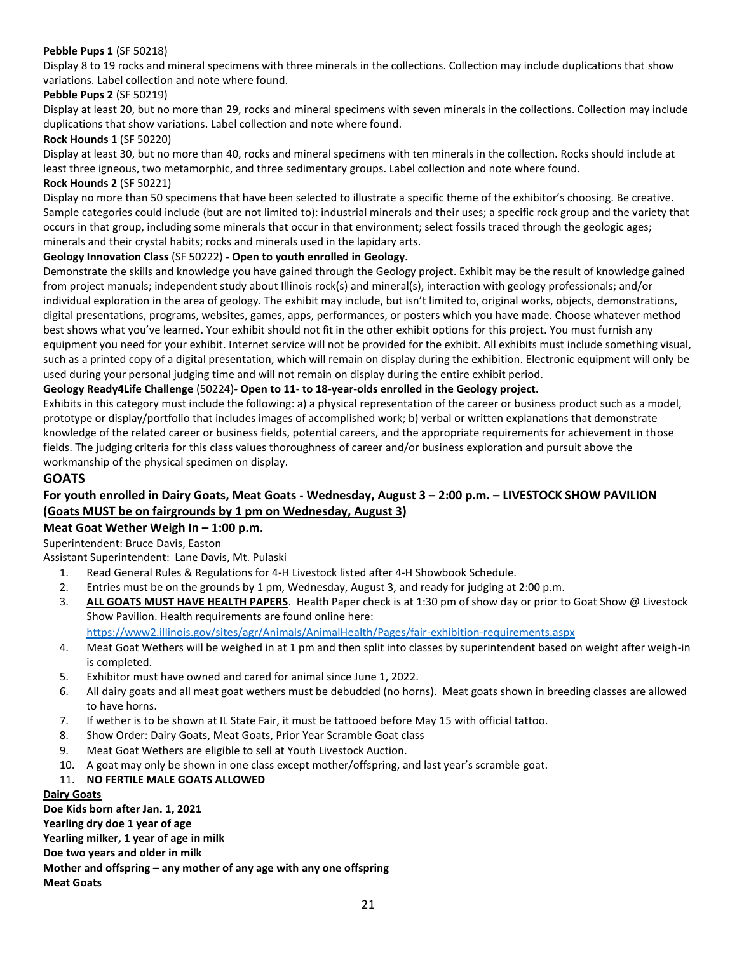#### **Pebble Pups 1** (SF 50218)

Display 8 to 19 rocks and mineral specimens with three minerals in the collections. Collection may include duplications that show variations. Label collection and note where found.

#### **Pebble Pups 2** (SF 50219)

Display at least 20, but no more than 29, rocks and mineral specimens with seven minerals in the collections. Collection may include duplications that show variations. Label collection and note where found.

#### **Rock Hounds 1** (SF 50220)

Display at least 30, but no more than 40, rocks and mineral specimens with ten minerals in the collection. Rocks should include at least three igneous, two metamorphic, and three sedimentary groups. Label collection and note where found. **Rock Hounds 2** (SF 50221)

Display no more than 50 specimens that have been selected to illustrate a specific theme of the exhibitor's choosing. Be creative. Sample categories could include (but are not limited to): industrial minerals and their uses; a specific rock group and the variety that occurs in that group, including some minerals that occur in that environment; select fossils traced through the geologic ages; minerals and their crystal habits; rocks and minerals used in the lapidary arts.

#### **Geology Innovation Class** (SF 50222) **- Open to youth enrolled in Geology.**

Demonstrate the skills and knowledge you have gained through the Geology project. Exhibit may be the result of knowledge gained from project manuals; independent study about Illinois rock(s) and mineral(s), interaction with geology professionals; and/or individual exploration in the area of geology. The exhibit may include, but isn't limited to, original works, objects, demonstrations, digital presentations, programs, websites, games, apps, performances, or posters which you have made. Choose whatever method best shows what you've learned. Your exhibit should not fit in the other exhibit options for this project. You must furnish any equipment you need for your exhibit. Internet service will not be provided for the exhibit. All exhibits must include something visual, such as a printed copy of a digital presentation, which will remain on display during the exhibition. Electronic equipment will only be used during your personal judging time and will not remain on display during the entire exhibit period.

#### **Geology Ready4Life Challenge** (50224)**- Open to 11- to 18-year-olds enrolled in the Geology project.**

Exhibits in this category must include the following: a) a physical representation of the career or business product such as a model, prototype or display/portfolio that includes images of accomplished work; b) verbal or written explanations that demonstrate knowledge of the related career or business fields, potential careers, and the appropriate requirements for achievement in those fields. The judging criteria for this class values thoroughness of career and/or business exploration and pursuit above the workmanship of the physical specimen on display.

#### **GOATS**

### **For youth enrolled in Dairy Goats, Meat Goats - Wednesday, August 3 – 2:00 p.m. – LIVESTOCK SHOW PAVILION (Goats MUST be on fairgrounds by 1 pm on Wednesday, August 3)**

#### **Meat Goat Wether Weigh In – 1:00 p.m.**

Superintendent: Bruce Davis, Easton

Assistant Superintendent: Lane Davis, Mt. Pulaski

- 1. Read General Rules & Regulations for 4-H Livestock listed after 4-H Showbook Schedule.
- 2. Entries must be on the grounds by 1 pm, Wednesday, August 3, and ready for judging at 2:00 p.m.
- 3. **ALL GOATS MUST HAVE HEALTH PAPERS**. Health Paper check is at 1:30 pm of show day or prior to Goat Show @ Livestock Show Pavilion. Health requirements are found online here:

<https://www2.illinois.gov/sites/agr/Animals/AnimalHealth/Pages/fair-exhibition-requirements.aspx>

- 4. Meat Goat Wethers will be weighed in at 1 pm and then split into classes by superintendent based on weight after weigh-in is completed.
- 5. Exhibitor must have owned and cared for animal since June 1, 2022.
- 6. All dairy goats and all meat goat wethers must be debudded (no horns). Meat goats shown in breeding classes are allowed to have horns.
- 7. If wether is to be shown at IL State Fair, it must be tattooed before May 15 with official tattoo.
- 8. Show Order: Dairy Goats, Meat Goats, Prior Year Scramble Goat class
- 9. Meat Goat Wethers are eligible to sell at Youth Livestock Auction.
- 10. A goat may only be shown in one class except mother/offspring, and last year's scramble goat.

#### 11. **NO FERTILE MALE GOATS ALLOWED**

### **Dairy Goats**

**Doe Kids born after Jan. 1, 2021 Yearling dry doe 1 year of age Yearling milker, 1 year of age in milk Doe two years and older in milk Mother and offspring – any mother of any age with any one offspring Meat Goats**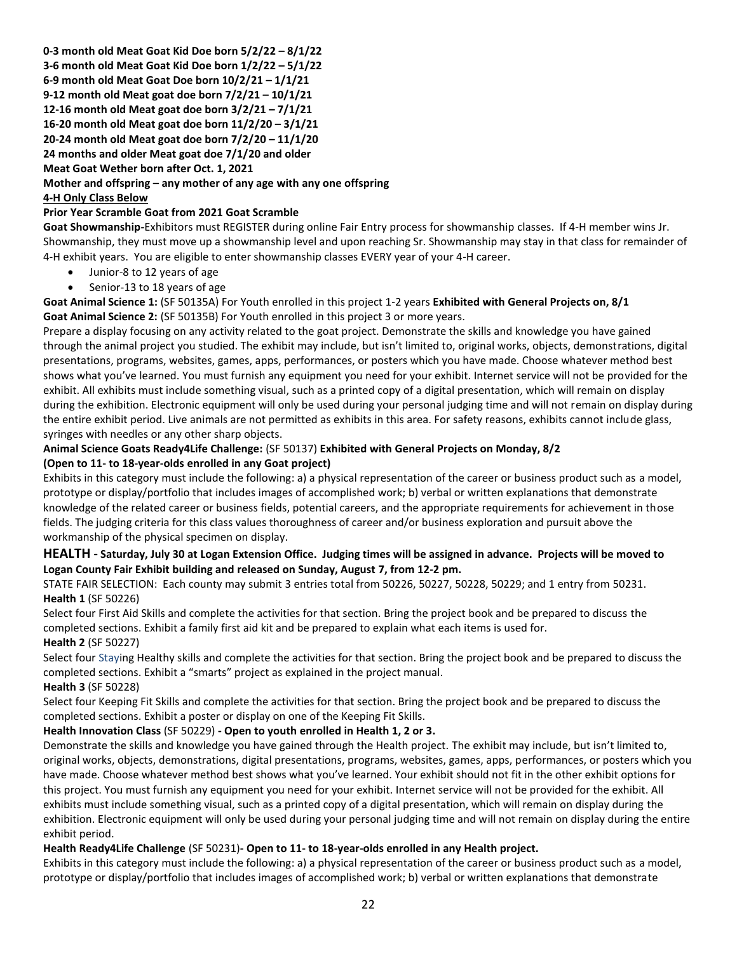**0-3 month old Meat Goat Kid Doe born 5/2/22 – 8/1/22 3-6 month old Meat Goat Kid Doe born 1/2/22 – 5/1/22 6-9 month old Meat Goat Doe born 10/2/21 – 1/1/21 9-12 month old Meat goat doe born 7/2/21 – 10/1/21 12-16 month old Meat goat doe born 3/2/21 – 7/1/21 16-20 month old Meat goat doe born 11/2/20 – 3/1/21 20-24 month old Meat goat doe born 7/2/20 – 11/1/20 24 months and older Meat goat doe 7/1/20 and older Meat Goat Wether born after Oct. 1, 2021 Mother and offspring – any mother of any age with any one offspring** 

### **4-H Only Class Below**

#### **Prior Year Scramble Goat from 2021 Goat Scramble**

**Goat Showmanship***-*Exhibitors must REGISTER during online Fair Entry process for showmanship classes. If 4-H member wins Jr. Showmanship, they must move up a showmanship level and upon reaching Sr. Showmanship may stay in that class for remainder of 4-H exhibit years. You are eligible to enter showmanship classes EVERY year of your 4-H career.

- Junior-8 to 12 years of age
- Senior-13 to 18 years of age

**Goat Animal Science 1:** (SF 50135A) For Youth enrolled in this project 1-2 years **Exhibited with General Projects on, 8/1 Goat Animal Science 2:** (SF 50135B) For Youth enrolled in this project 3 or more years.

Prepare a display focusing on any activity related to the goat project. Demonstrate the skills and knowledge you have gained through the animal project you studied. The exhibit may include, but isn't limited to, original works, objects, demonstrations, digital presentations, programs, websites, games, apps, performances, or posters which you have made. Choose whatever method best shows what you've learned. You must furnish any equipment you need for your exhibit. Internet service will not be provided for the exhibit. All exhibits must include something visual, such as a printed copy of a digital presentation, which will remain on display during the exhibition. Electronic equipment will only be used during your personal judging time and will not remain on display during the entire exhibit period. Live animals are not permitted as exhibits in this area. For safety reasons, exhibits cannot include glass, syringes with needles or any other sharp objects.

### **Animal Science Goats Ready4Life Challenge:** (SF 50137) **Exhibited with General Projects on Monday, 8/2 (Open to 11- to 18-year-olds enrolled in any Goat project)**

Exhibits in this category must include the following: a) a physical representation of the career or business product such as a model, prototype or display/portfolio that includes images of accomplished work; b) verbal or written explanations that demonstrate knowledge of the related career or business fields, potential careers, and the appropriate requirements for achievement in those fields. The judging criteria for this class values thoroughness of career and/or business exploration and pursuit above the workmanship of the physical specimen on display.

### **HEALTH - Saturday, July 30 at Logan Extension Office. Judging times will be assigned in advance. Projects will be moved to Logan County Fair Exhibit building and released on Sunday, August 7, from 12-2 pm.**

STATE FAIR SELECTION: Each county may submit 3 entries total from 50226, 50227, 50228, 50229; and 1 entry from 50231. **Health 1** (SF 50226)

Select four First Aid Skills and complete the activities for that section. Bring the project book and be prepared to discuss the completed sections. Exhibit a family first aid kit and be prepared to explain what each items is used for.

#### **Health 2** (SF 50227)

Select four Staying Healthy skills and complete the activities for that section. Bring the project book and be prepared to discuss the completed sections. Exhibit a "smarts" project as explained in the project manual.

**Health 3** (SF 50228)

Select four Keeping Fit Skills and complete the activities for that section. Bring the project book and be prepared to discuss the completed sections. Exhibit a poster or display on one of the Keeping Fit Skills.

### **Health Innovation Class** (SF 50229) **- Open to youth enrolled in Health 1, 2 or 3.**

Demonstrate the skills and knowledge you have gained through the Health project. The exhibit may include, but isn't limited to, original works, objects, demonstrations, digital presentations, programs, websites, games, apps, performances, or posters which you have made. Choose whatever method best shows what you've learned. Your exhibit should not fit in the other exhibit options for this project. You must furnish any equipment you need for your exhibit. Internet service will not be provided for the exhibit. All exhibits must include something visual, such as a printed copy of a digital presentation, which will remain on display during the exhibition. Electronic equipment will only be used during your personal judging time and will not remain on display during the entire exhibit period.

#### **Health Ready4Life Challenge** (SF 50231)**- Open to 11- to 18-year-olds enrolled in any Health project.**

Exhibits in this category must include the following: a) a physical representation of the career or business product such as a model, prototype or display/portfolio that includes images of accomplished work; b) verbal or written explanations that demonstrate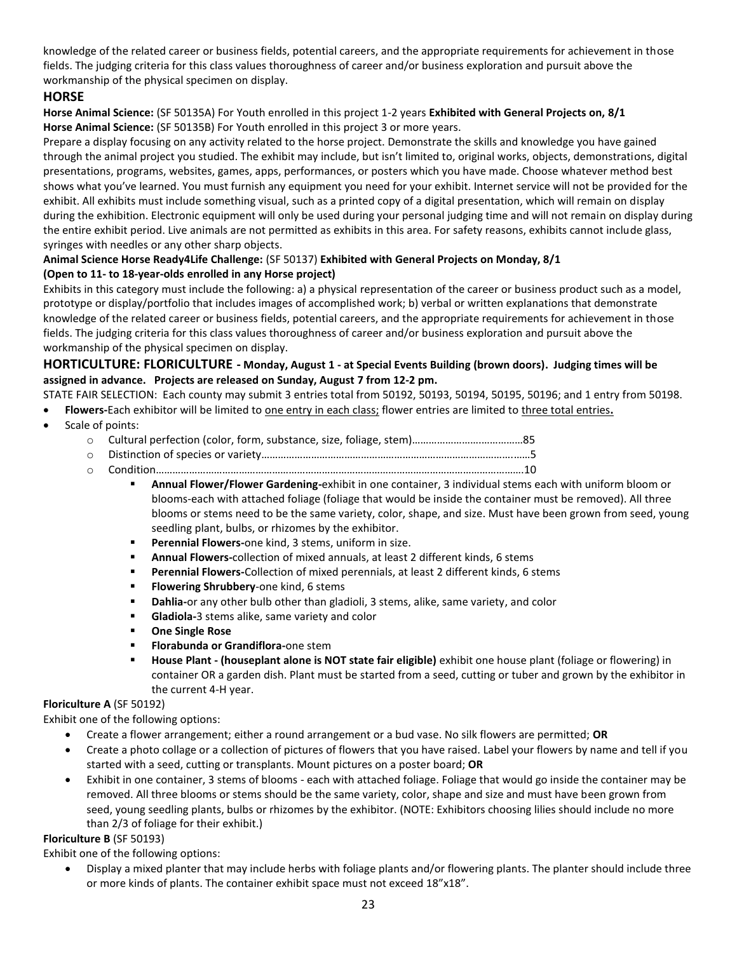knowledge of the related career or business fields, potential careers, and the appropriate requirements for achievement in those fields. The judging criteria for this class values thoroughness of career and/or business exploration and pursuit above the workmanship of the physical specimen on display.

### **HORSE**

**Horse Animal Science:** (SF 50135A) For Youth enrolled in this project 1-2 years **Exhibited with General Projects on, 8/1 Horse Animal Science:** (SF 50135B) For Youth enrolled in this project 3 or more years.

Prepare a display focusing on any activity related to the horse project. Demonstrate the skills and knowledge you have gained through the animal project you studied. The exhibit may include, but isn't limited to, original works, objects, demonstrations, digital presentations, programs, websites, games, apps, performances, or posters which you have made. Choose whatever method best shows what you've learned. You must furnish any equipment you need for your exhibit. Internet service will not be provided for the exhibit. All exhibits must include something visual, such as a printed copy of a digital presentation, which will remain on display during the exhibition. Electronic equipment will only be used during your personal judging time and will not remain on display during the entire exhibit period. Live animals are not permitted as exhibits in this area. For safety reasons, exhibits cannot include glass, syringes with needles or any other sharp objects.

### **Animal Science Horse Ready4Life Challenge:** (SF 50137) **Exhibited with General Projects on Monday, 8/1 (Open to 11- to 18-year-olds enrolled in any Horse project)**

Exhibits in this category must include the following: a) a physical representation of the career or business product such as a model, prototype or display/portfolio that includes images of accomplished work; b) verbal or written explanations that demonstrate knowledge of the related career or business fields, potential careers, and the appropriate requirements for achievement in those fields. The judging criteria for this class values thoroughness of career and/or business exploration and pursuit above the workmanship of the physical specimen on display.

### **HORTICULTURE: FLORICULTURE - Monday, August 1 - at Special Events Building (brown doors). Judging times will be assigned in advance. Projects are released on Sunday, August 7 from 12-2 pm.**

- STATE FAIR SELECTION: Each county may submit 3 entries total from 50192, 50193, 50194, 50195, 50196; and 1 entry from 50198.
- **Flowers-**Each exhibitor will be limited to one entry in each class; flower entries are limited to three total entries**.**
- Scale of points:
	- o Cultural perfection (color, form, substance, size, foliage, stem)…………………….……………85
	- o Distinction of species or variety……………………………………………………………………………….……5
	- o Condition…………………………………………………………………………………………………………………….10
		- **Annual Flower/Flower Gardening-**exhibit in one container, 3 individual stems each with uniform bloom or blooms-each with attached foliage (foliage that would be inside the container must be removed). All three blooms or stems need to be the same variety, color, shape, and size. Must have been grown from seed, young seedling plant, bulbs, or rhizomes by the exhibitor.
		- **Perennial Flowers-**one kind, 3 stems, uniform in size.
		- **EXEDMINIGHT Annual Flowers-collection of mixed annuals, at least 2 different kinds, 6 stems**
		- **Perennial Flowers-Collection of mixed perennials, at least 2 different kinds, 6 stems**
		- **Flowering Shrubbery**-one kind, 6 stems
		- **EXED Ahlia-** or any other bulb other than gladioli, 3 stems, alike, same variety, and color
		- **Gladiola-**3 stems alike, same variety and color
		- **One Single Rose**
		- **Florabunda or Grandiflora-**one stem
		- **House Plant - (houseplant alone is NOT state fair eligible)** exhibit one house plant (foliage or flowering) in container OR a garden dish. Plant must be started from a seed, cutting or tuber and grown by the exhibitor in the current 4-H year.

#### **Floriculture A** (SF 50192)

Exhibit one of the following options:

- Create a flower arrangement; either a round arrangement or a bud vase. No silk flowers are permitted; **OR**
- Create a photo collage or a collection of pictures of flowers that you have raised. Label your flowers by name and tell if you started with a seed, cutting or transplants. Mount pictures on a poster board; **OR**
- Exhibit in one container, 3 stems of blooms each with attached foliage. Foliage that would go inside the container may be removed. All three blooms or stems should be the same variety, color, shape and size and must have been grown from seed, young seedling plants, bulbs or rhizomes by the exhibitor. (NOTE: Exhibitors choosing lilies should include no more than 2/3 of foliage for their exhibit.)

#### **Floriculture B** (SF 50193)

Exhibit one of the following options:

• Display a mixed planter that may include herbs with foliage plants and/or flowering plants. The planter should include three or more kinds of plants. The container exhibit space must not exceed 18"x18".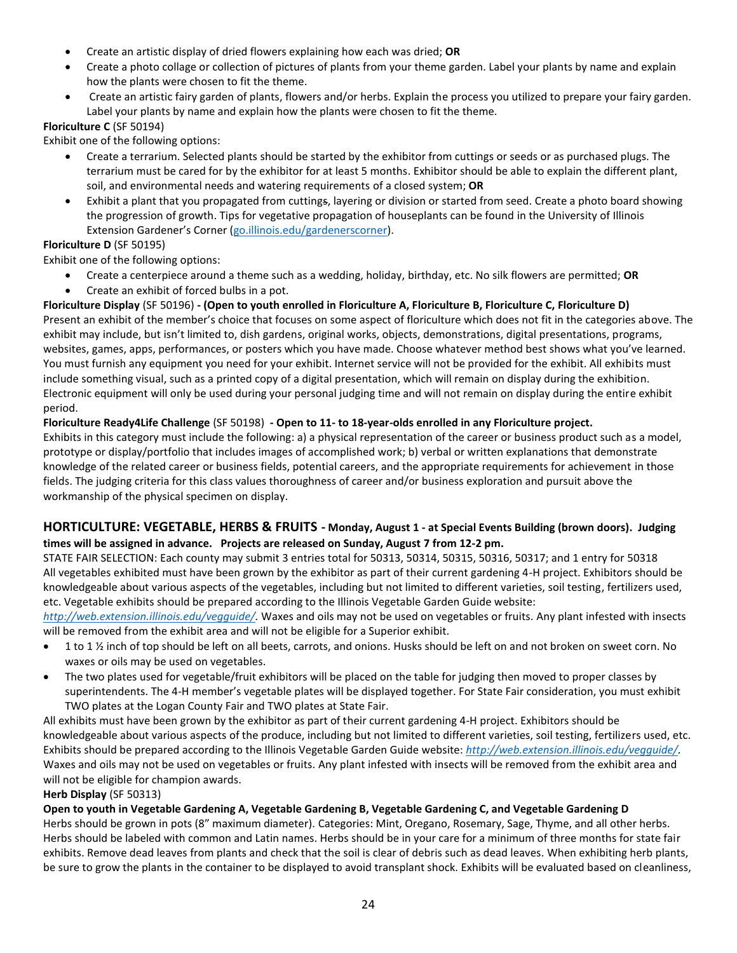- Create an artistic display of dried flowers explaining how each was dried; **OR**
- Create a photo collage or collection of pictures of plants from your theme garden. Label your plants by name and explain how the plants were chosen to fit the theme.
- Create an artistic fairy garden of plants, flowers and/or herbs. Explain the process you utilized to prepare your fairy garden. Label your plants by name and explain how the plants were chosen to fit the theme.

### **Floriculture C** (SF 50194)

Exhibit one of the following options:

- Create a terrarium. Selected plants should be started by the exhibitor from cuttings or seeds or as purchased plugs. The terrarium must be cared for by the exhibitor for at least 5 months. Exhibitor should be able to explain the different plant, soil, and environmental needs and watering requirements of a closed system; **OR**
- Exhibit a plant that you propagated from cuttings, layering or division or started from seed. Create a photo board showing the progression of growth. Tips for vegetative propagation of houseplants can be found in the University of Illinois Extension Gardener's Corner ([go.illinois.edu/gardenerscorner\)](http://go.illinois.edu/gardenerscorner).

### **Floriculture D** (SF 50195)

Exhibit one of the following options:

- Create a centerpiece around a theme such as a wedding, holiday, birthday, etc. No silk flowers are permitted; **OR**
- Create an exhibit of forced bulbs in a pot.

### **Floriculture Display** (SF 50196) **- (Open to youth enrolled in Floriculture A, Floriculture B, Floriculture C, Floriculture D)**

Present an exhibit of the member's choice that focuses on some aspect of floriculture which does not fit in the categories above. The exhibit may include, but isn't limited to, dish gardens, original works, objects, demonstrations, digital presentations, programs, websites, games, apps, performances, or posters which you have made. Choose whatever method best shows what you've learned. You must furnish any equipment you need for your exhibit. Internet service will not be provided for the exhibit. All exhibits must include something visual, such as a printed copy of a digital presentation, which will remain on display during the exhibition. Electronic equipment will only be used during your personal judging time and will not remain on display during the entire exhibit period.

#### **Floriculture Ready4Life Challenge** (SF 50198) **- Open to 11- to 18-year-olds enrolled in any Floriculture project.**

Exhibits in this category must include the following: a) a physical representation of the career or business product such as a model, prototype or display/portfolio that includes images of accomplished work; b) verbal or written explanations that demonstrate knowledge of the related career or business fields, potential careers, and the appropriate requirements for achievement in those fields. The judging criteria for this class values thoroughness of career and/or business exploration and pursuit above the workmanship of the physical specimen on display.

### **HORTICULTURE: VEGETABLE, HERBS & FRUITS - Monday, August 1 - at Special Events Building (brown doors). Judging times will be assigned in advance. Projects are released on Sunday, August 7 from 12-2 pm.**

STATE FAIR SELECTION: Each county may submit 3 entries total for 50313, 50314, 50315, 50316, 50317; and 1 entry for 50318 All vegetables exhibited must have been grown by the exhibitor as part of their current gardening 4-H project. Exhibitors should be knowledgeable about various aspects of the vegetables, including but not limited to different varieties, soil testing, fertilizers used, etc. Vegetable exhibits should be prepared according to the Illinois Vegetable Garden Guide website:

*[http://web.extension.illinois.edu/vegguide/.](http://web.extension.illinois.edu/vegguide/)* Waxes and oils may not be used on vegetables or fruits. Any plant infested with insects will be removed from the exhibit area and will not be eligible for a Superior exhibit.

- 1 to 1 ½ inch of top should be left on all beets, carrots, and onions. Husks should be left on and not broken on sweet corn. No waxes or oils may be used on vegetables.
- The two plates used for vegetable/fruit exhibitors will be placed on the table for judging then moved to proper classes by superintendents. The 4-H member's vegetable plates will be displayed together. For State Fair consideration, you must exhibit TWO plates at the Logan County Fair and TWO plates at State Fair.

All exhibits must have been grown by the exhibitor as part of their current gardening 4-H project. Exhibitors should be knowledgeable about various aspects of the produce, including but not limited to different varieties, soil testing, fertilizers used, etc. Exhibits should be prepared according to the Illinois Vegetable Garden Guide website: *[http://web.extension.illinois.edu/vegguide/.](http://web.extension.illinois.edu/vegguide/)*  Waxes and oils may not be used on vegetables or fruits. Any plant infested with insects will be removed from the exhibit area and will not be eligible for champion awards.

#### **Herb Display** (SF 50313)

#### **Open to youth in Vegetable Gardening A, Vegetable Gardening B, Vegetable Gardening C, and Vegetable Gardening D**

Herbs should be grown in pots (8" maximum diameter). Categories: Mint, Oregano, Rosemary, Sage, Thyme, and all other herbs. Herbs should be labeled with common and Latin names. Herbs should be in your care for a minimum of three months for state fair exhibits. Remove dead leaves from plants and check that the soil is clear of debris such as dead leaves. When exhibiting herb plants, be sure to grow the plants in the container to be displayed to avoid transplant shock. Exhibits will be evaluated based on cleanliness,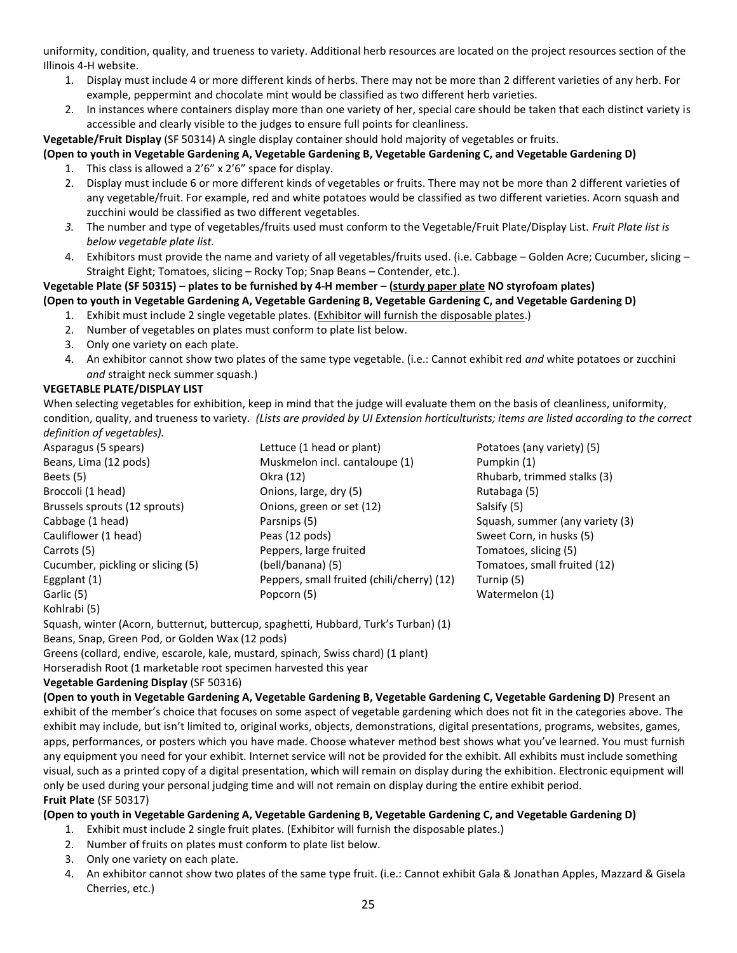uniformity, condition, quality, and trueness to variety. Additional herb resources are located on the project resources section of the Illinois 4-H website.

- 1. Display must include 4 or more different kinds of herbs. There may not be more than 2 different varieties of any herb. For example, peppermint and chocolate mint would be classified as two different herb varieties.
- 2. In instances where containers display more than one variety of her, special care should be taken that each distinct variety is accessible and clearly visible to the judges to ensure full points for cleanliness.

**Vegetable/Fruit Display** (SF 50314) A single display container should hold majority of vegetables or fruits.

### **(Open to youth in Vegetable Gardening A, Vegetable Gardening B, Vegetable Gardening C, and Vegetable Gardening D)**

- 1. This class is allowed a 2'6" x 2'6" space for display.
- 2. Display must include 6 or more different kinds of vegetables or fruits. There may not be more than 2 different varieties of any vegetable/fruit. For example, red and white potatoes would be classified as two different varieties. Acorn squash and zucchini would be classified as two different vegetables.
- *3.* The number and type of vegetables/fruits used must conform to the Vegetable/Fruit Plate/Display List. *Fruit Plate list is below vegetable plate list.*
- 4. Exhibitors must provide the name and variety of all vegetables/fruits used. (i.e. Cabbage Golden Acre; Cucumber, slicing Straight Eight; Tomatoes, slicing – Rocky Top; Snap Beans – Contender, etc.).

## **Vegetable Plate (SF 50315) – plates to be furnished by 4-H member – (sturdy paper plate NO styrofoam plates)**

### **(Open to youth in Vegetable Gardening A, Vegetable Gardening B, Vegetable Gardening C, and Vegetable Gardening D)**

- 1. Exhibit must include 2 single vegetable plates. (Exhibitor will furnish the disposable plates.)
- 2. Number of vegetables on plates must conform to plate list below.
- 3. Only one variety on each plate.
- 4. An exhibitor cannot show two plates of the same type vegetable. (i.e.: Cannot exhibit red *and* white potatoes or zucchini *and* straight neck summer squash.)

### **VEGETABLE PLATE/DISPLAY LIST**

When selecting vegetables for exhibition, keep in mind that the judge will evaluate them on the basis of cleanliness, uniformity, condition, quality, and trueness to variety*. (Lists are provided by UI Extension horticulturists; items are listed according to the correct definition of vegetables).*

- Kohlrabi (5)
- Asparagus (5 spears) Lettuce (1 head or plant) Potatoes (any variety) (5) Beans, Lima (12 pods) **Muskmelon incl. cantaloupe (1)** Pumpkin (1) Beets (5) **Beets** (5) **Rights** Colora (12) **Rhubarb, trimmed stalks (3) Rhubarb, trimmed stalks (3)** Broccoli (1 head) **Broccoli** (1 head) **Coniciliate Control** Conions, large, dry (5) **Rutabaga (6)** Rutabaga (5) Brussels sprouts (12 sprouts) Chions, green or set (12) Salsify (5) Cabbage (1 head) **Parsnips (5)** Parsnips (5) Squash, summer (any variety (3) Cauliflower (1 head) Peas (12 pods) Sweet Corn, in husks (5) Carrots (5) Peppers, large fruited Tomatoes, slicing (5) Cucumber, pickling or slicing (5) (bell/banana) (5) Tomatoes, small fruited (12) Eggplant (1) Peppers, small fruited (chili/cherry) (12) Turnip (5) Garlic (5) **Carlic (5)** Popcorn (5) **Carlic (5)** Watermelon (1)
	-

Squash, winter (Acorn, butternut, buttercup, spaghetti, Hubbard, Turk's Turban) (1) Beans, Snap, Green Pod, or Golden Wax (12 pods)

Greens (collard, endive, escarole, kale, mustard, spinach, Swiss chard) (1 plant) Horseradish Root (1 marketable root specimen harvested this year

#### **Vegetable Gardening Display** (SF 50316)

**(Open to youth in Vegetable Gardening A, Vegetable Gardening B, Vegetable Gardening C, Vegetable Gardening D)** Present an exhibit of the member's choice that focuses on some aspect of vegetable gardening which does not fit in the categories above. The exhibit may include, but isn't limited to, original works, objects, demonstrations, digital presentations, programs, websites, games, apps, performances, or posters which you have made. Choose whatever method best shows what you've learned. You must furnish any equipment you need for your exhibit. Internet service will not be provided for the exhibit. All exhibits must include something visual, such as a printed copy of a digital presentation, which will remain on display during the exhibition. Electronic equipment will only be used during your personal judging time and will not remain on display during the entire exhibit period. **Fruit Plate** (SF 50317)

### **(Open to youth in Vegetable Gardening A, Vegetable Gardening B, Vegetable Gardening C, and Vegetable Gardening D)**

- 1. Exhibit must include 2 single fruit plates. (Exhibitor will furnish the disposable plates.)
- 2. Number of fruits on plates must conform to plate list below.
- 3. Only one variety on each plate.
- 4. An exhibitor cannot show two plates of the same type fruit. (i.e.: Cannot exhibit Gala & Jonathan Apples, Mazzard & Gisela Cherries, etc.)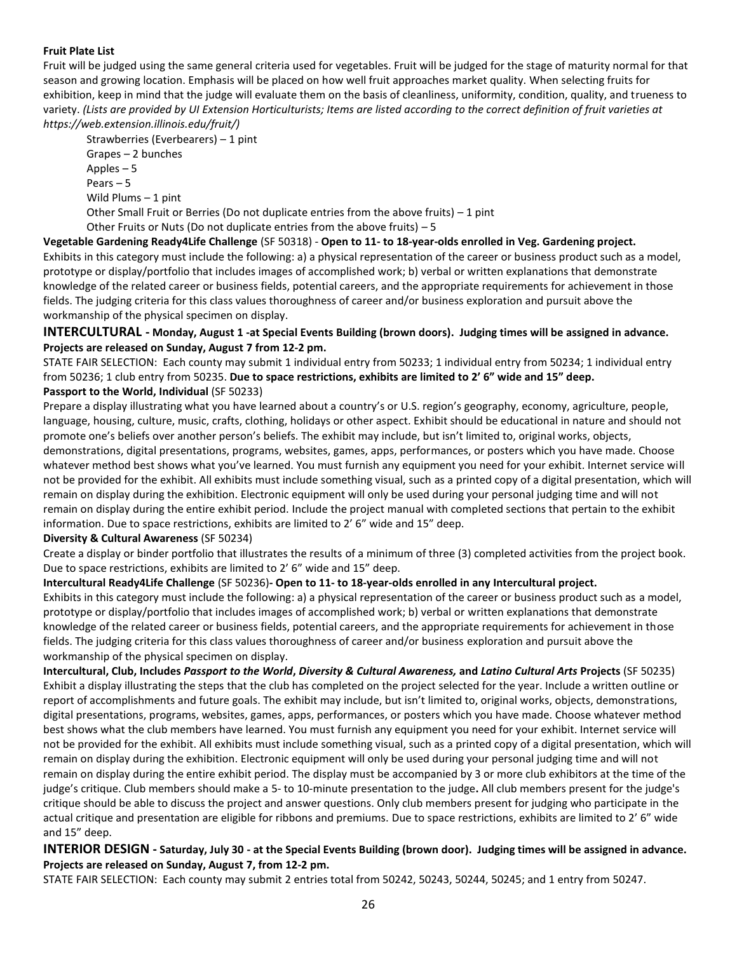#### **Fruit Plate List**

Fruit will be judged using the same general criteria used for vegetables. Fruit will be judged for the stage of maturity normal for that season and growing location. Emphasis will be placed on how well fruit approaches market quality. When selecting fruits for exhibition, keep in mind that the judge will evaluate them on the basis of cleanliness, uniformity, condition, quality, and trueness to variety. *(Lists are provided by UI Extension Horticulturists; Items are listed according to the correct definition of fruit varieties at https://web.extension.illinois.edu/fruit/)*

Strawberries (Everbearers) – 1 pint Grapes – 2 bunches Apples – 5 Pears – 5 Wild Plums – 1 pint

Other Small Fruit or Berries (Do not duplicate entries from the above fruits) – 1 pint

Other Fruits or Nuts (Do not duplicate entries from the above fruits) – 5

**Vegetable Gardening Ready4Life Challenge** (SF 50318) - **Open to 11- to 18-year-olds enrolled in Veg. Gardening project.** Exhibits in this category must include the following: a) a physical representation of the career or business product such as a model, prototype or display/portfolio that includes images of accomplished work; b) verbal or written explanations that demonstrate knowledge of the related career or business fields, potential careers, and the appropriate requirements for achievement in those fields. The judging criteria for this class values thoroughness of career and/or business exploration and pursuit above the workmanship of the physical specimen on display.

#### **INTERCULTURAL - Monday, August 1 -at Special Events Building (brown doors). Judging times will be assigned in advance. Projects are released on Sunday, August 7 from 12-2 pm.**

STATE FAIR SELECTION: Each county may submit 1 individual entry from 50233; 1 individual entry from 50234; 1 individual entry from 50236; 1 club entry from 50235. **Due to space restrictions, exhibits are limited to 2' 6" wide and 15" deep. Passport to the World, Individual** (SF 50233)

Prepare a display illustrating what you have learned about a country's or U.S. region's geography, economy, agriculture, people, language, housing, culture, music, crafts, clothing, holidays or other aspect. Exhibit should be educational in nature and should not promote one's beliefs over another person's beliefs. The exhibit may include, but isn't limited to, original works, objects, demonstrations, digital presentations, programs, websites, games, apps, performances, or posters which you have made. Choose whatever method best shows what you've learned. You must furnish any equipment you need for your exhibit. Internet service will not be provided for the exhibit. All exhibits must include something visual, such as a printed copy of a digital presentation, which will remain on display during the exhibition. Electronic equipment will only be used during your personal judging time and will not remain on display during the entire exhibit period. Include the project manual with completed sections that pertain to the exhibit information. Due to space restrictions, exhibits are limited to 2' 6" wide and 15" deep.

#### **Diversity & Cultural Awareness** (SF 50234)

Create a display or binder portfolio that illustrates the results of a minimum of three (3) completed activities from the project book. Due to space restrictions, exhibits are limited to 2' 6" wide and 15" deep.

#### **Intercultural Ready4Life Challenge** (SF 50236)**- Open to 11- to 18-year-olds enrolled in any Intercultural project.**

Exhibits in this category must include the following: a) a physical representation of the career or business product such as a model, prototype or display/portfolio that includes images of accomplished work; b) verbal or written explanations that demonstrate knowledge of the related career or business fields, potential careers, and the appropriate requirements for achievement in those fields. The judging criteria for this class values thoroughness of career and/or business exploration and pursuit above the workmanship of the physical specimen on display.

**Intercultural, Club, Includes** *Passport to the World***,** *Diversity & Cultural Awareness,* **and** *Latino Cultural Arts* **Projects** (SF 50235) Exhibit a display illustrating the steps that the club has completed on the project selected for the year. Include a written outline or report of accomplishments and future goals. The exhibit may include, but isn't limited to, original works, objects, demonstrations, digital presentations, programs, websites, games, apps, performances, or posters which you have made. Choose whatever method best shows what the club members have learned. You must furnish any equipment you need for your exhibit. Internet service will not be provided for the exhibit. All exhibits must include something visual, such as a printed copy of a digital presentation, which will remain on display during the exhibition. Electronic equipment will only be used during your personal judging time and will not remain on display during the entire exhibit period. The display must be accompanied by 3 or more club exhibitors at the time of the judge's critique. Club members should make a 5- to 10-minute presentation to the judge**.** All club members present for the judge's critique should be able to discuss the project and answer questions. Only club members present for judging who participate in the actual critique and presentation are eligible for ribbons and premiums. Due to space restrictions, exhibits are limited to 2' 6" wide and 15" deep.

### **INTERIOR DESIGN - Saturday, July 30 - at the Special Events Building (brown door). Judging times will be assigned in advance. Projects are released on Sunday, August 7, from 12-2 pm.**

STATE FAIR SELECTION: Each county may submit 2 entries total from 50242, 50243, 50244, 50245; and 1 entry from 50247.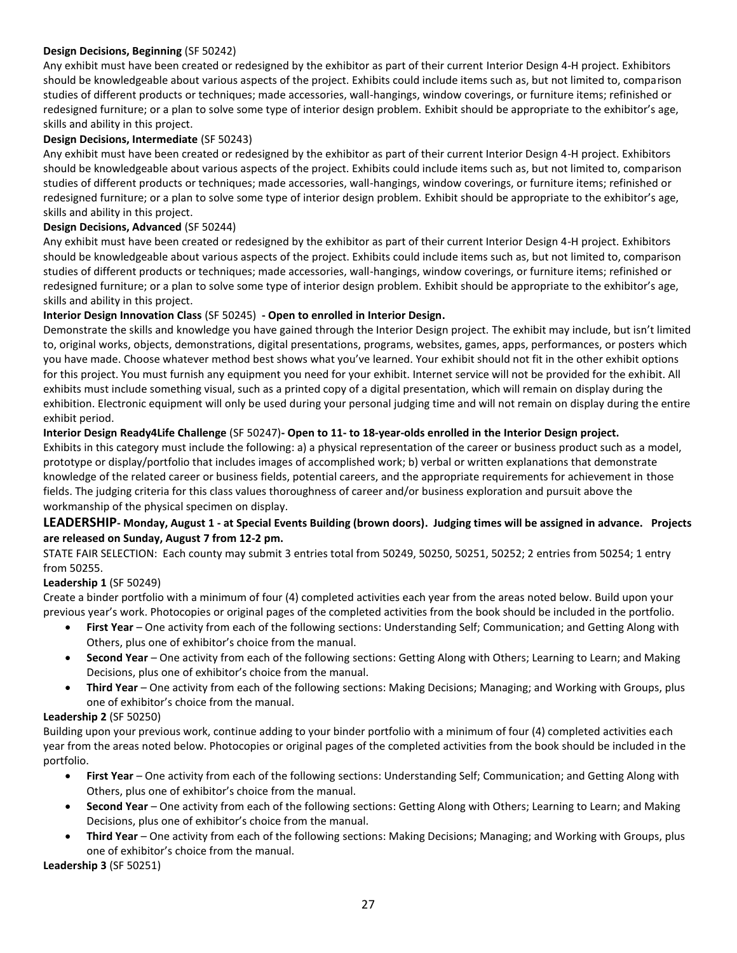#### **Design Decisions, Beginning** (SF 50242)

Any exhibit must have been created or redesigned by the exhibitor as part of their current Interior Design 4-H project. Exhibitors should be knowledgeable about various aspects of the project. Exhibits could include items such as, but not limited to, comparison studies of different products or techniques; made accessories, wall-hangings, window coverings, or furniture items; refinished or redesigned furniture; or a plan to solve some type of interior design problem. Exhibit should be appropriate to the exhibitor's age, skills and ability in this project.

#### **Design Decisions, Intermediate** (SF 50243)

Any exhibit must have been created or redesigned by the exhibitor as part of their current Interior Design 4-H project. Exhibitors should be knowledgeable about various aspects of the project. Exhibits could include items such as, but not limited to, comparison studies of different products or techniques; made accessories, wall-hangings, window coverings, or furniture items; refinished or redesigned furniture; or a plan to solve some type of interior design problem. Exhibit should be appropriate to the exhibitor's age, skills and ability in this project.

#### **Design Decisions, Advanced** (SF 50244)

Any exhibit must have been created or redesigned by the exhibitor as part of their current Interior Design 4-H project. Exhibitors should be knowledgeable about various aspects of the project. Exhibits could include items such as, but not limited to, comparison studies of different products or techniques; made accessories, wall-hangings, window coverings, or furniture items; refinished or redesigned furniture; or a plan to solve some type of interior design problem. Exhibit should be appropriate to the exhibitor's age, skills and ability in this project.

#### **Interior Design Innovation Class** (SF 50245) **- Open to enrolled in Interior Design.**

Demonstrate the skills and knowledge you have gained through the Interior Design project. The exhibit may include, but isn't limited to, original works, objects, demonstrations, digital presentations, programs, websites, games, apps, performances, or posters which you have made. Choose whatever method best shows what you've learned. Your exhibit should not fit in the other exhibit options for this project. You must furnish any equipment you need for your exhibit. Internet service will not be provided for the exhibit. All exhibits must include something visual, such as a printed copy of a digital presentation, which will remain on display during the exhibition. Electronic equipment will only be used during your personal judging time and will not remain on display during the entire exhibit period.

#### **Interior Design Ready4Life Challenge** (SF 50247)**- Open to 11- to 18-year-olds enrolled in the Interior Design project.**

Exhibits in this category must include the following: a) a physical representation of the career or business product such as a model, prototype or display/portfolio that includes images of accomplished work; b) verbal or written explanations that demonstrate knowledge of the related career or business fields, potential careers, and the appropriate requirements for achievement in those fields. The judging criteria for this class values thoroughness of career and/or business exploration and pursuit above the workmanship of the physical specimen on display.

### **LEADERSHIP- Monday, August 1 - at Special Events Building (brown doors). Judging times will be assigned in advance. Projects are released on Sunday, August 7 from 12-2 pm.**

STATE FAIR SELECTION: Each county may submit 3 entries total from 50249, 50250, 50251, 50252; 2 entries from 50254; 1 entry from 50255.

#### **Leadership 1** (SF 50249)

Create a binder portfolio with a minimum of four (4) completed activities each year from the areas noted below. Build upon your previous year's work. Photocopies or original pages of the completed activities from the book should be included in the portfolio.

- **First Year** One activity from each of the following sections: Understanding Self; Communication; and Getting Along with Others, plus one of exhibitor's choice from the manual.
- **Second Year** One activity from each of the following sections: Getting Along with Others; Learning to Learn; and Making Decisions, plus one of exhibitor's choice from the manual.
- **Third Year** One activity from each of the following sections: Making Decisions; Managing; and Working with Groups, plus one of exhibitor's choice from the manual.

#### **Leadership 2** (SF 50250)

Building upon your previous work, continue adding to your binder portfolio with a minimum of four (4) completed activities each year from the areas noted below. Photocopies or original pages of the completed activities from the book should be included in the portfolio.

- **First Year** One activity from each of the following sections: Understanding Self; Communication; and Getting Along with Others, plus one of exhibitor's choice from the manual.
- **Second Year** One activity from each of the following sections: Getting Along with Others; Learning to Learn; and Making Decisions, plus one of exhibitor's choice from the manual.
- **Third Year** One activity from each of the following sections: Making Decisions; Managing; and Working with Groups, plus one of exhibitor's choice from the manual.

**Leadership 3** (SF 50251)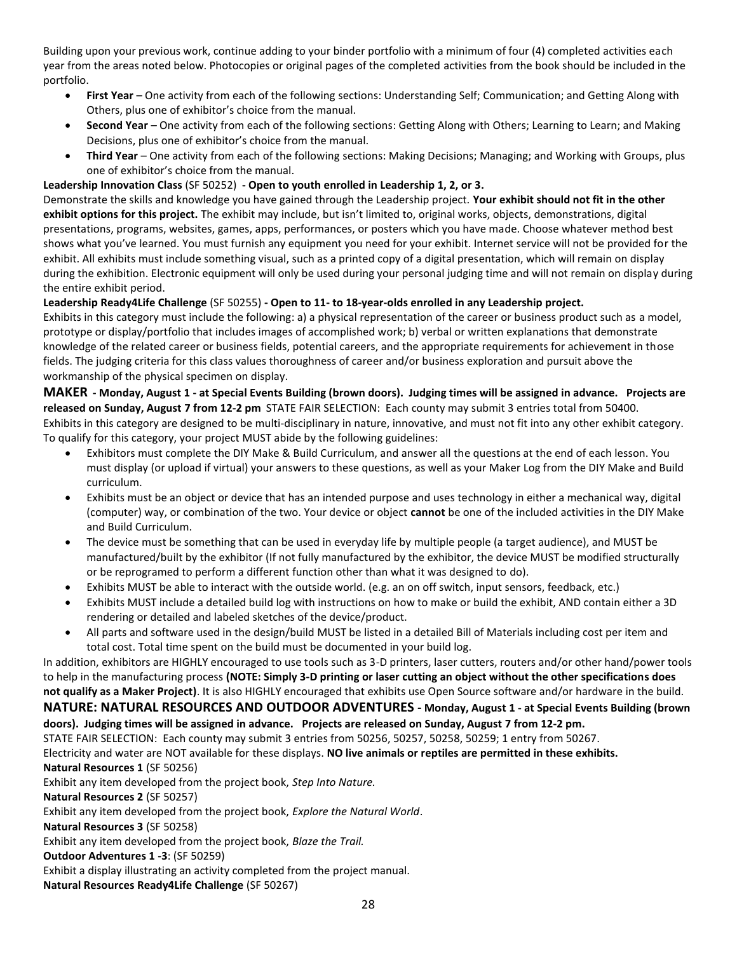Building upon your previous work, continue adding to your binder portfolio with a minimum of four (4) completed activities each year from the areas noted below. Photocopies or original pages of the completed activities from the book should be included in the portfolio.

- **First Year** One activity from each of the following sections: Understanding Self; Communication; and Getting Along with Others, plus one of exhibitor's choice from the manual.
- **Second Year** One activity from each of the following sections: Getting Along with Others; Learning to Learn; and Making Decisions, plus one of exhibitor's choice from the manual.
- **Third Year** One activity from each of the following sections: Making Decisions; Managing; and Working with Groups, plus one of exhibitor's choice from the manual.

### **Leadership Innovation Class** (SF 50252) **- Open to youth enrolled in Leadership 1, 2, or 3.**

Demonstrate the skills and knowledge you have gained through the Leadership project. **Your exhibit should not fit in the other exhibit options for this project.** The exhibit may include, but isn't limited to, original works, objects, demonstrations, digital presentations, programs, websites, games, apps, performances, or posters which you have made. Choose whatever method best shows what you've learned. You must furnish any equipment you need for your exhibit. Internet service will not be provided for the exhibit. All exhibits must include something visual, such as a printed copy of a digital presentation, which will remain on display during the exhibition. Electronic equipment will only be used during your personal judging time and will not remain on display during the entire exhibit period.

#### **Leadership Ready4Life Challenge** (SF 50255) **- Open to 11- to 18-year-olds enrolled in any Leadership project.**

Exhibits in this category must include the following: a) a physical representation of the career or business product such as a model, prototype or display/portfolio that includes images of accomplished work; b) verbal or written explanations that demonstrate knowledge of the related career or business fields, potential careers, and the appropriate requirements for achievement in those fields. The judging criteria for this class values thoroughness of career and/or business exploration and pursuit above the workmanship of the physical specimen on display.

#### **MAKER - Monday, August 1 - at Special Events Building (brown doors). Judging times will be assigned in advance. Projects are released on Sunday, August 7 from 12-2 pm** STATE FAIR SELECTION: Each county may submit 3 entries total from 50400. Exhibits in this category are designed to be multi-disciplinary in nature, innovative, and must not fit into any other exhibit category. To qualify for this category, your project MUST abide by the following guidelines:

- Exhibitors must complete the DIY Make & Build Curriculum, and answer all the questions at the end of each lesson. You must display (or upload if virtual) your answers to these questions, as well as your Maker Log from the DIY Make and Build curriculum.
- Exhibits must be an object or device that has an intended purpose and uses technology in either a mechanical way, digital (computer) way, or combination of the two. Your device or object **cannot** be one of the included activities in the DIY Make and Build Curriculum.
- The device must be something that can be used in everyday life by multiple people (a target audience), and MUST be manufactured/built by the exhibitor (If not fully manufactured by the exhibitor, the device MUST be modified structurally or be reprogramed to perform a different function other than what it was designed to do).
- Exhibits MUST be able to interact with the outside world. (e.g. an on off switch, input sensors, feedback, etc.)
- Exhibits MUST include a detailed build log with instructions on how to make or build the exhibit, AND contain either a 3D rendering or detailed and labeled sketches of the device/product.
- All parts and software used in the design/build MUST be listed in a detailed Bill of Materials including cost per item and total cost. Total time spent on the build must be documented in your build log.

In addition, exhibitors are HIGHLY encouraged to use tools such as 3-D printers, laser cutters, routers and/or other hand/power tools to help in the manufacturing process **(NOTE: Simply 3-D printing or laser cutting an object without the other specifications does not qualify as a Maker Project)**. It is also HIGHLY encouraged that exhibits use Open Source software and/or hardware in the build. **NATURE: NATURAL RESOURCES AND OUTDOOR ADVENTURES - Monday, August 1 - at Special Events Building (brown** 

#### **doors). Judging times will be assigned in advance. Projects are released on Sunday, August 7 from 12-2 pm.**

STATE FAIR SELECTION: Each county may submit 3 entries from 50256, 50257, 50258, 50259; 1 entry from 50267.

Electricity and water are NOT available for these displays. **NO live animals or reptiles are permitted in these exhibits.**

#### **Natural Resources 1** (SF 50256)

Exhibit any item developed from the project book, *Step Into Nature.*

**Natural Resources 2** (SF 50257)

Exhibit any item developed from the project book, *Explore the Natural World*.

**Natural Resources 3** (SF 50258)

Exhibit any item developed from the project book, *Blaze the Trail.* 

**Outdoor Adventures 1 -3**: (SF 50259)

Exhibit a display illustrating an activity completed from the project manual.

**Natural Resources Ready4Life Challenge** (SF 50267)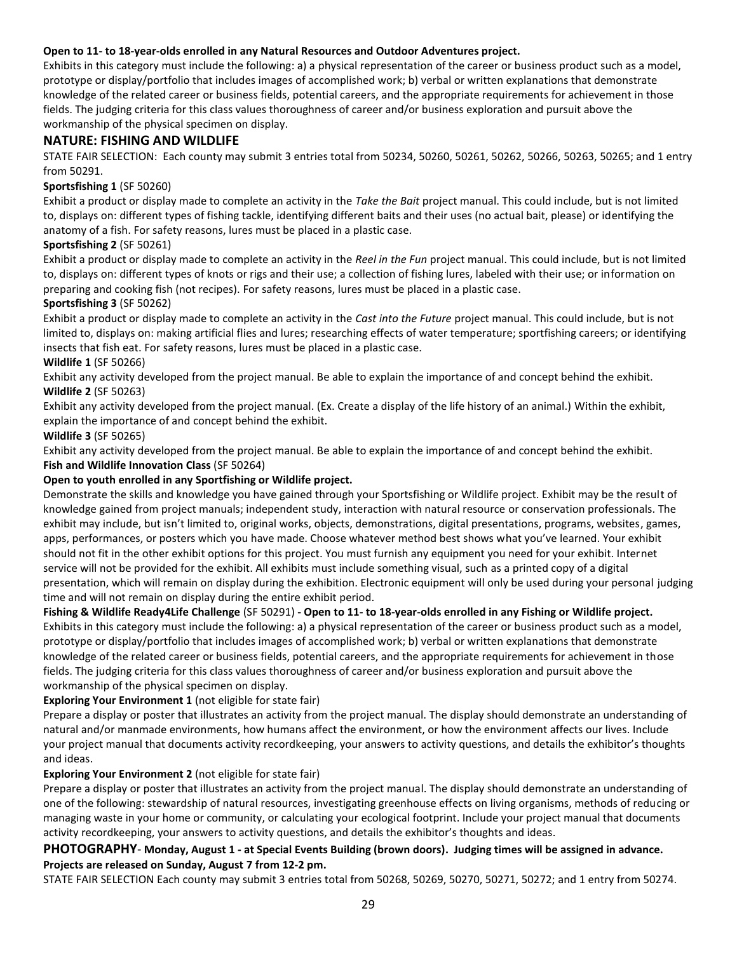#### **Open to 11- to 18-year-olds enrolled in any Natural Resources and Outdoor Adventures project.**

Exhibits in this category must include the following: a) a physical representation of the career or business product such as a model, prototype or display/portfolio that includes images of accomplished work; b) verbal or written explanations that demonstrate knowledge of the related career or business fields, potential careers, and the appropriate requirements for achievement in those fields. The judging criteria for this class values thoroughness of career and/or business exploration and pursuit above the workmanship of the physical specimen on display.

### **NATURE: FISHING AND WILDLIFE**

STATE FAIR SELECTION: Each county may submit 3 entries total from 50234, 50260, 50261, 50262, 50266, 50263, 50265; and 1 entry from 50291.

#### **Sportsfishing 1** (SF 50260)

Exhibit a product or display made to complete an activity in the *Take the Bait* project manual. This could include, but is not limited to, displays on: different types of fishing tackle, identifying different baits and their uses (no actual bait, please) or identifying the anatomy of a fish. For safety reasons, lures must be placed in a plastic case.

#### **Sportsfishing 2** (SF 50261)

Exhibit a product or display made to complete an activity in the *Reel in the Fun* project manual. This could include, but is not limited to, displays on: different types of knots or rigs and their use; a collection of fishing lures, labeled with their use; or information on preparing and cooking fish (not recipes). For safety reasons, lures must be placed in a plastic case.

#### **Sportsfishing 3** (SF 50262)

Exhibit a product or display made to complete an activity in the *Cast into the Future* project manual. This could include, but is not limited to, displays on: making artificial flies and lures; researching effects of water temperature; sportfishing careers; or identifying insects that fish eat. For safety reasons, lures must be placed in a plastic case.

#### **Wildlife 1** (SF 50266)

Exhibit any activity developed from the project manual. Be able to explain the importance of and concept behind the exhibit. **Wildlife 2** (SF 50263)

Exhibit any activity developed from the project manual. (Ex. Create a display of the life history of an animal.) Within the exhibit, explain the importance of and concept behind the exhibit.

#### **Wildlife 3** (SF 50265)

Exhibit any activity developed from the project manual. Be able to explain the importance of and concept behind the exhibit. **Fish and Wildlife Innovation Class** (SF 50264)

#### **Open to youth enrolled in any Sportfishing or Wildlife project.**

Demonstrate the skills and knowledge you have gained through your Sportsfishing or Wildlife project. Exhibit may be the result of knowledge gained from project manuals; independent study, interaction with natural resource or conservation professionals. The exhibit may include, but isn't limited to, original works, objects, demonstrations, digital presentations, programs, websites, games, apps, performances, or posters which you have made. Choose whatever method best shows what you've learned. Your exhibit should not fit in the other exhibit options for this project. You must furnish any equipment you need for your exhibit. Internet service will not be provided for the exhibit. All exhibits must include something visual, such as a printed copy of a digital presentation, which will remain on display during the exhibition. Electronic equipment will only be used during your personal judging time and will not remain on display during the entire exhibit period.

#### **Fishing & Wildlife Ready4Life Challenge** (SF 50291) **- Open to 11- to 18-year-olds enrolled in any Fishing or Wildlife project.**

Exhibits in this category must include the following: a) a physical representation of the career or business product such as a model, prototype or display/portfolio that includes images of accomplished work; b) verbal or written explanations that demonstrate knowledge of the related career or business fields, potential careers, and the appropriate requirements for achievement in those fields. The judging criteria for this class values thoroughness of career and/or business exploration and pursuit above the workmanship of the physical specimen on display.

#### **Exploring Your Environment 1** (not eligible for state fair)

Prepare a display or poster that illustrates an activity from the project manual. The display should demonstrate an understanding of natural and/or manmade environments, how humans affect the environment, or how the environment affects our lives. Include your project manual that documents activity recordkeeping, your answers to activity questions, and details the exhibitor's thoughts and ideas.

#### **Exploring Your Environment 2** (not eligible for state fair)

Prepare a display or poster that illustrates an activity from the project manual. The display should demonstrate an understanding of one of the following: stewardship of natural resources, investigating greenhouse effects on living organisms, methods of reducing or managing waste in your home or community, or calculating your ecological footprint. Include your project manual that documents activity recordkeeping, your answers to activity questions, and details the exhibitor's thoughts and ideas.

### **PHOTOGRAPHY**- **Monday, August 1 - at Special Events Building (brown doors). Judging times will be assigned in advance. Projects are released on Sunday, August 7 from 12-2 pm.**

STATE FAIR SELECTION Each county may submit 3 entries total from 50268, 50269, 50270, 50271, 50272; and 1 entry from 50274.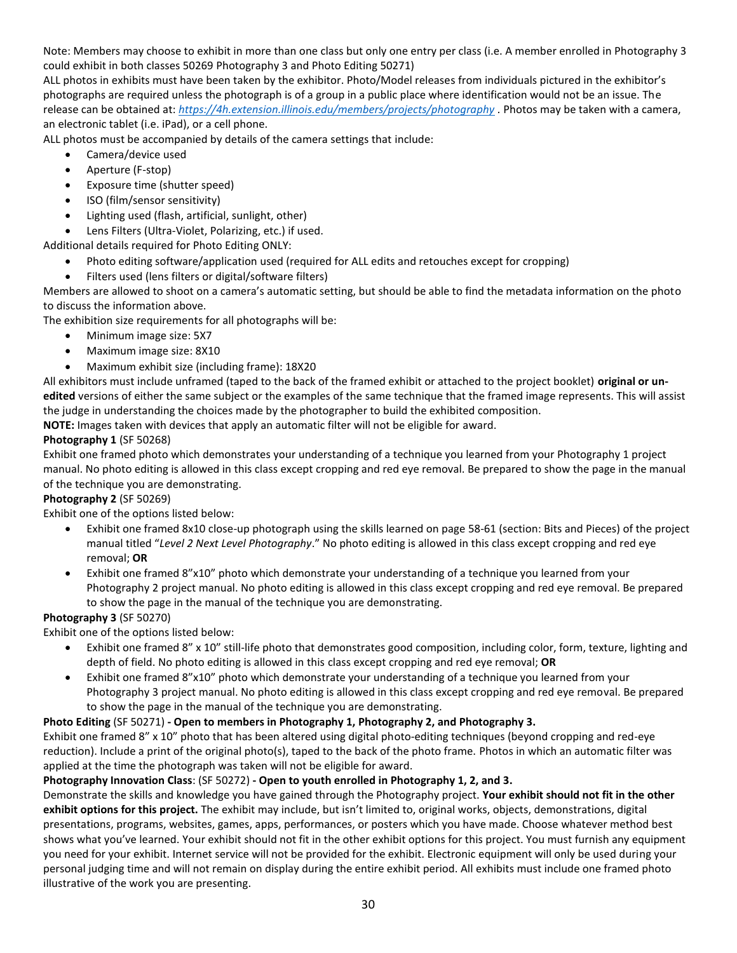Note: Members may choose to exhibit in more than one class but only one entry per class (i.e. A member enrolled in Photography 3 could exhibit in both classes 50269 Photography 3 and Photo Editing 50271)

ALL photos in exhibits must have been taken by the exhibitor. Photo/Model releases from individuals pictured in the exhibitor's photographs are required unless the photograph is of a group in a public place where identification would not be an issue. The release can be obtained at: *<https://4h.extension.illinois.edu/members/projects/photography> .* Photos may be taken with a camera, an electronic tablet (i.e. iPad), or a cell phone.

ALL photos must be accompanied by details of the camera settings that include:

- Camera/device used
- Aperture (F-stop)
- Exposure time (shutter speed)
- ISO (film/sensor sensitivity)
- Lighting used (flash, artificial, sunlight, other)
- Lens Filters (Ultra-Violet, Polarizing, etc.) if used.

Additional details required for Photo Editing ONLY:

- Photo editing software/application used (required for ALL edits and retouches except for cropping)
- Filters used (lens filters or digital/software filters)

Members are allowed to shoot on a camera's automatic setting, but should be able to find the metadata information on the photo to discuss the information above.

The exhibition size requirements for all photographs will be:

- Minimum image size: 5X7
- Maximum image size: 8X10
- Maximum exhibit size (including frame): 18X20

All exhibitors must include unframed (taped to the back of the framed exhibit or attached to the project booklet) **original or unedited** versions of either the same subject or the examples of the same technique that the framed image represents. This will assist the judge in understanding the choices made by the photographer to build the exhibited composition.

**NOTE:** Images taken with devices that apply an automatic filter will not be eligible for award.

### **Photography 1** (SF 50268)

Exhibit one framed photo which demonstrates your understanding of a technique you learned from your Photography 1 project manual. No photo editing is allowed in this class except cropping and red eye removal. Be prepared to show the page in the manual of the technique you are demonstrating.

### **Photography 2** (SF 50269)

Exhibit one of the options listed below:

- Exhibit one framed 8x10 close-up photograph using the skills learned on page 58-61 (section: Bits and Pieces) of the project manual titled "*Level 2 Next Level Photography*." No photo editing is allowed in this class except cropping and red eye removal; **OR**
- Exhibit one framed 8"x10" photo which demonstrate your understanding of a technique you learned from your Photography 2 project manual. No photo editing is allowed in this class except cropping and red eye removal. Be prepared to show the page in the manual of the technique you are demonstrating.

### **Photography 3** (SF 50270)

Exhibit one of the options listed below:

- Exhibit one framed 8" x 10" still-life photo that demonstrates good composition, including color, form, texture, lighting and depth of field. No photo editing is allowed in this class except cropping and red eye removal; **OR**
- Exhibit one framed 8"x10" photo which demonstrate your understanding of a technique you learned from your Photography 3 project manual. No photo editing is allowed in this class except cropping and red eye removal. Be prepared to show the page in the manual of the technique you are demonstrating.

### **Photo Editing** (SF 50271) **- Open to members in Photography 1, Photography 2, and Photography 3.**

Exhibit one framed 8" x 10" photo that has been altered using digital photo-editing techniques (beyond cropping and red-eye reduction). Include a print of the original photo(s), taped to the back of the photo frame. Photos in which an automatic filter was applied at the time the photograph was taken will not be eligible for award.

### **Photography Innovation Class**: (SF 50272) **- Open to youth enrolled in Photography 1, 2, and 3.**

Demonstrate the skills and knowledge you have gained through the Photography project. **Your exhibit should not fit in the other exhibit options for this project.** The exhibit may include, but isn't limited to, original works, objects, demonstrations, digital presentations, programs, websites, games, apps, performances, or posters which you have made. Choose whatever method best shows what you've learned. Your exhibit should not fit in the other exhibit options for this project. You must furnish any equipment you need for your exhibit. Internet service will not be provided for the exhibit. Electronic equipment will only be used during your personal judging time and will not remain on display during the entire exhibit period. All exhibits must include one framed photo illustrative of the work you are presenting.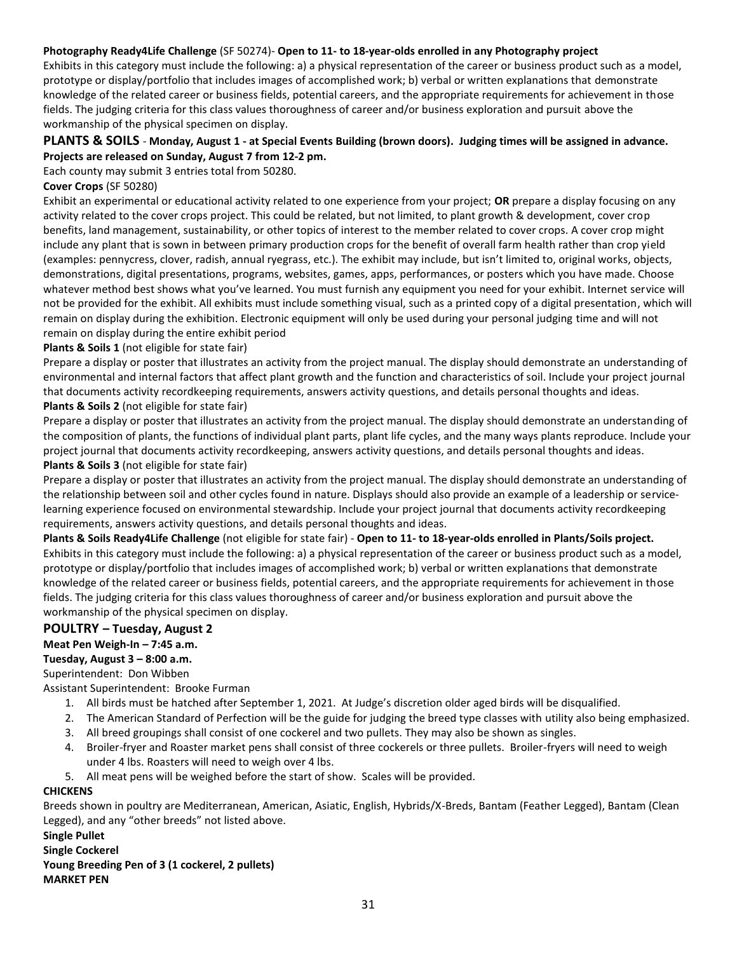#### **Photography Ready4Life Challenge** (SF 50274)- **Open to 11- to 18-year-olds enrolled in any Photography project**

Exhibits in this category must include the following: a) a physical representation of the career or business product such as a model, prototype or display/portfolio that includes images of accomplished work; b) verbal or written explanations that demonstrate knowledge of the related career or business fields, potential careers, and the appropriate requirements for achievement in those fields. The judging criteria for this class values thoroughness of career and/or business exploration and pursuit above the workmanship of the physical specimen on display.

### **PLANTS & SOILS** - **Monday, August 1 - at Special Events Building (brown doors). Judging times will be assigned in advance. Projects are released on Sunday, August 7 from 12-2 pm.**

Each county may submit 3 entries total from 50280.

#### **Cover Crops** (SF 50280)

Exhibit an experimental or educational activity related to one experience from your project; **OR** prepare a display focusing on any activity related to the cover crops project. This could be related, but not limited, to plant growth & development, cover crop benefits, land management, sustainability, or other topics of interest to the member related to cover crops. A cover crop might include any plant that is sown in between primary production crops for the benefit of overall farm health rather than crop yield (examples: pennycress, clover, radish, annual ryegrass, etc.). The exhibit may include, but isn't limited to, original works, objects, demonstrations, digital presentations, programs, websites, games, apps, performances, or posters which you have made. Choose whatever method best shows what you've learned. You must furnish any equipment you need for your exhibit. Internet service will not be provided for the exhibit. All exhibits must include something visual, such as a printed copy of a digital presentation, which will remain on display during the exhibition. Electronic equipment will only be used during your personal judging time and will not remain on display during the entire exhibit period

### **Plants & Soils 1** (not eligible for state fair)

Prepare a display or poster that illustrates an activity from the project manual. The display should demonstrate an understanding of environmental and internal factors that affect plant growth and the function and characteristics of soil. Include your project journal that documents activity recordkeeping requirements, answers activity questions, and details personal thoughts and ideas.

### **Plants & Soils 2** (not eligible for state fair)

Prepare a display or poster that illustrates an activity from the project manual. The display should demonstrate an understanding of the composition of plants, the functions of individual plant parts, plant life cycles, and the many ways plants reproduce. Include your project journal that documents activity recordkeeping, answers activity questions, and details personal thoughts and ideas. **Plants & Soils 3** (not eligible for state fair)

Prepare a display or poster that illustrates an activity from the project manual. The display should demonstrate an understanding of the relationship between soil and other cycles found in nature. Displays should also provide an example of a leadership or servicelearning experience focused on environmental stewardship. Include your project journal that documents activity recordkeeping requirements, answers activity questions, and details personal thoughts and ideas.

**Plants & Soils Ready4Life Challenge** (not eligible for state fair) - **Open to 11- to 18-year-olds enrolled in Plants/Soils project.** Exhibits in this category must include the following: a) a physical representation of the career or business product such as a model, prototype or display/portfolio that includes images of accomplished work; b) verbal or written explanations that demonstrate knowledge of the related career or business fields, potential careers, and the appropriate requirements for achievement in those fields. The judging criteria for this class values thoroughness of career and/or business exploration and pursuit above the workmanship of the physical specimen on display.

### **POULTRY – Tuesday, August 2**

### **Meat Pen Weigh-In – 7:45 a.m.**

#### **Tuesday, August 3 – 8:00 a.m.**

#### Superintendent: Don Wibben

Assistant Superintendent: Brooke Furman

- 1. All birds must be hatched after September 1, 2021. At Judge's discretion older aged birds will be disqualified.
- 2. The American Standard of Perfection will be the guide for judging the breed type classes with utility also being emphasized.
- 3. All breed groupings shall consist of one cockerel and two pullets. They may also be shown as singles.
- 4. Broiler-fryer and Roaster market pens shall consist of three cockerels or three pullets. Broiler-fryers will need to weigh under 4 lbs. Roasters will need to weigh over 4 lbs.
- 5. All meat pens will be weighed before the start of show. Scales will be provided.

#### **CHICKENS**

Breeds shown in poultry are Mediterranean, American, Asiatic, English, Hybrids/X-Breds, Bantam (Feather Legged), Bantam (Clean Legged), and any "other breeds" not listed above.

#### **Single Pullet**

**Single Cockerel**

### **Young Breeding Pen of 3 (1 cockerel, 2 pullets)**

**MARKET PEN**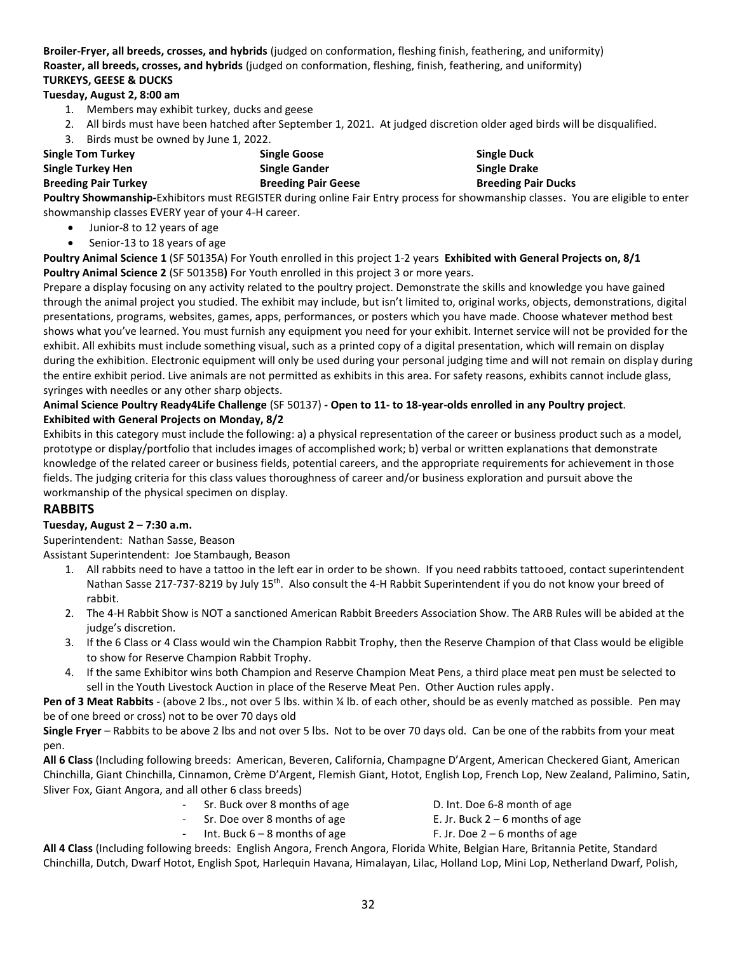**Broiler-Fryer, all breeds, crosses, and hybrids** (judged on conformation, fleshing finish, feathering, and uniformity) **Roaster, all breeds, crosses, and hybrids** (judged on conformation, fleshing, finish, feathering, and uniformity) **TURKEYS, GEESE & DUCKS**

### **Tuesday, August 2, 8:00 am**

- 1. Members may exhibit turkey, ducks and geese
- 2. All birds must have been hatched after September 1, 2021. At judged discretion older aged birds will be disqualified.
- 3. Birds must be owned by June 1, 2022.

| <b>Single Tom Turkey</b>    | <b>Single Goose</b>        | <b>Single Duck</b>         |
|-----------------------------|----------------------------|----------------------------|
| Single Turkey Hen           | <b>Single Gander</b>       | <b>Single Drake</b>        |
| <b>Breeding Pair Turkey</b> | <b>Breeding Pair Geese</b> | <b>Breeding Pair Ducks</b> |

**Poultry Showmanship***-*Exhibitors must REGISTER during online Fair Entry process for showmanship classes. You are eligible to enter showmanship classes EVERY year of your 4-H career.

- Junior-8 to 12 years of age
- Senior-13 to 18 years of age

**Poultry Animal Science 1** (SF 50135A) For Youth enrolled in this project 1-2 years **Exhibited with General Projects on, 8/1 Poultry Animal Science 2** (SF 50135B**)** For Youth enrolled in this project 3 or more years.

Prepare a display focusing on any activity related to the poultry project. Demonstrate the skills and knowledge you have gained through the animal project you studied. The exhibit may include, but isn't limited to, original works, objects, demonstrations, digital presentations, programs, websites, games, apps, performances, or posters which you have made. Choose whatever method best shows what you've learned. You must furnish any equipment you need for your exhibit. Internet service will not be provided for the exhibit. All exhibits must include something visual, such as a printed copy of a digital presentation, which will remain on display during the exhibition. Electronic equipment will only be used during your personal judging time and will not remain on display during the entire exhibit period. Live animals are not permitted as exhibits in this area. For safety reasons, exhibits cannot include glass, syringes with needles or any other sharp objects.

### **Animal Science Poultry Ready4Life Challenge** (SF 50137) **- Open to 11- to 18-year-olds enrolled in any Poultry project**. **Exhibited with General Projects on Monday, 8/2**

Exhibits in this category must include the following: a) a physical representation of the career or business product such as a model, prototype or display/portfolio that includes images of accomplished work; b) verbal or written explanations that demonstrate knowledge of the related career or business fields, potential careers, and the appropriate requirements for achievement in those fields. The judging criteria for this class values thoroughness of career and/or business exploration and pursuit above the workmanship of the physical specimen on display.

### **RABBITS**

### **Tuesday, August 2 – 7:30 a.m.**

Superintendent: Nathan Sasse, Beason

Assistant Superintendent: Joe Stambaugh, Beason

- 1. All rabbits need to have a tattoo in the left ear in order to be shown. If you need rabbits tattooed, contact superintendent Nathan Sasse 217-737-8219 by July 15<sup>th</sup>. Also consult the 4-H Rabbit Superintendent if you do not know your breed of rabbit.
- 2. The 4-H Rabbit Show is NOT a sanctioned American Rabbit Breeders Association Show. The ARB Rules will be abided at the judge's discretion.
- 3. If the 6 Class or 4 Class would win the Champion Rabbit Trophy, then the Reserve Champion of that Class would be eligible to show for Reserve Champion Rabbit Trophy.
- 4. If the same Exhibitor wins both Champion and Reserve Champion Meat Pens, a third place meat pen must be selected to sell in the Youth Livestock Auction in place of the Reserve Meat Pen. Other Auction rules apply.

**Pen of 3 Meat Rabbits** - (above 2 lbs., not over 5 lbs. within ¼ lb. of each other, should be as evenly matched as possible. Pen may be of one breed or cross) not to be over 70 days old

**Single Fryer** – Rabbits to be above 2 lbs and not over 5 lbs. Not to be over 70 days old. Can be one of the rabbits from your meat pen.

**All 6 Class** (Including following breeds: American, Beveren, California, Champagne D'Argent, American Checkered Giant, American Chinchilla, Giant Chinchilla, Cinnamon, Crème D'Argent, Flemish Giant, Hotot, English Lop, French Lop, New Zealand, Palimino, Satin, Sliver Fox, Giant Angora, and all other 6 class breeds)

- Sr. Buck over 8 months of age D. Int. Doe 6-8 month of age
	-
	-
- 
- $Sr. Doe over 8 months of age$  E. Jr. Buck  $2 6$  months of age
- Int. Buck  $6 8$  months of age  $\begin{array}{ccc} \text{F. Jr.} & \text{Doe } 2 6 \text{ months of age} \end{array}$

**All 4 Class** (Including following breeds: English Angora, French Angora, Florida White, Belgian Hare, Britannia Petite, Standard Chinchilla, Dutch, Dwarf Hotot, English Spot, Harlequin Havana, Himalayan, Lilac, Holland Lop, Mini Lop, Netherland Dwarf, Polish,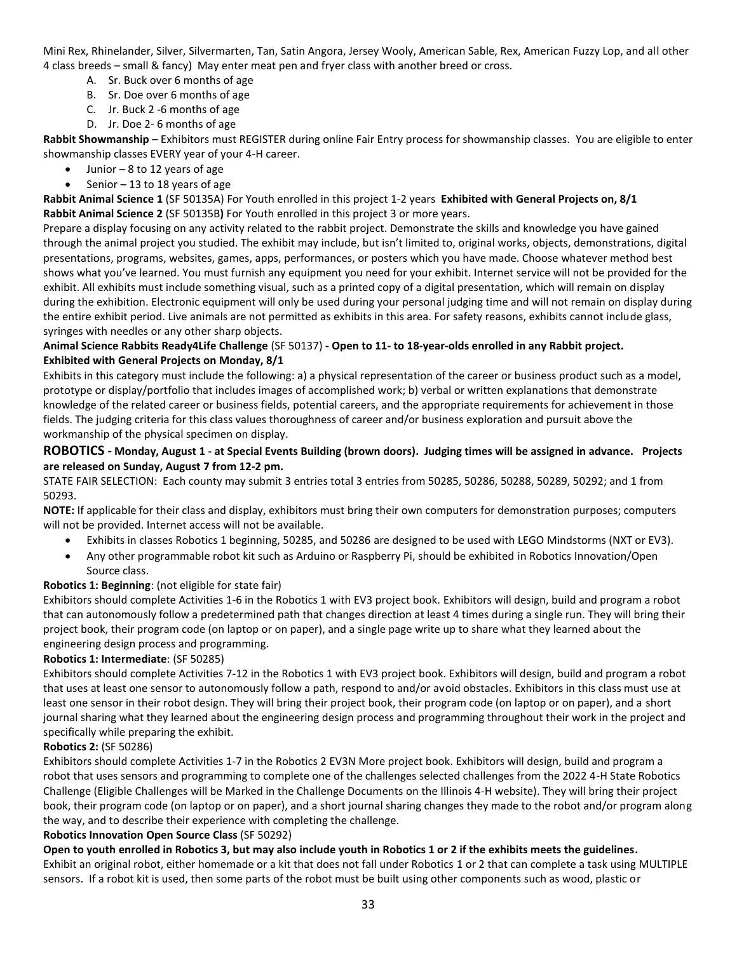Mini Rex, Rhinelander, Silver, Silvermarten, Tan, Satin Angora, Jersey Wooly, American Sable, Rex, American Fuzzy Lop, and all other 4 class breeds – small & fancy) May enter meat pen and fryer class with another breed or cross.

- A. Sr. Buck over 6 months of age
- B. Sr. Doe over 6 months of age
- C. Jr. Buck 2 -6 months of age
- D. Jr. Doe 2- 6 months of age

**Rabbit Showmanship** – Exhibitors must REGISTER during online Fair Entry process for showmanship classes. You are eligible to enter showmanship classes EVERY year of your 4-H career.

- Junior  $-8$  to 12 years of age
- Senior  $-13$  to 18 years of age

**Rabbit Animal Science 1** (SF 50135A) For Youth enrolled in this project 1-2 years **Exhibited with General Projects on, 8/1 Rabbit Animal Science 2** (SF 50135B**)** For Youth enrolled in this project 3 or more years.

Prepare a display focusing on any activity related to the rabbit project. Demonstrate the skills and knowledge you have gained through the animal project you studied. The exhibit may include, but isn't limited to, original works, objects, demonstrations, digital presentations, programs, websites, games, apps, performances, or posters which you have made. Choose whatever method best shows what you've learned. You must furnish any equipment you need for your exhibit. Internet service will not be provided for the exhibit. All exhibits must include something visual, such as a printed copy of a digital presentation, which will remain on display during the exhibition. Electronic equipment will only be used during your personal judging time and will not remain on display during the entire exhibit period. Live animals are not permitted as exhibits in this area. For safety reasons, exhibits cannot include glass, syringes with needles or any other sharp objects.

### **Animal Science Rabbits Ready4Life Challenge** (SF 50137) **- Open to 11- to 18-year-olds enrolled in any Rabbit project. Exhibited with General Projects on Monday, 8/1**

Exhibits in this category must include the following: a) a physical representation of the career or business product such as a model, prototype or display/portfolio that includes images of accomplished work; b) verbal or written explanations that demonstrate knowledge of the related career or business fields, potential careers, and the appropriate requirements for achievement in those fields. The judging criteria for this class values thoroughness of career and/or business exploration and pursuit above the workmanship of the physical specimen on display.

### **ROBOTICS - Monday, August 1 - at Special Events Building (brown doors). Judging times will be assigned in advance. Projects are released on Sunday, August 7 from 12-2 pm.**

STATE FAIR SELECTION: Each county may submit 3 entries total 3 entries from 50285, 50286, 50288, 50289, 50292; and 1 from 50293.

**NOTE:** If applicable for their class and display, exhibitors must bring their own computers for demonstration purposes; computers will not be provided. Internet access will not be available.

- Exhibits in classes Robotics 1 beginning, 50285, and 50286 are designed to be used with LEGO Mindstorms (NXT or EV3).
- Any other programmable robot kit such as Arduino or Raspberry Pi, should be exhibited in Robotics Innovation/Open Source class.

### **Robotics 1: Beginning**: (not eligible for state fair)

Exhibitors should complete Activities 1-6 in the Robotics 1 with EV3 project book. Exhibitors will design, build and program a robot that can autonomously follow a predetermined path that changes direction at least 4 times during a single run. They will bring their project book, their program code (on laptop or on paper), and a single page write up to share what they learned about the engineering design process and programming.

#### **Robotics 1: Intermediate**: (SF 50285)

Exhibitors should complete Activities 7-12 in the Robotics 1 with EV3 project book. Exhibitors will design, build and program a robot that uses at least one sensor to autonomously follow a path, respond to and/or avoid obstacles. Exhibitors in this class must use at least one sensor in their robot design. They will bring their project book, their program code (on laptop or on paper), and a short journal sharing what they learned about the engineering design process and programming throughout their work in the project and specifically while preparing the exhibit.

### **Robotics 2:** (SF 50286)

Exhibitors should complete Activities 1-7 in the Robotics 2 EV3N More project book. Exhibitors will design, build and program a robot that uses sensors and programming to complete one of the challenges selected challenges from the 2022 4-H State Robotics Challenge (Eligible Challenges will be Marked in the Challenge Documents on the Illinois 4-H website). They will bring their project book, their program code (on laptop or on paper), and a short journal sharing changes they made to the robot and/or program along the way, and to describe their experience with completing the challenge.

#### **Robotics Innovation Open Source Class** (SF 50292)

**Open to youth enrolled in Robotics 3, but may also include youth in Robotics 1 or 2 if the exhibits meets the guidelines.**

Exhibit an original robot, either homemade or a kit that does not fall under Robotics 1 or 2 that can complete a task using MULTIPLE sensors. If a robot kit is used, then some parts of the robot must be built using other components such as wood, plastic or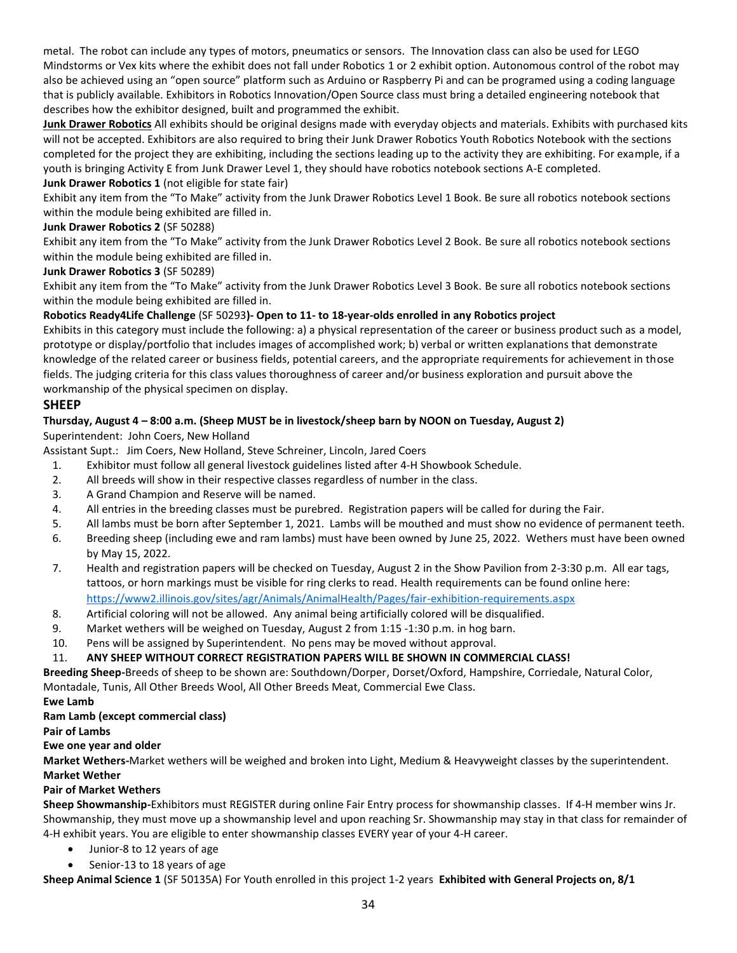metal. The robot can include any types of motors, pneumatics or sensors. The Innovation class can also be used for LEGO Mindstorms or Vex kits where the exhibit does not fall under Robotics 1 or 2 exhibit option. Autonomous control of the robot may also be achieved using an "open source" platform such as Arduino or Raspberry Pi and can be programed using a coding language that is publicly available. Exhibitors in Robotics Innovation/Open Source class must bring a detailed engineering notebook that describes how the exhibitor designed, built and programmed the exhibit.

**Junk Drawer Robotics** All exhibits should be original designs made with everyday objects and materials. Exhibits with purchased kits will not be accepted. Exhibitors are also required to bring their Junk Drawer Robotics Youth Robotics Notebook with the sections completed for the project they are exhibiting, including the sections leading up to the activity they are exhibiting. For example, if a youth is bringing Activity E from Junk Drawer Level 1, they should have robotics notebook sections A-E completed.

#### **Junk Drawer Robotics 1** (not eligible for state fair)

Exhibit any item from the "To Make" activity from the Junk Drawer Robotics Level 1 Book. Be sure all robotics notebook sections within the module being exhibited are filled in.

### **Junk Drawer Robotics 2** (SF 50288)

Exhibit any item from the "To Make" activity from the Junk Drawer Robotics Level 2 Book. Be sure all robotics notebook sections within the module being exhibited are filled in.

### **Junk Drawer Robotics 3** (SF 50289)

Exhibit any item from the "To Make" activity from the Junk Drawer Robotics Level 3 Book. Be sure all robotics notebook sections within the module being exhibited are filled in.

### **Robotics Ready4Life Challenge** (SF 50293**)- Open to 11- to 18-year-olds enrolled in any Robotics project**

Exhibits in this category must include the following: a) a physical representation of the career or business product such as a model, prototype or display/portfolio that includes images of accomplished work; b) verbal or written explanations that demonstrate knowledge of the related career or business fields, potential careers, and the appropriate requirements for achievement in those fields. The judging criteria for this class values thoroughness of career and/or business exploration and pursuit above the workmanship of the physical specimen on display.

### **SHEEP**

### **Thursday, August 4 – 8:00 a.m. (Sheep MUST be in livestock/sheep barn by NOON on Tuesday, August 2)**

Superintendent: John Coers, New Holland

Assistant Supt.: Jim Coers, New Holland, Steve Schreiner, Lincoln, Jared Coers

- 1. Exhibitor must follow all general livestock guidelines listed after 4-H Showbook Schedule.
- 2. All breeds will show in their respective classes regardless of number in the class.
- 3. A Grand Champion and Reserve will be named.
- 4. All entries in the breeding classes must be purebred. Registration papers will be called for during the Fair.
- 5. All lambs must be born after September 1, 2021. Lambs will be mouthed and must show no evidence of permanent teeth.
- 6. Breeding sheep (including ewe and ram lambs) must have been owned by June 25, 2022. Wethers must have been owned by May 15, 2022.
- 7. Health and registration papers will be checked on Tuesday, August 2 in the Show Pavilion from 2-3:30 p.m. All ear tags, tattoos, or horn markings must be visible for ring clerks to read. Health requirements can be found online here: <https://www2.illinois.gov/sites/agr/Animals/AnimalHealth/Pages/fair-exhibition-requirements.aspx>
- 8. Artificial coloring will not be allowed. Any animal being artificially colored will be disqualified.
- 9. Market wethers will be weighed on Tuesday, August 2 from 1:15 -1:30 p.m. in hog barn.
- 10. Pens will be assigned by Superintendent. No pens may be moved without approval.

### 11. **ANY SHEEP WITHOUT CORRECT REGISTRATION PAPERS WILL BE SHOWN IN COMMERCIAL CLASS!**

**Breeding Sheep-**Breeds of sheep to be shown are: Southdown/Dorper, Dorset/Oxford, Hampshire, Corriedale, Natural Color, Montadale, Tunis, All Other Breeds Wool, All Other Breeds Meat, Commercial Ewe Class.

#### **Ewe Lamb**

#### **Ram Lamb (except commercial class)**

**Pair of Lambs**

### **Ewe one year and older**

**Market Wethers-**Market wethers will be weighed and broken into Light, Medium & Heavyweight classes by the superintendent. **Market Wether**

#### **Pair of Market Wethers**

**Sheep Showmanship***-*Exhibitors must REGISTER during online Fair Entry process for showmanship classes. If 4-H member wins Jr. Showmanship, they must move up a showmanship level and upon reaching Sr. Showmanship may stay in that class for remainder of 4-H exhibit years. You are eligible to enter showmanship classes EVERY year of your 4-H career.

- Junior-8 to 12 years of age
- Senior-13 to 18 years of age

**Sheep Animal Science 1** (SF 50135A) For Youth enrolled in this project 1-2 years **Exhibited with General Projects on, 8/1**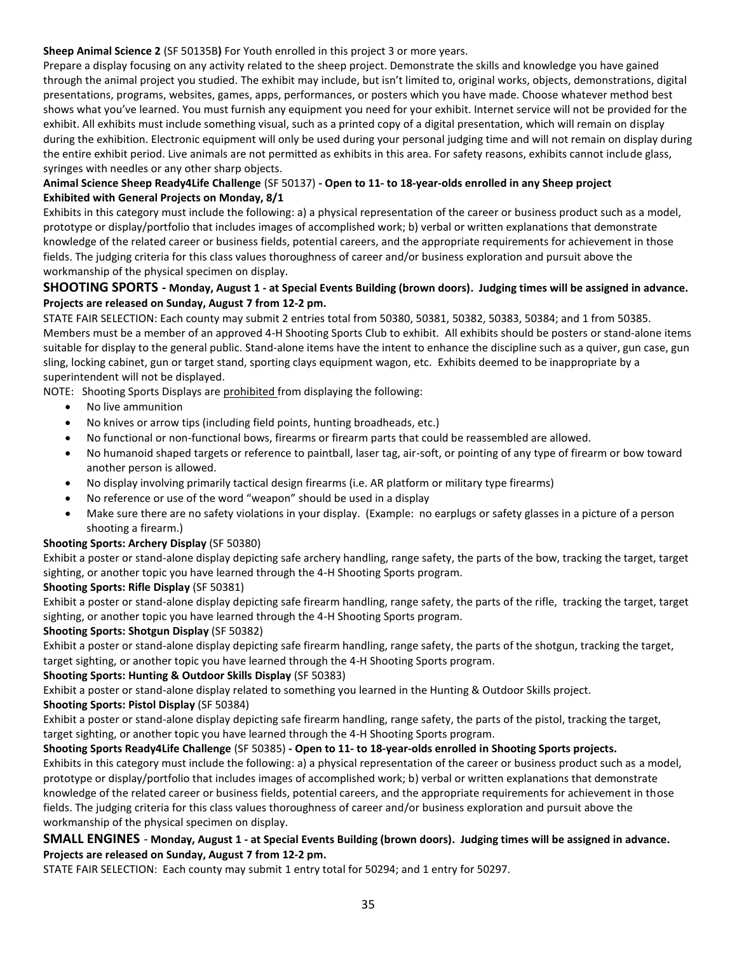#### **Sheep Animal Science 2** (SF 50135B**)** For Youth enrolled in this project 3 or more years.

Prepare a display focusing on any activity related to the sheep project. Demonstrate the skills and knowledge you have gained through the animal project you studied. The exhibit may include, but isn't limited to, original works, objects, demonstrations, digital presentations, programs, websites, games, apps, performances, or posters which you have made. Choose whatever method best shows what you've learned. You must furnish any equipment you need for your exhibit. Internet service will not be provided for the exhibit. All exhibits must include something visual, such as a printed copy of a digital presentation, which will remain on display during the exhibition. Electronic equipment will only be used during your personal judging time and will not remain on display during the entire exhibit period. Live animals are not permitted as exhibits in this area. For safety reasons, exhibits cannot include glass, syringes with needles or any other sharp objects.

### **Animal Science Sheep Ready4Life Challenge** (SF 50137) **- Open to 11- to 18-year-olds enrolled in any Sheep project Exhibited with General Projects on Monday, 8/1**

Exhibits in this category must include the following: a) a physical representation of the career or business product such as a model, prototype or display/portfolio that includes images of accomplished work; b) verbal or written explanations that demonstrate knowledge of the related career or business fields, potential careers, and the appropriate requirements for achievement in those fields. The judging criteria for this class values thoroughness of career and/or business exploration and pursuit above the workmanship of the physical specimen on display.

### **SHOOTING SPORTS - Monday, August 1 - at Special Events Building (brown doors). Judging times will be assigned in advance. Projects are released on Sunday, August 7 from 12-2 pm.**

STATE FAIR SELECTION: Each county may submit 2 entries total from 50380, 50381, 50382, 50383, 50384; and 1 from 50385. Members must be a member of an approved 4-H Shooting Sports Club to exhibit. All exhibits should be posters or stand-alone items suitable for display to the general public. Stand-alone items have the intent to enhance the discipline such as a quiver, gun case, gun sling, locking cabinet, gun or target stand, sporting clays equipment wagon, etc. Exhibits deemed to be inappropriate by a superintendent will not be displayed.

NOTE: Shooting Sports Displays are prohibited from displaying the following:

- No live ammunition
- No knives or arrow tips (including field points, hunting broadheads, etc.)
- No functional or non-functional bows, firearms or firearm parts that could be reassembled are allowed.
- No humanoid shaped targets or reference to paintball, laser tag, air-soft, or pointing of any type of firearm or bow toward another person is allowed.
- No display involving primarily tactical design firearms (i.e. AR platform or military type firearms)
- No reference or use of the word "weapon" should be used in a display
- Make sure there are no safety violations in your display. (Example: no earplugs or safety glasses in a picture of a person shooting a firearm.)

### **Shooting Sports: Archery Display** (SF 50380)

Exhibit a poster or stand-alone display depicting safe archery handling, range safety, the parts of the bow, tracking the target, target sighting, or another topic you have learned through the 4-H Shooting Sports program.

### **Shooting Sports: Rifle Display** (SF 50381)

Exhibit a poster or stand-alone display depicting safe firearm handling, range safety, the parts of the rifle, tracking the target, target sighting, or another topic you have learned through the 4-H Shooting Sports program.

### **Shooting Sports: Shotgun Display** (SF 50382)

Exhibit a poster or stand-alone display depicting safe firearm handling, range safety, the parts of the shotgun, tracking the target, target sighting, or another topic you have learned through the 4-H Shooting Sports program.

### **Shooting Sports: Hunting & Outdoor Skills Display** (SF 50383)

Exhibit a poster or stand-alone display related to something you learned in the Hunting & Outdoor Skills project.

### **Shooting Sports: Pistol Display** (SF 50384)

Exhibit a poster or stand-alone display depicting safe firearm handling, range safety, the parts of the pistol, tracking the target, target sighting, or another topic you have learned through the 4-H Shooting Sports program.

### **Shooting Sports Ready4Life Challenge** (SF 50385) **- Open to 11- to 18-year-olds enrolled in Shooting Sports projects.**

Exhibits in this category must include the following: a) a physical representation of the career or business product such as a model, prototype or display/portfolio that includes images of accomplished work; b) verbal or written explanations that demonstrate knowledge of the related career or business fields, potential careers, and the appropriate requirements for achievement in those fields. The judging criteria for this class values thoroughness of career and/or business exploration and pursuit above the workmanship of the physical specimen on display.

### **SMALL ENGINES** - **Monday, August 1 - at Special Events Building (brown doors). Judging times will be assigned in advance. Projects are released on Sunday, August 7 from 12-2 pm.**

STATE FAIR SELECTION: Each county may submit 1 entry total for 50294; and 1 entry for 50297.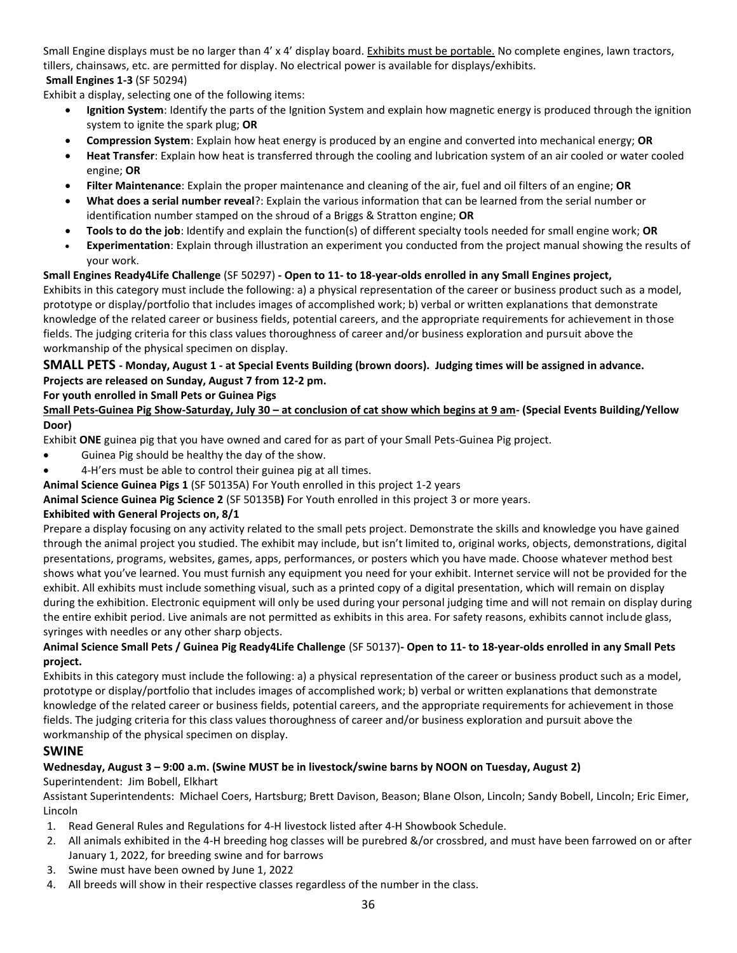Small Engine displays must be no larger than 4' x 4' display board. Exhibits must be portable. No complete engines, lawn tractors, tillers, chainsaws, etc. are permitted for display. No electrical power is available for displays/exhibits. **Small Engines 1-3** (SF 50294)

Exhibit a display, selecting one of the following items:

- **Ignition System**: Identify the parts of the Ignition System and explain how magnetic energy is produced through the ignition system to ignite the spark plug; **OR**
- **Compression System**: Explain how heat energy is produced by an engine and converted into mechanical energy; **OR**
- **Heat Transfer**: Explain how heat is transferred through the cooling and lubrication system of an air cooled or water cooled engine; **OR**
- **Filter Maintenance**: Explain the proper maintenance and cleaning of the air, fuel and oil filters of an engine; **OR**
- **What does a serial number reveal**?: Explain the various information that can be learned from the serial number or identification number stamped on the shroud of a Briggs & Stratton engine; **OR**
- **Tools to do the job**: Identify and explain the function(s) of different specialty tools needed for small engine work; **OR**
- **Experimentation**: Explain through illustration an experiment you conducted from the project manual showing the results of your work.

### **Small Engines Ready4Life Challenge** (SF 50297) **- Open to 11- to 18-year-olds enrolled in any Small Engines project,**

Exhibits in this category must include the following: a) a physical representation of the career or business product such as a model, prototype or display/portfolio that includes images of accomplished work; b) verbal or written explanations that demonstrate knowledge of the related career or business fields, potential careers, and the appropriate requirements for achievement in those fields. The judging criteria for this class values thoroughness of career and/or business exploration and pursuit above the workmanship of the physical specimen on display.

### **SMALL PETS - Monday, August 1 - at Special Events Building (brown doors). Judging times will be assigned in advance. Projects are released on Sunday, August 7 from 12-2 pm.**

### **For youth enrolled in Small Pets or Guinea Pigs**

**Small Pets-Guinea Pig Show-Saturday, July 30 – at conclusion of cat show which begins at 9 am- (Special Events Building/Yellow Door)**

Exhibit **ONE** guinea pig that you have owned and cared for as part of your Small Pets-Guinea Pig project.

- Guinea Pig should be healthy the day of the show.
- 4-H'ers must be able to control their guinea pig at all times.

**Animal Science Guinea Pigs 1** (SF 50135A) For Youth enrolled in this project 1-2 years

**Animal Science Guinea Pig Science 2** (SF 50135B**)** For Youth enrolled in this project 3 or more years.

### **Exhibited with General Projects on, 8/1**

Prepare a display focusing on any activity related to the small pets project. Demonstrate the skills and knowledge you have gained through the animal project you studied. The exhibit may include, but isn't limited to, original works, objects, demonstrations, digital presentations, programs, websites, games, apps, performances, or posters which you have made. Choose whatever method best shows what you've learned. You must furnish any equipment you need for your exhibit. Internet service will not be provided for the exhibit. All exhibits must include something visual, such as a printed copy of a digital presentation, which will remain on display during the exhibition. Electronic equipment will only be used during your personal judging time and will not remain on display during the entire exhibit period. Live animals are not permitted as exhibits in this area. For safety reasons, exhibits cannot include glass, syringes with needles or any other sharp objects.

### **Animal Science Small Pets / Guinea Pig Ready4Life Challenge** (SF 50137)**- Open to 11- to 18-year-olds enrolled in any Small Pets project.**

Exhibits in this category must include the following: a) a physical representation of the career or business product such as a model, prototype or display/portfolio that includes images of accomplished work; b) verbal or written explanations that demonstrate knowledge of the related career or business fields, potential careers, and the appropriate requirements for achievement in those fields. The judging criteria for this class values thoroughness of career and/or business exploration and pursuit above the workmanship of the physical specimen on display.

### **SWINE**

## **Wednesday, August 3 – 9:00 a.m. (Swine MUST be in livestock/swine barns by NOON on Tuesday, August 2)**

Superintendent: Jim Bobell, Elkhart

Assistant Superintendents: Michael Coers, Hartsburg; Brett Davison, Beason; Blane Olson, Lincoln; Sandy Bobell, Lincoln; Eric Eimer, Lincoln

- 1. Read General Rules and Regulations for 4-H livestock listed after 4-H Showbook Schedule.
- 2. All animals exhibited in the 4-H breeding hog classes will be purebred &/or crossbred, and must have been farrowed on or after January 1, 2022, for breeding swine and for barrows
- 3. Swine must have been owned by June 1, 2022
- 4. All breeds will show in their respective classes regardless of the number in the class.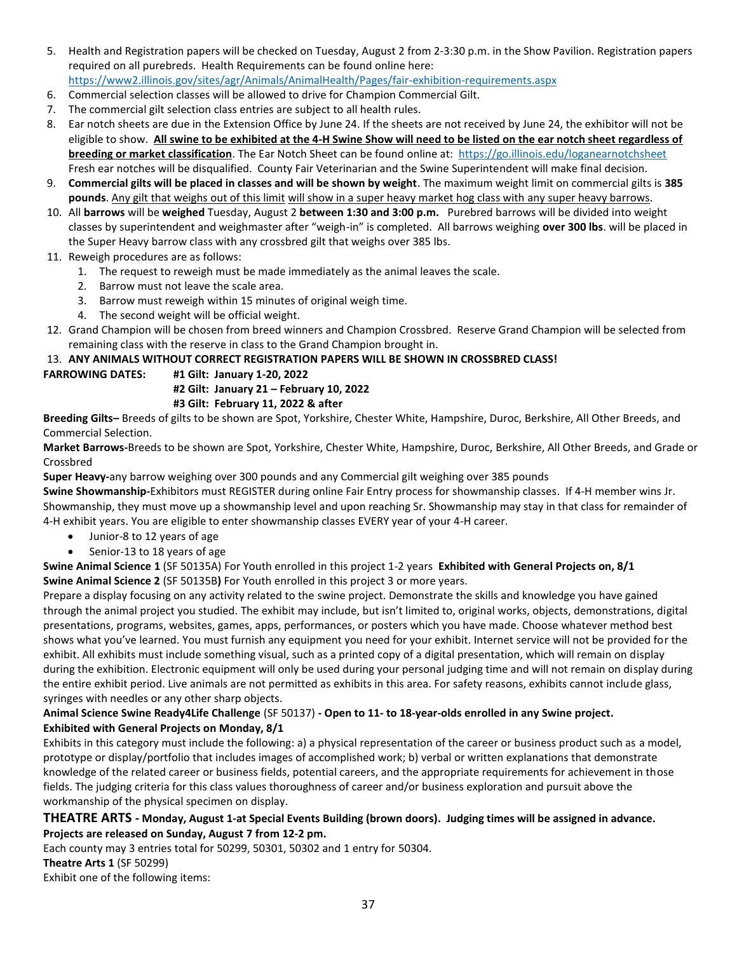- 5. Health and Registration papers will be checked on Tuesday, August 2 from 2-3:30 p.m. in the Show Pavilion. Registration papers required on all purebreds. Health Requirements can be found online here: <https://www2.illinois.gov/sites/agr/Animals/AnimalHealth/Pages/fair-exhibition-requirements.aspx>
- 6. Commercial selection classes will be allowed to drive for Champion Commercial Gilt.
- 7. The commercial gilt selection class entries are subject to all health rules.
- 8. Ear notch sheets are due in the Extension Office by June 24. If the sheets are not received by June 24, the exhibitor will not be eligible to show. **All swine to be exhibited at the 4-H Swine Show will need to be listed on the ear notch sheet regardless of breeding or market classification**. The Ear Notch Sheet can be found online at: <https://go.illinois.edu/loganearnotchsheet> Fresh ear notches will be disqualified. County Fair Veterinarian and the Swine Superintendent will make final decision.
- 9. **Commercial gilts will be placed in classes and will be shown by weight**. The maximum weight limit on commercial gilts is **385 pounds**. Any gilt that weighs out of this limit will show in a super heavy market hog class with any super heavy barrows.
- 10. All **barrows** will be **weighed** Tuesday, August 2 **between 1:30 and 3:00 p.m.** Purebred barrows will be divided into weight classes by superintendent and weighmaster after "weigh-in" is completed. All barrows weighing **over 300 lbs**. will be placed in the Super Heavy barrow class with any crossbred gilt that weighs over 385 lbs.
- 11. Reweigh procedures are as follows:
	- 1. The request to reweigh must be made immediately as the animal leaves the scale.
	- 2. Barrow must not leave the scale area.
	- 3. Barrow must reweigh within 15 minutes of original weigh time.
	- 4. The second weight will be official weight.
- 12. Grand Champion will be chosen from breed winners and Champion Crossbred. Reserve Grand Champion will be selected from remaining class with the reserve in class to the Grand Champion brought in.

#### 13. **ANY ANIMALS WITHOUT CORRECT REGISTRATION PAPERS WILL BE SHOWN IN CROSSBRED CLASS!**

### **FARROWING DATES: #1 Gilt: January 1-20, 2022**

**#2 Gilt: January 21 – February 10, 2022**

### **#3 Gilt: February 11, 2022 & after**

**Breeding Gilts–** Breeds of gilts to be shown are Spot, Yorkshire, Chester White, Hampshire, Duroc, Berkshire, All Other Breeds, and Commercial Selection.

**Market Barrows-**Breeds to be shown are Spot, Yorkshire, Chester White, Hampshire, Duroc, Berkshire, All Other Breeds, and Grade or Crossbred

**Super Heavy-**any barrow weighing over 300 pounds and any Commercial gilt weighing over 385 pounds

**Swine Showmanship***-*Exhibitors must REGISTER during online Fair Entry process for showmanship classes. If 4-H member wins Jr. Showmanship, they must move up a showmanship level and upon reaching Sr. Showmanship may stay in that class for remainder of 4-H exhibit years. You are eligible to enter showmanship classes EVERY year of your 4-H career.

- Junior-8 to 12 years of age
- Senior-13 to 18 years of age

**Swine Animal Science 1** (SF 50135A) For Youth enrolled in this project 1-2 years **Exhibited with General Projects on, 8/1 Swine Animal Science 2** (SF 50135B**)** For Youth enrolled in this project 3 or more years.

Prepare a display focusing on any activity related to the swine project. Demonstrate the skills and knowledge you have gained through the animal project you studied. The exhibit may include, but isn't limited to, original works, objects, demonstrations, digital presentations, programs, websites, games, apps, performances, or posters which you have made. Choose whatever method best shows what you've learned. You must furnish any equipment you need for your exhibit. Internet service will not be provided for the exhibit. All exhibits must include something visual, such as a printed copy of a digital presentation, which will remain on display during the exhibition. Electronic equipment will only be used during your personal judging time and will not remain on display during the entire exhibit period. Live animals are not permitted as exhibits in this area. For safety reasons, exhibits cannot include glass, syringes with needles or any other sharp objects.

### **Animal Science Swine Ready4Life Challenge** (SF 50137) **- Open to 11- to 18-year-olds enrolled in any Swine project. Exhibited with General Projects on Monday, 8/1**

Exhibits in this category must include the following: a) a physical representation of the career or business product such as a model, prototype or display/portfolio that includes images of accomplished work; b) verbal or written explanations that demonstrate knowledge of the related career or business fields, potential careers, and the appropriate requirements for achievement in those fields. The judging criteria for this class values thoroughness of career and/or business exploration and pursuit above the workmanship of the physical specimen on display.

### **THEATRE ARTS - Monday, August 1-at Special Events Building (brown doors). Judging times will be assigned in advance. Projects are released on Sunday, August 7 from 12-2 pm.**

Each county may 3 entries total for 50299, 50301, 50302 and 1 entry for 50304.

#### **Theatre Arts 1** (SF 50299)

Exhibit one of the following items: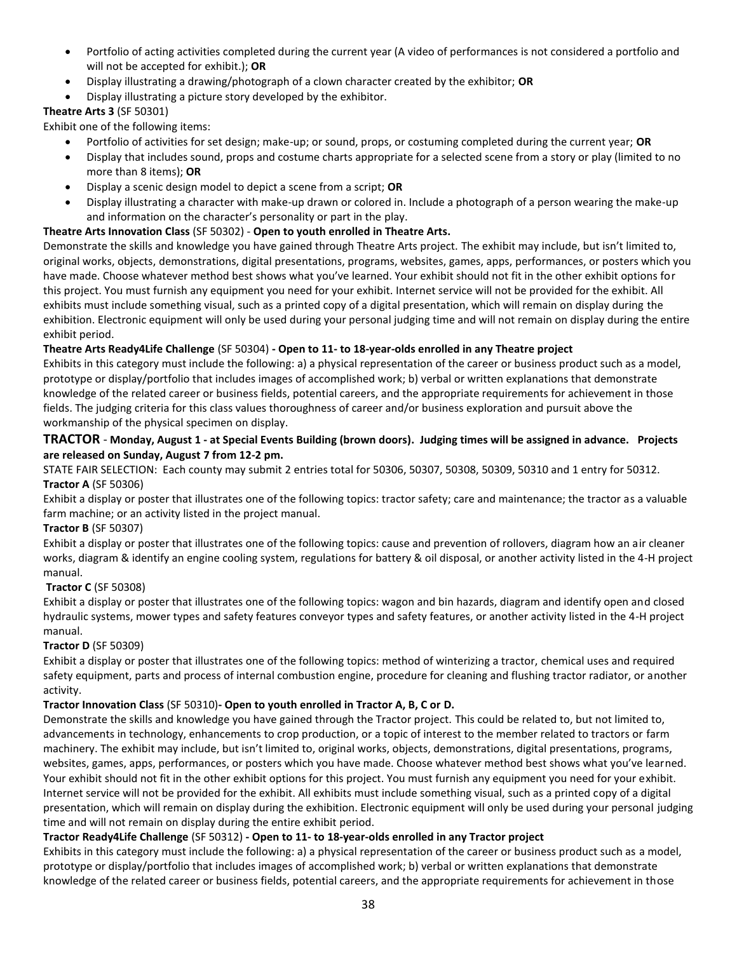- Portfolio of acting activities completed during the current year (A video of performances is not considered a portfolio and will not be accepted for exhibit.); **OR**
- Display illustrating a drawing/photograph of a clown character created by the exhibitor; **OR**
- Display illustrating a picture story developed by the exhibitor.

### **Theatre Arts 3** (SF 50301)

Exhibit one of the following items:

- Portfolio of activities for set design; make-up; or sound, props, or costuming completed during the current year; **OR**
- Display that includes sound, props and costume charts appropriate for a selected scene from a story or play (limited to no more than 8 items); **OR**
- Display a scenic design model to depict a scene from a script; **OR**
- Display illustrating a character with make-up drawn or colored in. Include a photograph of a person wearing the make-up and information on the character's personality or part in the play.

#### **Theatre Arts Innovation Class** (SF 50302) - **Open to youth enrolled in Theatre Arts.**

Demonstrate the skills and knowledge you have gained through Theatre Arts project. The exhibit may include, but isn't limited to, original works, objects, demonstrations, digital presentations, programs, websites, games, apps, performances, or posters which you have made. Choose whatever method best shows what you've learned. Your exhibit should not fit in the other exhibit options for this project. You must furnish any equipment you need for your exhibit. Internet service will not be provided for the exhibit. All exhibits must include something visual, such as a printed copy of a digital presentation, which will remain on display during the exhibition. Electronic equipment will only be used during your personal judging time and will not remain on display during the entire exhibit period.

#### **Theatre Arts Ready4Life Challenge** (SF 50304) **- Open to 11- to 18-year-olds enrolled in any Theatre project**

Exhibits in this category must include the following: a) a physical representation of the career or business product such as a model, prototype or display/portfolio that includes images of accomplished work; b) verbal or written explanations that demonstrate knowledge of the related career or business fields, potential careers, and the appropriate requirements for achievement in those fields. The judging criteria for this class values thoroughness of career and/or business exploration and pursuit above the workmanship of the physical specimen on display.

### **TRACTOR** - **Monday, August 1 - at Special Events Building (brown doors). Judging times will be assigned in advance. Projects are released on Sunday, August 7 from 12-2 pm.**

STATE FAIR SELECTION: Each county may submit 2 entries total for 50306, 50307, 50308, 50309, 50310 and 1 entry for 50312. **Tractor A** (SF 50306)

Exhibit a display or poster that illustrates one of the following topics: tractor safety; care and maintenance; the tractor as a valuable farm machine; or an activity listed in the project manual.

#### **Tractor B** (SF 50307)

Exhibit a display or poster that illustrates one of the following topics: cause and prevention of rollovers, diagram how an air cleaner works, diagram & identify an engine cooling system, regulations for battery & oil disposal, or another activity listed in the 4-H project manual.

#### **Tractor C** (SF 50308)

Exhibit a display or poster that illustrates one of the following topics: wagon and bin hazards, diagram and identify open and closed hydraulic systems, mower types and safety features conveyor types and safety features, or another activity listed in the 4-H project manual.

#### **Tractor D** (SF 50309)

Exhibit a display or poster that illustrates one of the following topics: method of winterizing a tractor, chemical uses and required safety equipment, parts and process of internal combustion engine, procedure for cleaning and flushing tractor radiator, or another activity.

#### **Tractor Innovation Class** (SF 50310)**- Open to youth enrolled in Tractor A, B, C or D.**

Demonstrate the skills and knowledge you have gained through the Tractor project. This could be related to, but not limited to, advancements in technology, enhancements to crop production, or a topic of interest to the member related to tractors or farm machinery. The exhibit may include, but isn't limited to, original works, objects, demonstrations, digital presentations, programs, websites, games, apps, performances, or posters which you have made. Choose whatever method best shows what you've learned. Your exhibit should not fit in the other exhibit options for this project. You must furnish any equipment you need for your exhibit. Internet service will not be provided for the exhibit. All exhibits must include something visual, such as a printed copy of a digital presentation, which will remain on display during the exhibition. Electronic equipment will only be used during your personal judging time and will not remain on display during the entire exhibit period.

#### **Tractor Ready4Life Challenge** (SF 50312) **- Open to 11- to 18-year-olds enrolled in any Tractor project**

Exhibits in this category must include the following: a) a physical representation of the career or business product such as a model, prototype or display/portfolio that includes images of accomplished work; b) verbal or written explanations that demonstrate knowledge of the related career or business fields, potential careers, and the appropriate requirements for achievement in those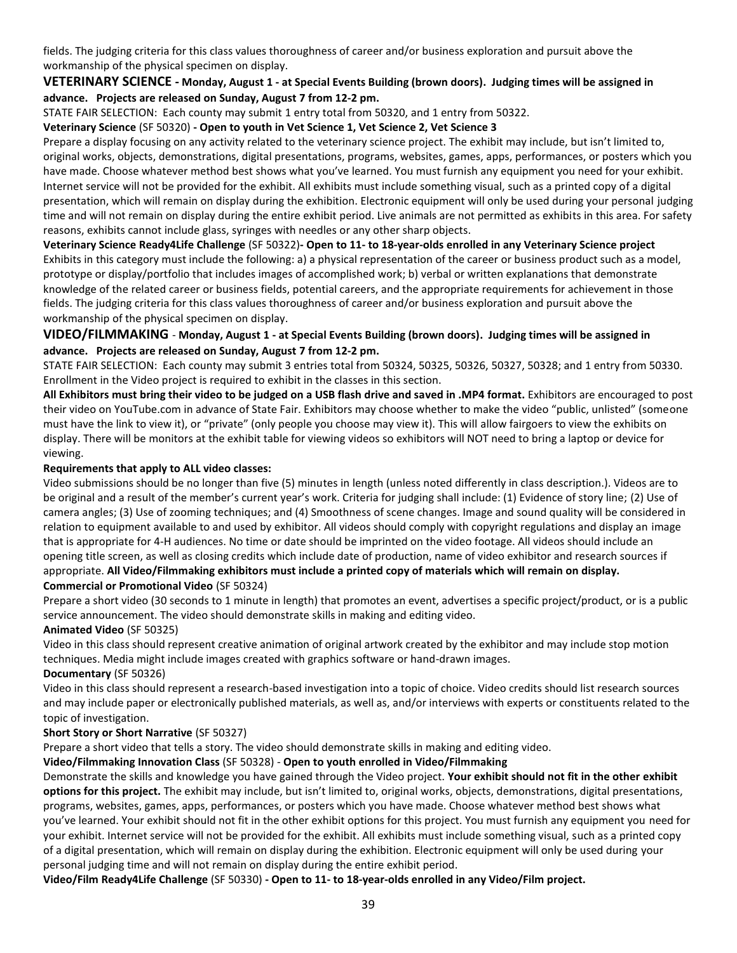fields. The judging criteria for this class values thoroughness of career and/or business exploration and pursuit above the workmanship of the physical specimen on display.

#### **VETERINARY SCIENCE - Monday, August 1 - at Special Events Building (brown doors). Judging times will be assigned in advance. Projects are released on Sunday, August 7 from 12-2 pm.**

STATE FAIR SELECTION: Each county may submit 1 entry total from 50320, and 1 entry from 50322.

#### **Veterinary Science** (SF 50320) **- Open to youth in Vet Science 1, Vet Science 2, Vet Science 3**

Prepare a display focusing on any activity related to the veterinary science project. The exhibit may include, but isn't limited to, original works, objects, demonstrations, digital presentations, programs, websites, games, apps, performances, or posters which you have made. Choose whatever method best shows what you've learned. You must furnish any equipment you need for your exhibit. Internet service will not be provided for the exhibit. All exhibits must include something visual, such as a printed copy of a digital presentation, which will remain on display during the exhibition. Electronic equipment will only be used during your personal judging time and will not remain on display during the entire exhibit period. Live animals are not permitted as exhibits in this area. For safety reasons, exhibits cannot include glass, syringes with needles or any other sharp objects.

### **Veterinary Science Ready4Life Challenge** (SF 50322)**- Open to 11- to 18-year-olds enrolled in any Veterinary Science project** Exhibits in this category must include the following: a) a physical representation of the career or business product such as a model, prototype or display/portfolio that includes images of accomplished work; b) verbal or written explanations that demonstrate knowledge of the related career or business fields, potential careers, and the appropriate requirements for achievement in those fields. The judging criteria for this class values thoroughness of career and/or business exploration and pursuit above the workmanship of the physical specimen on display.

### **VIDEO/FILMMAKING** - **Monday, August 1 - at Special Events Building (brown doors). Judging times will be assigned in advance. Projects are released on Sunday, August 7 from 12-2 pm.**

STATE FAIR SELECTION: Each county may submit 3 entries total from 50324, 50325, 50326, 50327, 50328; and 1 entry from 50330. Enrollment in the Video project is required to exhibit in the classes in this section.

**All Exhibitors must bring their video to be judged on a USB flash drive and saved in .MP4 format.** Exhibitors are encouraged to post their video on YouTube.com in advance of State Fair. Exhibitors may choose whether to make the video "public, unlisted" (someone must have the link to view it), or "private" (only people you choose may view it). This will allow fairgoers to view the exhibits on display. There will be monitors at the exhibit table for viewing videos so exhibitors will NOT need to bring a laptop or device for viewing.

### **Requirements that apply to ALL video classes:**

Video submissions should be no longer than five (5) minutes in length (unless noted differently in class description.). Videos are to be original and a result of the member's current year's work. Criteria for judging shall include: (1) Evidence of story line; (2) Use of camera angles; (3) Use of zooming techniques; and (4) Smoothness of scene changes. Image and sound quality will be considered in relation to equipment available to and used by exhibitor. All videos should comply with copyright regulations and display an image that is appropriate for 4-H audiences. No time or date should be imprinted on the video footage. All videos should include an opening title screen, as well as closing credits which include date of production, name of video exhibitor and research sources if appropriate. **All Video/Filmmaking exhibitors must include a printed copy of materials which will remain on display. Commercial or Promotional Video** (SF 50324)

Prepare a short video (30 seconds to 1 minute in length) that promotes an event, advertises a specific project/product, or is a public service announcement. The video should demonstrate skills in making and editing video.

#### **Animated Video** (SF 50325)

Video in this class should represent creative animation of original artwork created by the exhibitor and may include stop motion techniques. Media might include images created with graphics software or hand-drawn images.

#### **Documentary** (SF 50326)

Video in this class should represent a research-based investigation into a topic of choice. Video credits should list research sources and may include paper or electronically published materials, as well as, and/or interviews with experts or constituents related to the topic of investigation.

#### **Short Story or Short Narrative** (SF 50327)

Prepare a short video that tells a story. The video should demonstrate skills in making and editing video.

#### **Video/Filmmaking Innovation Class** (SF 50328) - **Open to youth enrolled in Video/Filmmaking**

Demonstrate the skills and knowledge you have gained through the Video project. **Your exhibit should not fit in the other exhibit options for this project.** The exhibit may include, but isn't limited to, original works, objects, demonstrations, digital presentations, programs, websites, games, apps, performances, or posters which you have made. Choose whatever method best shows what you've learned. Your exhibit should not fit in the other exhibit options for this project. You must furnish any equipment you need for your exhibit. Internet service will not be provided for the exhibit. All exhibits must include something visual, such as a printed copy of a digital presentation, which will remain on display during the exhibition. Electronic equipment will only be used during your personal judging time and will not remain on display during the entire exhibit period.

**Video/Film Ready4Life Challenge** (SF 50330) **- Open to 11- to 18-year-olds enrolled in any Video/Film project.**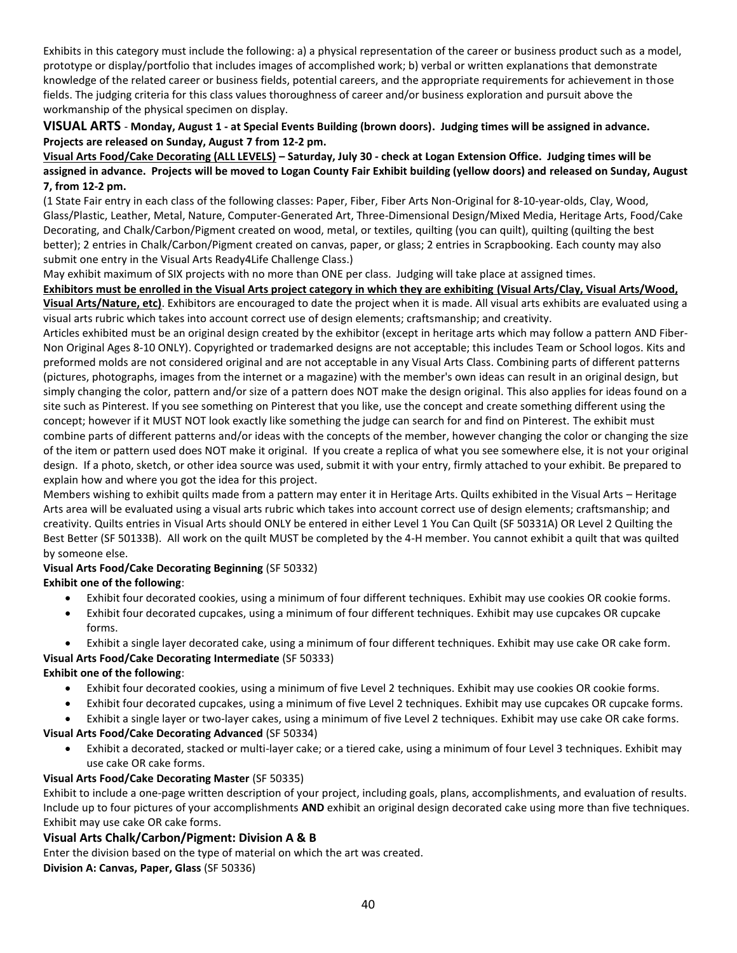Exhibits in this category must include the following: a) a physical representation of the career or business product such as a model, prototype or display/portfolio that includes images of accomplished work; b) verbal or written explanations that demonstrate knowledge of the related career or business fields, potential careers, and the appropriate requirements for achievement in those fields. The judging criteria for this class values thoroughness of career and/or business exploration and pursuit above the workmanship of the physical specimen on display.

### **VISUAL ARTS** - **Monday, August 1 - at Special Events Building (brown doors). Judging times will be assigned in advance. Projects are released on Sunday, August 7 from 12-2 pm.**

**Visual Arts Food/Cake Decorating (ALL LEVELS) – Saturday, July 30 - check at Logan Extension Office. Judging times will be assigned in advance. Projects will be moved to Logan County Fair Exhibit building (yellow doors) and released on Sunday, August 7, from 12-2 pm.**

(1 State Fair entry in each class of the following classes: Paper, Fiber, Fiber Arts Non-Original for 8-10-year-olds, Clay, Wood, Glass/Plastic, Leather, Metal, Nature, Computer-Generated Art, Three-Dimensional Design/Mixed Media, Heritage Arts, Food/Cake Decorating, and Chalk/Carbon/Pigment created on wood, metal, or textiles, quilting (you can quilt), quilting (quilting the best better); 2 entries in Chalk/Carbon/Pigment created on canvas, paper, or glass; 2 entries in Scrapbooking. Each county may also submit one entry in the Visual Arts Ready4Life Challenge Class.)

May exhibit maximum of SIX projects with no more than ONE per class. Judging will take place at assigned times.

**Exhibitors must be enrolled in the Visual Arts project category in which they are exhibiting (Visual Arts/Clay, Visual Arts/Wood, Visual Arts/Nature, etc)**. Exhibitors are encouraged to date the project when it is made. All visual arts exhibits are evaluated using a visual arts rubric which takes into account correct use of design elements; craftsmanship; and creativity.

Articles exhibited must be an original design created by the exhibitor (except in heritage arts which may follow a pattern AND Fiber-Non Original Ages 8-10 ONLY). Copyrighted or trademarked designs are not acceptable; this includes Team or School logos. Kits and preformed molds are not considered original and are not acceptable in any Visual Arts Class. Combining parts of different patterns (pictures, photographs, images from the internet or a magazine) with the member's own ideas can result in an original design, but simply changing the color, pattern and/or size of a pattern does NOT make the design original. This also applies for ideas found on a site such as Pinterest. If you see something on Pinterest that you like, use the concept and create something different using the concept; however if it MUST NOT look exactly like something the judge can search for and find on Pinterest. The exhibit must combine parts of different patterns and/or ideas with the concepts of the member, however changing the color or changing the size of the item or pattern used does NOT make it original. If you create a replica of what you see somewhere else, it is not your original design. If a photo, sketch, or other idea source was used, submit it with your entry, firmly attached to your exhibit. Be prepared to explain how and where you got the idea for this project.

Members wishing to exhibit quilts made from a pattern may enter it in Heritage Arts. Quilts exhibited in the Visual Arts – Heritage Arts area will be evaluated using a visual arts rubric which takes into account correct use of design elements; craftsmanship; and creativity. Quilts entries in Visual Arts should ONLY be entered in either Level 1 You Can Quilt (SF 50331A) OR Level 2 Quilting the Best Better (SF 50133B). All work on the quilt MUST be completed by the 4-H member. You cannot exhibit a quilt that was quilted by someone else.

# **Visual Arts Food/Cake Decorating Beginning** (SF 50332)

**Exhibit one of the following**:

- Exhibit four decorated cookies, using a minimum of four different techniques. Exhibit may use cookies OR cookie forms.
- Exhibit four decorated cupcakes, using a minimum of four different techniques. Exhibit may use cupcakes OR cupcake forms.
- Exhibit a single layer decorated cake, using a minimum of four different techniques. Exhibit may use cake OR cake form.

## **Visual Arts Food/Cake Decorating Intermediate** (SF 50333)

### **Exhibit one of the following**:

- Exhibit four decorated cookies, using a minimum of five Level 2 techniques. Exhibit may use cookies OR cookie forms.
- Exhibit four decorated cupcakes, using a minimum of five Level 2 techniques. Exhibit may use cupcakes OR cupcake forms.
- Exhibit a single layer or two-layer cakes, using a minimum of five Level 2 techniques. Exhibit may use cake OR cake forms.

#### **Visual Arts Food/Cake Decorating Advanced** (SF 50334)

• Exhibit a decorated, stacked or multi-layer cake; or a tiered cake, using a minimum of four Level 3 techniques. Exhibit may use cake OR cake forms.

#### **Visual Arts Food/Cake Decorating Master** (SF 50335)

Exhibit to include a one-page written description of your project, including goals, plans, accomplishments, and evaluation of results. Include up to four pictures of your accomplishments **AND** exhibit an original design decorated cake using more than five techniques. Exhibit may use cake OR cake forms.

### **Visual Arts Chalk/Carbon/Pigment: Division A & B**

Enter the division based on the type of material on which the art was created. **Division A: Canvas, Paper, Glass** (SF 50336)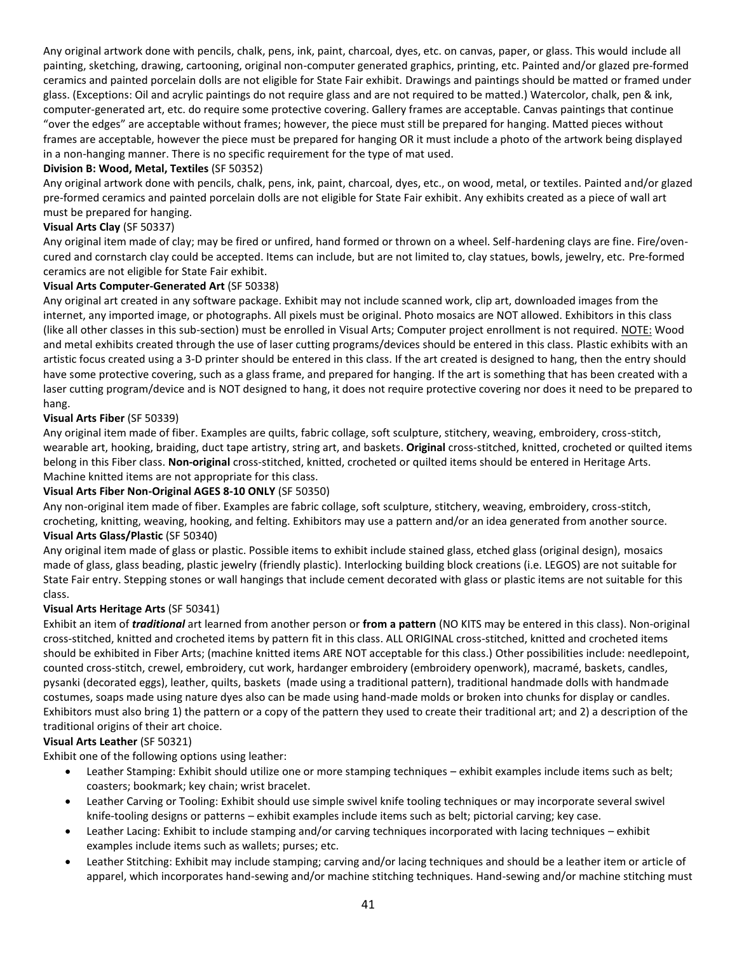Any original artwork done with pencils, chalk, pens, ink, paint, charcoal, dyes, etc. on canvas, paper, or glass. This would include all painting, sketching, drawing, cartooning, original non-computer generated graphics, printing, etc. Painted and/or glazed pre-formed ceramics and painted porcelain dolls are not eligible for State Fair exhibit. Drawings and paintings should be matted or framed under glass. (Exceptions: Oil and acrylic paintings do not require glass and are not required to be matted.) Watercolor, chalk, pen & ink, computer-generated art, etc. do require some protective covering. Gallery frames are acceptable. Canvas paintings that continue "over the edges" are acceptable without frames; however, the piece must still be prepared for hanging. Matted pieces without frames are acceptable, however the piece must be prepared for hanging OR it must include a photo of the artwork being displayed in a non-hanging manner. There is no specific requirement for the type of mat used.

### **Division B: Wood, Metal, Textiles** (SF 50352)

Any original artwork done with pencils, chalk, pens, ink, paint, charcoal, dyes, etc., on wood, metal, or textiles. Painted and/or glazed pre-formed ceramics and painted porcelain dolls are not eligible for State Fair exhibit. Any exhibits created as a piece of wall art must be prepared for hanging.

### **Visual Arts Clay** (SF 50337)

Any original item made of clay; may be fired or unfired, hand formed or thrown on a wheel. Self-hardening clays are fine. Fire/ovencured and cornstarch clay could be accepted. Items can include, but are not limited to, clay statues, bowls, jewelry, etc. Pre-formed ceramics are not eligible for State Fair exhibit.

### **Visual Arts Computer-Generated Art** (SF 50338)

Any original art created in any software package. Exhibit may not include scanned work, clip art, downloaded images from the internet, any imported image, or photographs. All pixels must be original. Photo mosaics are NOT allowed. Exhibitors in this class (like all other classes in this sub-section) must be enrolled in Visual Arts; Computer project enrollment is not required. NOTE: Wood and metal exhibits created through the use of laser cutting programs/devices should be entered in this class. Plastic exhibits with an artistic focus created using a 3-D printer should be entered in this class. If the art created is designed to hang, then the entry should have some protective covering, such as a glass frame, and prepared for hanging. If the art is something that has been created with a laser cutting program/device and is NOT designed to hang, it does not require protective covering nor does it need to be prepared to hang.

#### **Visual Arts Fiber** (SF 50339)

Any original item made of fiber. Examples are quilts, fabric collage, soft sculpture, stitchery, weaving, embroidery, cross-stitch, wearable art, hooking, braiding, duct tape artistry, string art, and baskets. **Original** cross-stitched, knitted, crocheted or quilted items belong in this Fiber class. **Non-original** cross-stitched, knitted, crocheted or quilted items should be entered in Heritage Arts. Machine knitted items are not appropriate for this class.

#### **Visual Arts Fiber Non-Original AGES 8-10 ONLY** (SF 50350)

Any non-original item made of fiber. Examples are fabric collage, soft sculpture, stitchery, weaving, embroidery, cross-stitch, crocheting, knitting, weaving, hooking, and felting. Exhibitors may use a pattern and/or an idea generated from another source. **Visual Arts Glass/Plastic** (SF 50340)

Any original item made of glass or plastic. Possible items to exhibit include stained glass, etched glass (original design), mosaics made of glass, glass beading, plastic jewelry (friendly plastic). Interlocking building block creations (i.e. LEGOS) are not suitable for State Fair entry. Stepping stones or wall hangings that include cement decorated with glass or plastic items are not suitable for this class.

#### **Visual Arts Heritage Arts** (SF 50341)

Exhibit an item of *traditional* art learned from another person or **from a pattern** (NO KITS may be entered in this class). Non-original cross-stitched, knitted and crocheted items by pattern fit in this class. ALL ORIGINAL cross-stitched, knitted and crocheted items should be exhibited in Fiber Arts; (machine knitted items ARE NOT acceptable for this class.) Other possibilities include: needlepoint, counted cross-stitch, crewel, embroidery, cut work, hardanger embroidery (embroidery openwork), macramé, baskets, candles, pysanki (decorated eggs), leather, quilts, baskets (made using a traditional pattern), traditional handmade dolls with handmade costumes, soaps made using nature dyes also can be made using hand-made molds or broken into chunks for display or candles. Exhibitors must also bring 1) the pattern or a copy of the pattern they used to create their traditional art; and 2) a description of the traditional origins of their art choice.

#### **Visual Arts Leather** (SF 50321)

Exhibit one of the following options using leather:

- Leather Stamping: Exhibit should utilize one or more stamping techniques exhibit examples include items such as belt; coasters; bookmark; key chain; wrist bracelet.
- Leather Carving or Tooling: Exhibit should use simple swivel knife tooling techniques or may incorporate several swivel knife-tooling designs or patterns – exhibit examples include items such as belt; pictorial carving; key case.
- Leather Lacing: Exhibit to include stamping and/or carving techniques incorporated with lacing techniques exhibit examples include items such as wallets; purses; etc.
- Leather Stitching: Exhibit may include stamping; carving and/or lacing techniques and should be a leather item or article of apparel, which incorporates hand-sewing and/or machine stitching techniques. Hand-sewing and/or machine stitching must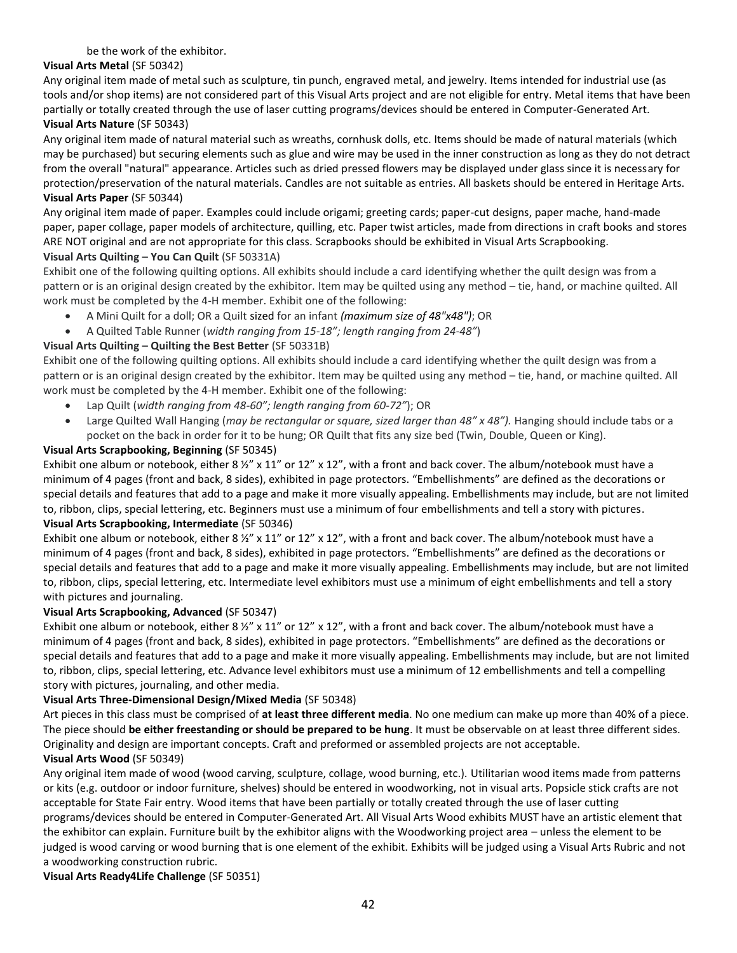#### be the work of the exhibitor.

## **Visual Arts Metal** (SF 50342)

Any original item made of metal such as sculpture, tin punch, engraved metal, and jewelry. Items intended for industrial use (as tools and/or shop items) are not considered part of this Visual Arts project and are not eligible for entry. Metal items that have been partially or totally created through the use of laser cutting programs/devices should be entered in Computer-Generated Art. **Visual Arts Nature** (SF 50343)

### Any original item made of natural material such as wreaths, cornhusk dolls, etc. Items should be made of natural materials (which may be purchased) but securing elements such as glue and wire may be used in the inner construction as long as they do not detract from the overall "natural" appearance. Articles such as dried pressed flowers may be displayed under glass since it is necessary for protection/preservation of the natural materials. Candles are not suitable as entries. All baskets should be entered in Heritage Arts. **Visual Arts Paper** (SF 50344)

Any original item made of paper. Examples could include origami; greeting cards; paper-cut designs, paper mache, hand-made paper, paper collage, paper models of architecture, quilling, etc. Paper twist articles, made from directions in craft books and stores ARE NOT original and are not appropriate for this class. Scrapbooks should be exhibited in Visual Arts Scrapbooking.

### **Visual Arts Quilting – You Can Quilt** (SF 50331A)

Exhibit one of the following quilting options. All exhibits should include a card identifying whether the quilt design was from a pattern or is an original design created by the exhibitor. Item may be quilted using any method – tie, hand, or machine quilted. All work must be completed by the 4-H member. Exhibit one of the following:

- A Mini Quilt for a doll; OR a Quilt sized for an infant *(maximum size of 48"x48")*; OR
- A Quilted Table Runner (*width ranging from 15-18"; length ranging from 24-48"*)

### **Visual Arts Quilting – Quilting the Best Better** (SF 50331B)

Exhibit one of the following quilting options. All exhibits should include a card identifying whether the quilt design was from a pattern or is an original design created by the exhibitor. Item may be quilted using any method – tie, hand, or machine quilted. All work must be completed by the 4-H member. Exhibit one of the following:

- Lap Quilt (*width ranging from 48-60"; length ranging from 60-72"*); OR
- Large Quilted Wall Hanging (*may be rectangular or square, sized larger than 48" x 48"*). Hanging should include tabs or a pocket on the back in order for it to be hung; OR Quilt that fits any size bed (Twin, Double, Queen or King).

### **Visual Arts Scrapbooking, Beginning** (SF 50345)

Exhibit one album or notebook, either 8  $\frac{1}{2}$ " x 11" or 12" x 12", with a front and back cover. The album/notebook must have a minimum of 4 pages (front and back, 8 sides), exhibited in page protectors. "Embellishments" are defined as the decorations or special details and features that add to a page and make it more visually appealing. Embellishments may include, but are not limited to, ribbon, clips, special lettering, etc. Beginners must use a minimum of four embellishments and tell a story with pictures.

### **Visual Arts Scrapbooking, Intermediate** (SF 50346)

Exhibit one album or notebook, either 8  $\frac{y''}{x}$  x 11" or 12" x 12", with a front and back cover. The album/notebook must have a minimum of 4 pages (front and back, 8 sides), exhibited in page protectors. "Embellishments" are defined as the decorations or special details and features that add to a page and make it more visually appealing. Embellishments may include, but are not limited to, ribbon, clips, special lettering, etc. Intermediate level exhibitors must use a minimum of eight embellishments and tell a story with pictures and journaling.

### **Visual Arts Scrapbooking, Advanced** (SF 50347)

Exhibit one album or notebook, either 8  $\frac{1}{2}$ " x 11" or 12" x 12", with a front and back cover. The album/notebook must have a minimum of 4 pages (front and back, 8 sides), exhibited in page protectors. "Embellishments" are defined as the decorations or special details and features that add to a page and make it more visually appealing. Embellishments may include, but are not limited to, ribbon, clips, special lettering, etc. Advance level exhibitors must use a minimum of 12 embellishments and tell a compelling story with pictures, journaling, and other media.

### **Visual Arts Three-Dimensional Design/Mixed Media** (SF 50348)

Art pieces in this class must be comprised of **at least three different media**. No one medium can make up more than 40% of a piece. The piece should **be either freestanding or should be prepared to be hung**. It must be observable on at least three different sides. Originality and design are important concepts. Craft and preformed or assembled projects are not acceptable.

## **Visual Arts Wood** (SF 50349)

Any original item made of wood (wood carving, sculpture, collage, wood burning, etc.). Utilitarian wood items made from patterns or kits (e.g. outdoor or indoor furniture, shelves) should be entered in woodworking, not in visual arts. Popsicle stick crafts are not acceptable for State Fair entry. Wood items that have been partially or totally created through the use of laser cutting programs/devices should be entered in Computer-Generated Art. All Visual Arts Wood exhibits MUST have an artistic element that the exhibitor can explain. Furniture built by the exhibitor aligns with the Woodworking project area – unless the element to be judged is wood carving or wood burning that is one element of the exhibit. Exhibits will be judged using a Visual Arts Rubric and not a woodworking construction rubric.

### **Visual Arts Ready4Life Challenge** (SF 50351)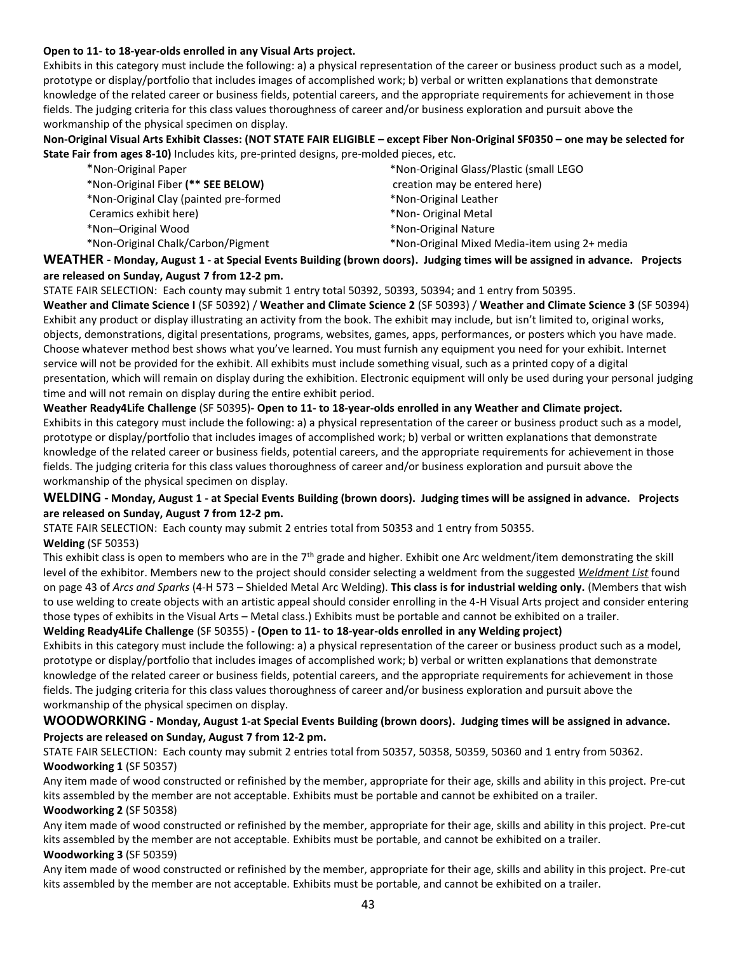#### **Open to 11- to 18-year-olds enrolled in any Visual Arts project.**

Exhibits in this category must include the following: a) a physical representation of the career or business product such as a model, prototype or display/portfolio that includes images of accomplished work; b) verbal or written explanations that demonstrate knowledge of the related career or business fields, potential careers, and the appropriate requirements for achievement in those fields. The judging criteria for this class values thoroughness of career and/or business exploration and pursuit above the workmanship of the physical specimen on display.

**Non-Original Visual Arts Exhibit Classes: (NOT STATE FAIR ELIGIBLE – except Fiber Non-Original SF0350 – one may be selected for State Fair from ages 8-10)** Includes kits, pre-printed designs, pre-molded pieces, etc.

| *Non-Original Paper                    | *Non-Original Glass/Plastic (small LEGO       |
|----------------------------------------|-----------------------------------------------|
| *Non-Original Fiber (** SEE BELOW)     | creation may be entered here)                 |
| *Non-Original Clay (painted pre-formed | *Non-Original Leather                         |
| Ceramics exhibit here)                 | *Non- Original Metal                          |
| *Non-Original Wood                     | *Non-Original Nature                          |
| *Non-Original Chalk/Carbon/Pigment     | *Non-Original Mixed Media-item using 2+ media |

**WEATHER - Monday, August 1 - at Special Events Building (brown doors). Judging times will be assigned in advance. Projects are released on Sunday, August 7 from 12-2 pm.** 

STATE FAIR SELECTION: Each county may submit 1 entry total 50392, 50393, 50394; and 1 entry from 50395.

**Weather and Climate Science I** (SF 50392) / **Weather and Climate Science 2** (SF 50393) / **Weather and Climate Science 3** (SF 50394) Exhibit any product or display illustrating an activity from the book. The exhibit may include, but isn't limited to, original works, objects, demonstrations, digital presentations, programs, websites, games, apps, performances, or posters which you have made. Choose whatever method best shows what you've learned. You must furnish any equipment you need for your exhibit. Internet service will not be provided for the exhibit. All exhibits must include something visual, such as a printed copy of a digital presentation, which will remain on display during the exhibition. Electronic equipment will only be used during your personal judging time and will not remain on display during the entire exhibit period.

#### **Weather Ready4Life Challenge** (SF 50395)**- Open to 11- to 18-year-olds enrolled in any Weather and Climate project.**

Exhibits in this category must include the following: a) a physical representation of the career or business product such as a model, prototype or display/portfolio that includes images of accomplished work; b) verbal or written explanations that demonstrate knowledge of the related career or business fields, potential careers, and the appropriate requirements for achievement in those fields. The judging criteria for this class values thoroughness of career and/or business exploration and pursuit above the workmanship of the physical specimen on display.

#### **WELDING - Monday, August 1 - at Special Events Building (brown doors). Judging times will be assigned in advance. Projects are released on Sunday, August 7 from 12-2 pm.**

STATE FAIR SELECTION: Each county may submit 2 entries total from 50353 and 1 entry from 50355. **Welding** (SF 50353)

This exhibit class is open to members who are in the 7<sup>th</sup> grade and higher. Exhibit one Arc weldment/item demonstrating the skill level of the exhibitor. Members new to the project should consider selecting a weldment from the suggested *Weldment List* found on page 43 of *Arcs and Sparks* (4-H 573 – Shielded Metal Arc Welding). **This class is for industrial welding only.** (Members that wish to use welding to create objects with an artistic appeal should consider enrolling in the 4-H Visual Arts project and consider entering those types of exhibits in the Visual Arts – Metal class.) Exhibits must be portable and cannot be exhibited on a trailer.

#### **Welding Ready4Life Challenge** (SF 50355) **- (Open to 11- to 18-year-olds enrolled in any Welding project)**

Exhibits in this category must include the following: a) a physical representation of the career or business product such as a model, prototype or display/portfolio that includes images of accomplished work; b) verbal or written explanations that demonstrate knowledge of the related career or business fields, potential careers, and the appropriate requirements for achievement in those fields. The judging criteria for this class values thoroughness of career and/or business exploration and pursuit above the workmanship of the physical specimen on display.

#### **WOODWORKING - Monday, August 1-at Special Events Building (brown doors). Judging times will be assigned in advance. Projects are released on Sunday, August 7 from 12-2 pm.**

STATE FAIR SELECTION: Each county may submit 2 entries total from 50357, 50358, 50359, 50360 and 1 entry from 50362. **Woodworking 1** (SF 50357)

Any item made of wood constructed or refinished by the member, appropriate for their age, skills and ability in this project. Pre-cut kits assembled by the member are not acceptable. Exhibits must be portable and cannot be exhibited on a trailer.

#### **Woodworking 2** (SF 50358)

Any item made of wood constructed or refinished by the member, appropriate for their age, skills and ability in this project. Pre-cut kits assembled by the member are not acceptable. Exhibits must be portable, and cannot be exhibited on a trailer. **Woodworking 3** (SF 50359)

Any item made of wood constructed or refinished by the member, appropriate for their age, skills and ability in this project. Pre-cut kits assembled by the member are not acceptable. Exhibits must be portable, and cannot be exhibited on a trailer.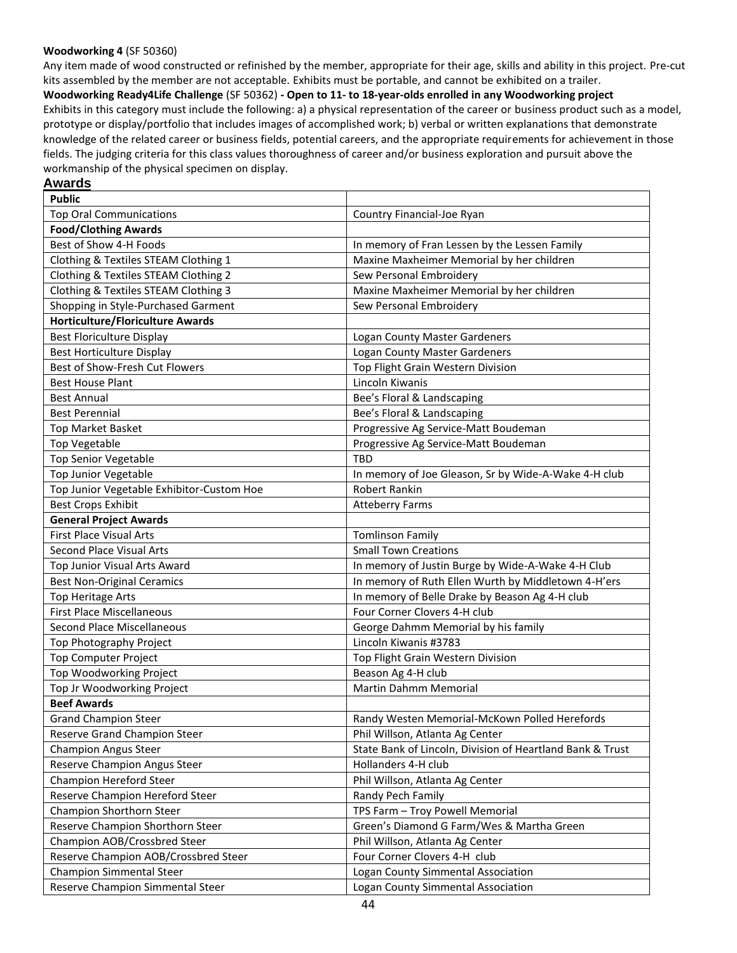#### **Woodworking 4** (SF 50360)

Any item made of wood constructed or refinished by the member, appropriate for their age, skills and ability in this project. Pre-cut kits assembled by the member are not acceptable. Exhibits must be portable, and cannot be exhibited on a trailer.

**Woodworking Ready4Life Challenge** (SF 50362) **- Open to 11- to 18-year-olds enrolled in any Woodworking project** Exhibits in this category must include the following: a) a physical representation of the career or business product such as a model, prototype or display/portfolio that includes images of accomplished work; b) verbal or written explanations that demonstrate knowledge of the related career or business fields, potential careers, and the appropriate requirements for achievement in those fields. The judging criteria for this class values thoroughness of career and/or business exploration and pursuit above the workmanship of the physical specimen on display.

#### **Awards**

| <b>Public</b>                             |                                                           |  |  |
|-------------------------------------------|-----------------------------------------------------------|--|--|
| <b>Top Oral Communications</b>            | Country Financial-Joe Ryan                                |  |  |
| <b>Food/Clothing Awards</b>               |                                                           |  |  |
| Best of Show 4-H Foods                    | In memory of Fran Lessen by the Lessen Family             |  |  |
| Clothing & Textiles STEAM Clothing 1      | Maxine Maxheimer Memorial by her children                 |  |  |
| Clothing & Textiles STEAM Clothing 2      | Sew Personal Embroidery                                   |  |  |
| Clothing & Textiles STEAM Clothing 3      | Maxine Maxheimer Memorial by her children                 |  |  |
| Shopping in Style-Purchased Garment       | Sew Personal Embroidery                                   |  |  |
| <b>Horticulture/Floriculture Awards</b>   |                                                           |  |  |
| <b>Best Floriculture Display</b>          | Logan County Master Gardeners                             |  |  |
| Best Horticulture Display                 | <b>Logan County Master Gardeners</b>                      |  |  |
| Best of Show-Fresh Cut Flowers            | Top Flight Grain Western Division                         |  |  |
| <b>Best House Plant</b>                   | Lincoln Kiwanis                                           |  |  |
| <b>Best Annual</b>                        | Bee's Floral & Landscaping                                |  |  |
| <b>Best Perennial</b>                     | Bee's Floral & Landscaping                                |  |  |
| <b>Top Market Basket</b>                  | Progressive Ag Service-Matt Boudeman                      |  |  |
| <b>Top Vegetable</b>                      | Progressive Ag Service-Matt Boudeman                      |  |  |
| <b>Top Senior Vegetable</b>               | <b>TBD</b>                                                |  |  |
| <b>Top Junior Vegetable</b>               | In memory of Joe Gleason, Sr by Wide-A-Wake 4-H club      |  |  |
| Top Junior Vegetable Exhibitor-Custom Hoe | Robert Rankin                                             |  |  |
| <b>Best Crops Exhibit</b>                 | <b>Atteberry Farms</b>                                    |  |  |
| <b>General Project Awards</b>             |                                                           |  |  |
| First Place Visual Arts                   | <b>Tomlinson Family</b>                                   |  |  |
| Second Place Visual Arts                  | <b>Small Town Creations</b>                               |  |  |
| Top Junior Visual Arts Award              | In memory of Justin Burge by Wide-A-Wake 4-H Club         |  |  |
| <b>Best Non-Original Ceramics</b>         | In memory of Ruth Ellen Wurth by Middletown 4-H'ers       |  |  |
| <b>Top Heritage Arts</b>                  | In memory of Belle Drake by Beason Ag 4-H club            |  |  |
| <b>First Place Miscellaneous</b>          | Four Corner Clovers 4-H club                              |  |  |
| Second Place Miscellaneous                | George Dahmm Memorial by his family                       |  |  |
| Top Photography Project                   | Lincoln Kiwanis #3783                                     |  |  |
| <b>Top Computer Project</b>               | Top Flight Grain Western Division                         |  |  |
| Top Woodworking Project                   | Beason Ag 4-H club                                        |  |  |
| Top Jr Woodworking Project                | Martin Dahmm Memorial                                     |  |  |
| <b>Beef Awards</b>                        |                                                           |  |  |
| <b>Grand Champion Steer</b>               | Randy Westen Memorial-McKown Polled Herefords             |  |  |
| Reserve Grand Champion Steer              | Phil Willson, Atlanta Ag Center                           |  |  |
| <b>Champion Angus Steer</b>               | State Bank of Lincoln, Division of Heartland Bank & Trust |  |  |
| Reserve Champion Angus Steer              | Hollanders 4-H club                                       |  |  |
| Champion Hereford Steer                   | Phil Willson, Atlanta Ag Center                           |  |  |
| Reserve Champion Hereford Steer           | Randy Pech Family                                         |  |  |
| Champion Shorthorn Steer                  | TPS Farm - Troy Powell Memorial                           |  |  |
| Reserve Champion Shorthorn Steer          | Green's Diamond G Farm/Wes & Martha Green                 |  |  |
| Champion AOB/Crossbred Steer              | Phil Willson, Atlanta Ag Center                           |  |  |
| Reserve Champion AOB/Crossbred Steer      | Four Corner Clovers 4-H club                              |  |  |
| <b>Champion Simmental Steer</b>           | Logan County Simmental Association                        |  |  |
| Reserve Champion Simmental Steer          | Logan County Simmental Association                        |  |  |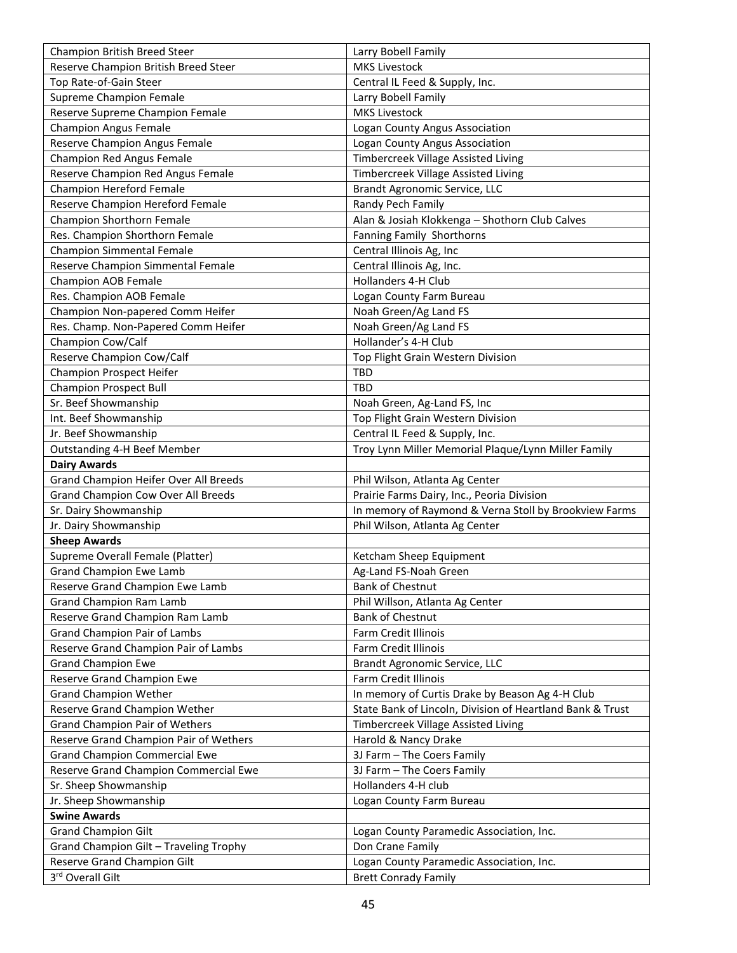| Champion British Breed Steer                 | Larry Bobell Family                                       |
|----------------------------------------------|-----------------------------------------------------------|
| Reserve Champion British Breed Steer         | <b>MKS Livestock</b>                                      |
| Top Rate-of-Gain Steer                       | Central IL Feed & Supply, Inc.                            |
| Supreme Champion Female                      | Larry Bobell Family                                       |
| Reserve Supreme Champion Female              | <b>MKS Livestock</b>                                      |
| <b>Champion Angus Female</b>                 | Logan County Angus Association                            |
| Reserve Champion Angus Female                | Logan County Angus Association                            |
| Champion Red Angus Female                    | Timbercreek Village Assisted Living                       |
| Reserve Champion Red Angus Female            | Timbercreek Village Assisted Living                       |
| <b>Champion Hereford Female</b>              | Brandt Agronomic Service, LLC                             |
| Reserve Champion Hereford Female             | Randy Pech Family                                         |
| <b>Champion Shorthorn Female</b>             | Alan & Josiah Klokkenga - Shothorn Club Calves            |
| Res. Champion Shorthorn Female               | Fanning Family Shorthorns                                 |
| <b>Champion Simmental Female</b>             | Central Illinois Ag, Inc                                  |
| Reserve Champion Simmental Female            | Central Illinois Ag, Inc.                                 |
| Champion AOB Female                          | Hollanders 4-H Club                                       |
| Res. Champion AOB Female                     | Logan County Farm Bureau                                  |
| Champion Non-papered Comm Heifer             | Noah Green/Ag Land FS                                     |
| Res. Champ. Non-Papered Comm Heifer          | Noah Green/Ag Land FS                                     |
| Champion Cow/Calf                            | Hollander's 4-H Club                                      |
| Reserve Champion Cow/Calf                    | Top Flight Grain Western Division                         |
| <b>Champion Prospect Heifer</b>              | TBD                                                       |
| <b>Champion Prospect Bull</b>                | <b>TBD</b>                                                |
| Sr. Beef Showmanship                         | Noah Green, Ag-Land FS, Inc                               |
| Int. Beef Showmanship                        | Top Flight Grain Western Division                         |
| Jr. Beef Showmanship                         | Central IL Feed & Supply, Inc.                            |
| <b>Outstanding 4-H Beef Member</b>           | Troy Lynn Miller Memorial Plaque/Lynn Miller Family       |
| <b>Dairy Awards</b>                          |                                                           |
| <b>Grand Champion Heifer Over All Breeds</b> | Phil Wilson, Atlanta Ag Center                            |
| <b>Grand Champion Cow Over All Breeds</b>    | Prairie Farms Dairy, Inc., Peoria Division                |
| Sr. Dairy Showmanship                        | In memory of Raymond & Verna Stoll by Brookview Farms     |
| Jr. Dairy Showmanship                        | Phil Wilson, Atlanta Ag Center                            |
| <b>Sheep Awards</b>                          |                                                           |
| Supreme Overall Female (Platter)             | Ketcham Sheep Equipment                                   |
| <b>Grand Champion Ewe Lamb</b>               | Ag-Land FS-Noah Green                                     |
| Reserve Grand Champion Ewe Lamb              | <b>Bank of Chestnut</b>                                   |
| <b>Grand Champion Ram Lamb</b>               | Phil Willson, Atlanta Ag Center                           |
| Reserve Grand Champion Ram Lamb              | <b>Bank of Chestnut</b>                                   |
| <b>Grand Champion Pair of Lambs</b>          | Farm Credit Illinois                                      |
| Reserve Grand Champion Pair of Lambs         | Farm Credit Illinois                                      |
| <b>Grand Champion Ewe</b>                    | Brandt Agronomic Service, LLC                             |
| Reserve Grand Champion Ewe                   | Farm Credit Illinois                                      |
| <b>Grand Champion Wether</b>                 | In memory of Curtis Drake by Beason Ag 4-H Club           |
| Reserve Grand Champion Wether                | State Bank of Lincoln, Division of Heartland Bank & Trust |
| <b>Grand Champion Pair of Wethers</b>        | Timbercreek Village Assisted Living                       |
| Reserve Grand Champion Pair of Wethers       | Harold & Nancy Drake                                      |
| <b>Grand Champion Commercial Ewe</b>         | 3J Farm - The Coers Family                                |
| Reserve Grand Champion Commercial Ewe        | 3J Farm - The Coers Family                                |
| Sr. Sheep Showmanship                        | Hollanders 4-H club                                       |
| Jr. Sheep Showmanship                        | Logan County Farm Bureau                                  |
| <b>Swine Awards</b>                          |                                                           |
| <b>Grand Champion Gilt</b>                   | Logan County Paramedic Association, Inc.                  |
| Grand Champion Gilt - Traveling Trophy       | Don Crane Family                                          |
| Reserve Grand Champion Gilt                  | Logan County Paramedic Association, Inc.                  |
| 3rd Overall Gilt                             | <b>Brett Conrady Family</b>                               |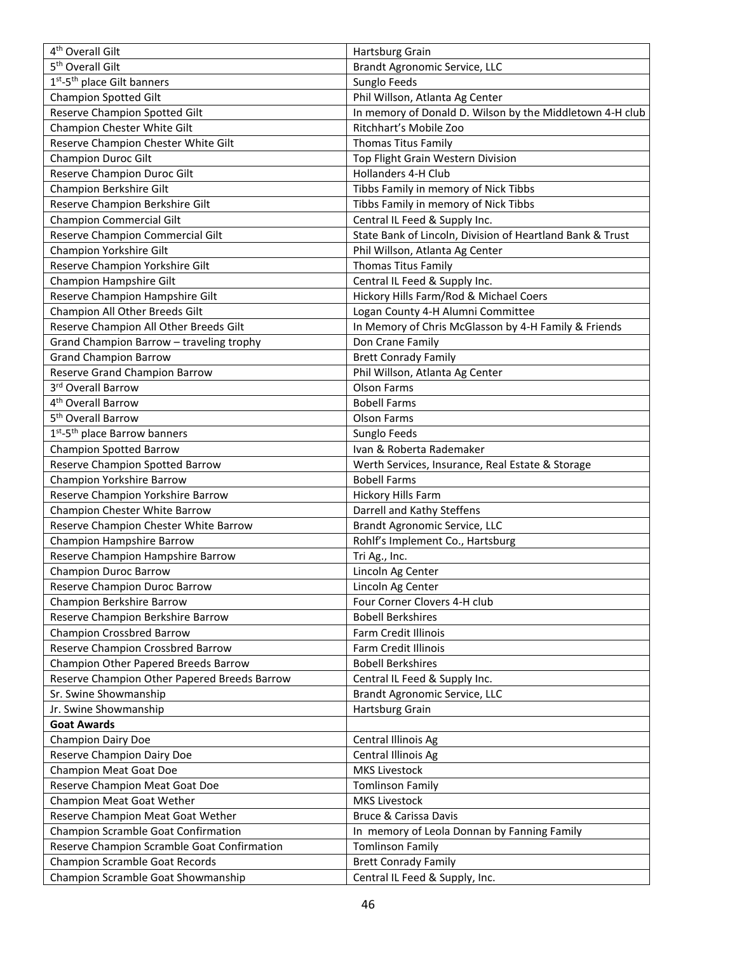| 4 <sup>th</sup> Overall Gilt                 | Hartsburg Grain                                           |
|----------------------------------------------|-----------------------------------------------------------|
| 5 <sup>th</sup> Overall Gilt                 | Brandt Agronomic Service, LLC                             |
| 1st-5 <sup>th</sup> place Gilt banners       | Sunglo Feeds                                              |
| <b>Champion Spotted Gilt</b>                 | Phil Willson, Atlanta Ag Center                           |
| Reserve Champion Spotted Gilt                | In memory of Donald D. Wilson by the Middletown 4-H club  |
| Champion Chester White Gilt                  | Ritchhart's Mobile Zoo                                    |
| Reserve Champion Chester White Gilt          | <b>Thomas Titus Family</b>                                |
| Champion Duroc Gilt                          | Top Flight Grain Western Division                         |
| Reserve Champion Duroc Gilt                  | Hollanders 4-H Club                                       |
| Champion Berkshire Gilt                      | Tibbs Family in memory of Nick Tibbs                      |
| Reserve Champion Berkshire Gilt              | Tibbs Family in memory of Nick Tibbs                      |
| <b>Champion Commercial Gilt</b>              | Central IL Feed & Supply Inc.                             |
| Reserve Champion Commercial Gilt             | State Bank of Lincoln, Division of Heartland Bank & Trust |
| Champion Yorkshire Gilt                      | Phil Willson, Atlanta Ag Center                           |
| Reserve Champion Yorkshire Gilt              | <b>Thomas Titus Family</b>                                |
| Champion Hampshire Gilt                      | Central IL Feed & Supply Inc.                             |
| Reserve Champion Hampshire Gilt              | Hickory Hills Farm/Rod & Michael Coers                    |
| Champion All Other Breeds Gilt               | Logan County 4-H Alumni Committee                         |
| Reserve Champion All Other Breeds Gilt       | In Memory of Chris McGlasson by 4-H Family & Friends      |
| Grand Champion Barrow - traveling trophy     | Don Crane Family                                          |
| <b>Grand Champion Barrow</b>                 | <b>Brett Conrady Family</b>                               |
| Reserve Grand Champion Barrow                | Phil Willson, Atlanta Ag Center                           |
| 3rd Overall Barrow                           | Olson Farms                                               |
| 4 <sup>th</sup> Overall Barrow               | <b>Bobell Farms</b>                                       |
| 5 <sup>th</sup> Overall Barrow               | Olson Farms                                               |
| 1st-5 <sup>th</sup> place Barrow banners     | Sunglo Feeds                                              |
| <b>Champion Spotted Barrow</b>               | Ivan & Roberta Rademaker                                  |
| Reserve Champion Spotted Barrow              | Werth Services, Insurance, Real Estate & Storage          |
| Champion Yorkshire Barrow                    | <b>Bobell Farms</b>                                       |
| Reserve Champion Yorkshire Barrow            | Hickory Hills Farm                                        |
| Champion Chester White Barrow                | Darrell and Kathy Steffens                                |
| Reserve Champion Chester White Barrow        | Brandt Agronomic Service, LLC                             |
| Champion Hampshire Barrow                    | Rohlf's Implement Co., Hartsburg                          |
| Reserve Champion Hampshire Barrow            | Tri Ag., Inc.                                             |
| Champion Duroc Barrow                        | Lincoln Ag Center                                         |
| Reserve Champion Duroc Barrow                | Lincoln Ag Center                                         |
| Champion Berkshire Barrow                    | Four Corner Clovers 4-H club                              |
| Reserve Champion Berkshire Barrow            | <b>Bobell Berkshires</b>                                  |
| <b>Champion Crossbred Barrow</b>             | Farm Credit Illinois                                      |
| Reserve Champion Crossbred Barrow            | Farm Credit Illinois                                      |
| Champion Other Papered Breeds Barrow         | <b>Bobell Berkshires</b>                                  |
| Reserve Champion Other Papered Breeds Barrow | Central IL Feed & Supply Inc.                             |
| Sr. Swine Showmanship                        | Brandt Agronomic Service, LLC                             |
| Jr. Swine Showmanship                        | Hartsburg Grain                                           |
| <b>Goat Awards</b>                           |                                                           |
| <b>Champion Dairy Doe</b>                    | Central Illinois Ag                                       |
| Reserve Champion Dairy Doe                   | Central Illinois Ag                                       |
| <b>Champion Meat Goat Doe</b>                | <b>MKS Livestock</b>                                      |
| Reserve Champion Meat Goat Doe               | <b>Tomlinson Family</b>                                   |
| Champion Meat Goat Wether                    | <b>MKS Livestock</b>                                      |
| Reserve Champion Meat Goat Wether            | <b>Bruce &amp; Carissa Davis</b>                          |
| Champion Scramble Goat Confirmation          | In memory of Leola Donnan by Fanning Family               |
| Reserve Champion Scramble Goat Confirmation  | <b>Tomlinson Family</b>                                   |
| Champion Scramble Goat Records               | <b>Brett Conrady Family</b>                               |
| Champion Scramble Goat Showmanship           | Central IL Feed & Supply, Inc.                            |